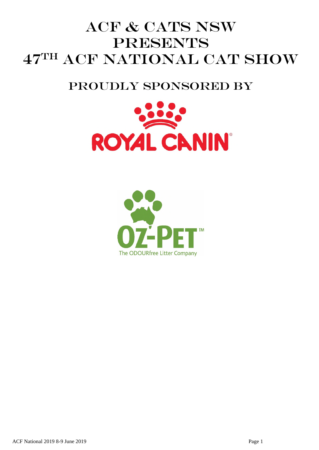# ACF & CATS NSW **PRESENTS** 47TH ACF NATIONAL CAT SHOW

# PROUDLY SPONSORED BY



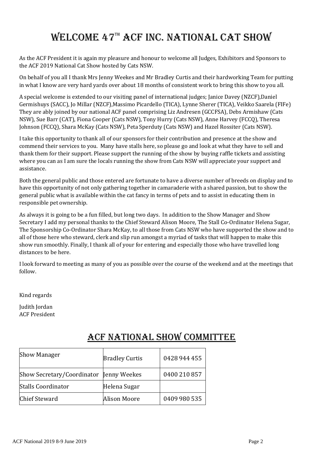# WELCOME 47TH ACF INC. NATIONAL CAT SHOW

As the ACF President it is again my pleasure and honour to welcome all Judges, Exhibitors and Sponsors to the ACF 2019 National Cat Show hosted by Cats NSW.

On behalf of you all I thank Mrs Jenny Weekes and Mr Bradley Curtis and their hardworking Team for putting in what I know are very hard yards over about 18 months of consistent work to bring this show to you all.

A special welcome is extended to our visiting panel of international judges; Janice Davey (NZCF),Daniel Germishuys (SACC), Jo Millar (NZCF),Massimo Picardello (TICA), Lynne Sherer (TICA), Veikko Saarela (FIFe) They are ably joined by our national ACF panel comprising Liz Andresen (GCCFSA), Debs Armishaw (Cats NSW), Sue Barr (CAT), Fiona Cooper (Cats NSW), Tony Hurry (Cats NSW), Anne Harvey (FCCQ), Theresa Johnson (FCCQ), Shara McKay (Cats NSW), Peta Sperduty (Cats NSW) and Hazel Rossiter (Cats NSW).

I take this opportunity to thank all of our sponsors for their contribution and presence at the show and commend their services to you. Many have stalls here, so please go and look at what they have to sell and thank them for their support. Please support the running of the show by buying raffle tickets and assisting where you can as I am sure the locals running the show from Cats NSW will appreciate your support and assistance.

Both the general public and those entered are fortunate to have a diverse number of breeds on display and to have this opportunity of not only gathering together in camaraderie with a shared passion, but to show the general public what is available within the cat fancy in terms of pets and to assist in educating them in responsible pet ownership.

As always it is going to be a fun filled, but long two days. In addition to the Show Manager and Show Secretary I add my personal thanks to the Chief Steward Alison Moore, The Stall Co-Ordinator Helena Sugar, The Sponsorship Co-Ordinator Shara McKay, to all those from Cats NSW who have supported the show and to all of those here who steward, clerk and slip run amongst a myriad of tasks that will happen to make this show run smoothly. Finally, I thank all of your for entering and especially those who have travelled long distances to be here.

I look forward to meeting as many of you as possible over the course of the weekend and at the meetings that follow.

Kind regards

Judith Jordan ACF President

| <b>Show Manager</b>                     | <b>Bradley Curtis</b> | 0428 944 455 |
|-----------------------------------------|-----------------------|--------------|
| Show Secretary/Coordinator Jenny Weekes |                       | 0400 210 857 |
| <b>Stalls Coordinator</b>               | Helena Sugar          |              |
| <b>Chief Steward</b>                    | Alison Moore          | 0409 980 535 |

# ACF NATIONAL SHOW COMMITTEE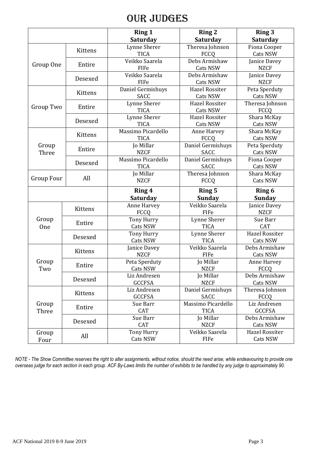# Our judges

|                   |         | <b>Ring 1</b><br>Saturday             | <b>Ring 2</b><br>Saturday               | <b>Ring 3</b><br><b>Saturday</b>             |
|-------------------|---------|---------------------------------------|-----------------------------------------|----------------------------------------------|
|                   | Kittens | Lynne Sherer<br><b>TICA</b>           | Theresa Johnson<br><b>FCCQ</b>          | Fiona Cooper<br>Cats NSW                     |
| Group One         | Entire  | Veikko Saarela<br>FIFe                | Debs Armishaw<br>Cats NSW               | Janice Davey<br><b>NZCF</b>                  |
|                   | Desexed | Veikko Saarela<br>FIFe                | Debs Armishaw<br>Cats NSW               | Janice Davey<br><b>NZCF</b>                  |
|                   | Kittens | Daniel Germishuys<br>SACC             | <b>Hazel Rossiter</b><br>Cats NSW       | Peta Sperduty<br>Cats NSW                    |
| Group Two         | Entire  | <b>Lynne Sherer</b><br><b>TICA</b>    | <b>Hazel Rossiter</b><br>Cats NSW       | Theresa Johnson<br>FCCQ                      |
|                   | Desexed | Lynne Sherer<br><b>TICA</b>           | <b>Hazel Rossiter</b><br>Cats NSW       | Shara McKay<br>Cats NSW                      |
|                   | Kittens | Massimo Picardello<br><b>TICA</b>     | Anne Harvey<br>FCCQ                     | Shara McKay<br>Cats NSW                      |
| Group<br>Three    | Entire  | Jo Millar<br><b>NZCF</b>              | Daniel Germishuys<br><b>SACC</b>        | Peta Sperduty<br><b>Cats NSW</b>             |
|                   | Desexed | Massimo Picardello<br><b>TICA</b>     | Daniel Germishuys<br><b>SACC</b>        | Fiona Cooper<br>Cats NSW                     |
| <b>Group Four</b> | All     | Jo Millar<br><b>NZCF</b>              | Theresa Johnson<br>FCCQ                 | Shara McKay<br><b>Cats NSW</b>               |
|                   |         |                                       |                                         |                                              |
|                   |         | Ring 4                                | <b>Ring 5</b>                           | <b>Ring 6</b>                                |
|                   | Kittens | Saturday<br>Anne Harvey               | <b>Sunday</b><br>Veikko Saarela<br>FIFe | <b>Sunday</b><br>Janice Davey<br><b>NZCF</b> |
| Group<br>One      | Entire  | FCCQ<br><b>Tony Hurry</b><br>Cats NSW | Lynne Sherer<br><b>TICA</b>             | Sue Barr<br><b>CAT</b>                       |
|                   | Desexed | <b>Tony Hurry</b><br><b>Cats NSW</b>  | Lynne Sherer<br><b>TICA</b>             | <b>Hazel Rossiter</b><br><b>Cats NSW</b>     |
|                   | Kittens | Janice Davey<br><b>NZCF</b>           | Veikko Saarela<br><b>FIFe</b>           | Debs Armishaw<br>Cats NSW                    |
| Group<br>Two      | Entire  | Peta Sperduty<br>Cats NSW             | Jo Millar<br><b>NZCF</b>                | Anne Harvey<br><b>FCCQ</b>                   |
|                   | Desexed | Liz Andresen<br><b>GCCFSA</b>         | Jo Millar<br><b>NZCF</b>                | Debs Armishaw<br>Cats NSW                    |
|                   | Kittens | Liz Andresen<br><b>GCCFSA</b>         | Daniel Germishuys<br><b>SACC</b>        | Theresa Johnson<br><b>FCCQ</b>               |
| Group<br>Three    | Entire  | Sue Barr<br><b>CAT</b>                | Massimo Picardello<br><b>TICA</b>       | Liz Andresen<br><b>GCCFSA</b>                |
|                   | Desexed | Sue Barr<br><b>CAT</b>                | Jo Millar<br><b>NZCF</b>                | Debs Armishaw<br>Cats NSW                    |

*NOTE - The Show Committee reserves the right to alter assignments, without notice, should the need arise, while endeavouring to provide one overseas judge for each section in each group. ACF By-Laws limits the number of exhibits to be handled by any judge to approximately 90.*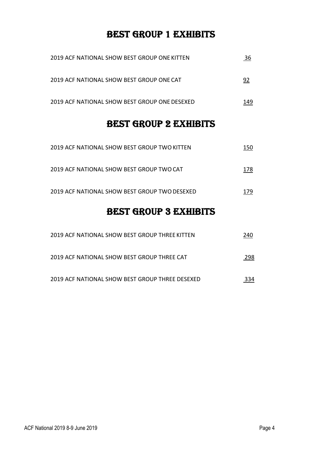# BEST GROUP 1 EXHIBITS

| 2019 ACF NATIONAL SHOW BEST GROUP ONE KITTEN  | 36  |
|-----------------------------------------------|-----|
| 2019 ACF NATIONAL SHOW BEST GROUP ONE CAT     | 92  |
| 2019 ACF NATIONAL SHOW BEST GROUP ONE DESEXED | 149 |

# BEST GROUP 2 EXHIBITS

| <b>BEST GROUP 3 EXHIBITS</b>                  |     |
|-----------------------------------------------|-----|
| 2019 ACF NATIONAL SHOW BEST GROUP TWO DESEXED | 179 |
| 2019 ACF NATIONAL SHOW BEST GROUP TWO CAT     | 178 |
| 2019 ACF NATIONAL SHOW BEST GROUP TWO KITTEN  | 150 |

| 2019 ACF NATIONAL SHOW BEST GROUP THREE KITTEN  | 240 |
|-------------------------------------------------|-----|
| 2019 ACF NATIONAL SHOW BEST GROUP THREE CAT     | 298 |
| 2019 ACF NATIONAL SHOW BEST GROUP THREE DESEXED |     |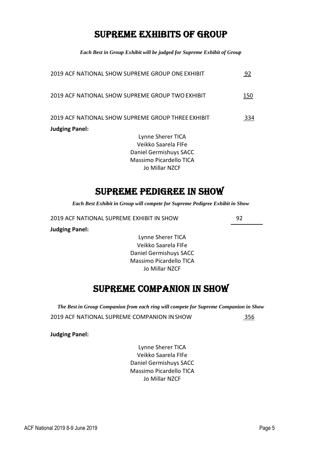# SUPREME EXHIBITS OF GROUP

*Each Best in Group Exhibit will be judged for Supreme Exhibit of Group* 

| 2019 ACF NATIONAL SHOW SUPREME GROUP ONE EXHIBIT   | 92  |
|----------------------------------------------------|-----|
| 2019 ACF NATIONAL SHOW SUPREME GROUP TWO EXHIBIT   | 150 |
| 2019 ACF NATIONAL SHOW SUPREME GROUP THREE EXHIBIT | 334 |
| <b>Judging Panel:</b>                              |     |
| Lynne Sherer TICA                                  |     |
| Veikko Saarela FIFe                                |     |
| Daniel Germishuys SACC                             |     |
| Massimo Picardello TICA                            |     |
| Jo Millar NZCF                                     |     |

# SUPREME PEDIGREE IN SHOW

*Each Best Exhibit in Group will compete for Supreme Pedigree Exhibit in Show* 

2019 ACF NATIONAL SUPREME EXHIBIT IN SHOW 92

**Judging Panel:** 

Lynne Sherer TICA Veikko Saarela FIFe Daniel Germishuys SACC Massimo Picardello TICA Jo Millar NZCF

# SUPREME COMPANION IN SHOW

*The Best in Group Companion from each ring will compete for Supreme Companion in Show* 

2019 ACF NATIONAL SUPREME COMPANION IN SHOW 356

**Judging Panel:** 

Lynne Sherer TICA Veikko Saarela FIFe Daniel Germishuys SACC Massimo Picardello TICA Jo Millar NZCF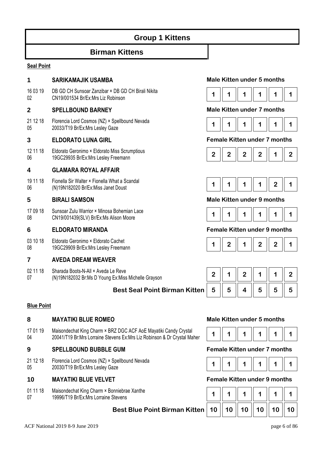# **Group 1 Kittens**

## **Birman Kittens**

#### **Seal Point**

### **1 SARIKAMAJIK USAMBA Male Kitten under 5 months**

16 03 19  $02$ DB GD CH Sunsoar Zanzibar × DB GD CH Birali Nikita CN19/001534 Br/Ex:Mrs Liz Robinson **1 1 1 1 1 1** 

### **2 SPELLBOUND BARNEY Male Kitten under 7 months**

21 12 18 05 Florencia Lord Cosmos (NZ) × Spellbound Nevada Proteincia Lord Cosmios (NZ) ^ Speliboding Nevada<br>20033/T19 Br/Ex:Mrs Lesley Gaze **1 1 1** 1 **1** 1 **1** 1 **1** 1 **1** 1 **1** 1

12 11 18 06 Eldorato Geronimo × Eldorato Miss Scrumptious Procrato Geronimo × Procrato Miss Scrumpious<br>19GC29935 Br/Ex:Mrs Lesley Freemann **2 2 2 2 2 2 2 2 2 2 2 2 2 2 2 2** 

### **4 GLAMARA ROYAL AFFAIR**

19 11 18 06 Fionella Sir Walter × Fionella What a Scandal

17 09 18 08 Sunsoar Zulu Warrior × Minosa Bohemian Lace CN19/001439(SLV) Br/Ex:Ms Alison Moore **1 1 1 1 1 1** 

03 10 18 08 Eldorato Geronimo × Eldorato Cachet 19GC29909 Br/Ex:Mrs Lesley Freemann

### **7 AVEDA DREAM WEAVER**

02 11 18 07 Sharada Boots-N-All × Aveda Le Reve (N)19N182032 Br:Ms D Young Ex:Miss Michelle Grayson

### **Best Seal Point Birman Kitten**

#### **Blue Point**

### **8 MAYATIKI BLUE ROMEO Male Kitten under 5 months**

17 01 19 04 Maisondechat King Charm × BRZ DGC ACF AoE Mayatiki Candy Crystal Maisondecriat Ning Charm A BRZ DGC ACF ACE Mayauki Candy Crystal **1** 1 **1** 1 **1** 1 **1** 1 **1** 1 **1** 1 **1** 1

### **9 SPELLBOUND BUBBLE GUM Female Kitten under 7 months**

21 12 18 05 Florencia Lord Cosmos (NZ) × Spellbound Nevada Plotencia Lord Cosmos (NZ) ^ Spelibourid Nevada<br>20030/T19 Br/Ex:Mrs Lesley Gaze **1 1 1 1 1 1 1 1 1 1 1 1 1 1 1 1 1** 1 **1** 

### **10 MAYATIKI BLUE VELVET Female Kitten under 9 months**

01 11 18 07 Maisondechat King Charm × Bonniebrae Xanthe 19996/T19 Br/Ex:Mrs Lorraine Stevens





#### **3 ELDORATO LUNA GIRL Female Kitten under 7 months**





#### **5 BIRALI SAMSON Male Kitten under 9 months**



#### **6 ELDORATO MIRANDA Female Kitten under 9 months**

|--|--|--|--|--|--|

|   |   | z |   |   |   |
|---|---|---|---|---|---|
| 5 | 5 | 4 | 5 | 5 | 5 |





| 10 <sup>°</sup> |  | $10 \parallel 10 \parallel 10 \parallel 10$ | 10 |
|-----------------|--|---------------------------------------------|----|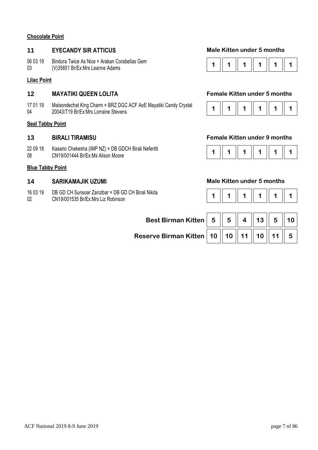#### **Chocolate Point**

### **11 EYECANDY SIR ATTICUS Male Kitten under 5 months**

06 03 19 03 Bindura Twice As Nice × Arakan Corabellas Gem

### **Lilac Point**

### **12 MAYATIKI QUEEN LOLITA Female Kitten under 5 months**

17 01 19 04 Maisondechat King Charm × BRZ DGC ACF AoE Mayatiki Candy Crystal Malsondechat King Charm × BRZ DGC ACF A0E Mayatiki Candy Crystal **1 | 1 | 1 | 1 | 1 | 1 | 1 | 1 | 1**<br>20043/T19 Br/Ex:Mrs Lorraine Stevens

#### **Seal Tabby Point**

22 09 18 08 Kasario Chekesha (IMP NZ) × DB GDCH Birali Nefertiti CN19/001444 Br/Ex:Ms Alison Moore **1 1 1 1 1 1** 

#### **Blue Tabby Point**

- 16 03 19 DB GD CH Sunsoar Zanzibar × DB GD CH Birali Nikita
- 02 CN19/001535 Br/Ex:Mrs Liz Robinson





#### **13 BIRALI TIRAMISU Female Kitten under 9 months**



#### 14 **SARIKAMAJIK UZUMI 14 Male Kitten under 5 months**

|--|

| Best Birman Kitten   5   5   4   13   5   10                                                              |  |  |  |
|-----------------------------------------------------------------------------------------------------------|--|--|--|
| Reserve Birman Kitten $\mid$ 10 $\parallel$ 10 $\parallel$ 11 $\parallel$ 10 $\parallel$ 11 $\parallel$ 5 |  |  |  |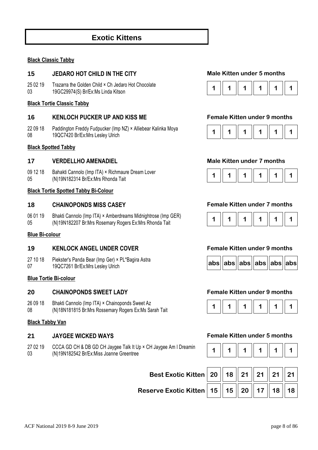# **Exotic Kittens**

#### **Black Classic Tabby**

#### **15 JEDARO HOT CHILD IN THE CITY Male Kitten under 5 months**

25 02 19 03 Trazarra the Golden Child × Ch Jedaro Hot Chocolate 19GC29974(S) Br/Ex:Ms Linda Kitson **1 1 1 1 1 1** 

#### **Black Tortie Classic Tabby**

### **16 KENLOCH PUCKER UP AND KISS ME Female Kitten under 9 months**

22 09 18 08 Paddington Freddy Fudpucker (Imp NZ) × Alliebear Kalinka Moya Paddington Freddy Fudpucker (Imp NZ) × Alliebear Kalinka Moya **1 1 | 1 | 1 | 1 | 1 | 1 | 1 | 1 | 1** | 1 **| 1** | 1<br>19QC7420 Br/Ex:Mrs Lesley Ulrich

#### **Black Spotted Tabby**

#### **17 VERDELLHO AMENADIEL Male Kitten under 7 months**

09 12 18 05 Bahakti Cannolo (Imp ITA) × Richmaure Dream Lover Bahaku Camholo (Imp TTA) \* Richmaule Dream Lover<br>(N)19N182314 Br/Ex:Mrs Rhonda Tait **1 1 1 1 1 1 1 1 1 1 1 1 1 1 1 1 1 1** 1 1 1 1 1

#### **Black Tortie Spotted Tabby Bi-Colour**

#### **18 CHAINOPONDS MISS CASEY Female Kitten under 7 months**

06 01 19 05 Bhakti Cannolo (Imp ITA) × Amberdreams Midnightrose (Imp GER) (N)19N182207 Br:Mrs Rosemary Rogers Ex:Mrs Rhonda Tait **1 1 1 1 1 1** 

#### **Blue Bi-colour**

#### **19 KENLOCK ANGEL UNDER COVER Female Kitten under 9 months**

- 27 10 18 Piekster's Panda Bear (Imp Ger) × PL\*Bagira Astra
- 07

#### **Blue Tortie Bi-colour**

### **20 CHAINOPONDS SWEET LADY Female Kitten under 9 months**

- 26 09 18 Bhakti Cannolo (Imp ITA) × Chainoponds Sweet Az
- 08

#### **Black Tabby Van**

27 02 19 03 CCCA GD CH & DB GD CH Jaygee Talk It Up × CH Jaygee Am I Dreamin (N)19N182542 Br/Ex:Miss Joanne Greentree













#### **21 JAYGEE WICKED WAYS Female Kitten under 5 months**

|--|--|--|--|--|--|

| Best Exotic Kitten   20   18   21   21   21   21   21                                                                  |  |  |  |
|------------------------------------------------------------------------------------------------------------------------|--|--|--|
| Reserve Exotic Kitten $\mid$ 15 $\parallel$ 15 $\parallel$ 20 $\parallel$ 17 $\parallel$ 18 $\parallel$ 18 $\parallel$ |  |  |  |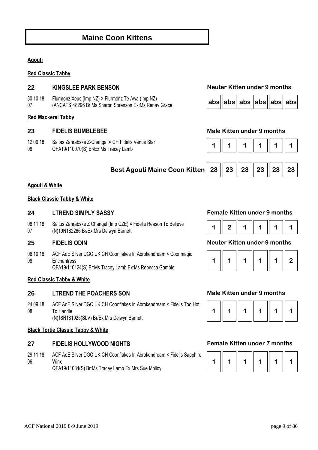# **Maine Coon Kittens**

### **Agouti**

#### **Red Classic Tabby**

### **22 KINGSLEE PARK BENSON Neuter Kitten under 9 months**

30 10 18 07 Flurmonz Xeus (Imp NZ) × Flurmonz Te Awa (Imp NZ) (ANCATS)48296 Br:Ms Sharon Sorenson Ex:Ms Renay Grace **abs abs abs abs abs abs**

#### **Red Mackerel Tabby**

#### **23 FIDELIS BUMBLEBEE Male Kitten under 9 months**

12 09 18 08 Saltas Zahrabske Z-Changal × CH Fidelis Venus Star QFA19/110070(S) Br/Ex:Ms Tracey Lamb **1 1 1 1 1 1** 





**Best Agouti Maine Coon Kitten 23 23 23 23 23 23**



#### **Agouti & White**

#### **Black Classic Tabby & White**

### **24 LTREND SIMPLY SASSY Female Kitten under 9 months**

08 11 18 07 Saltus Zahrabske Z Changal (Imp CZE) × Fidelis Reason To Believe (N)19N182266 Br/Ex:Mrs Delwyn Barnett **1 2 1 1 1 1** 

06 10 18 08 ACF AoE Silver DGC UK CH Coonflakes In Abrokendream × Coonmagic **Enchantress** QFA19/110124(S) Br:Ms Tracey Lamb Ex:Ms Rebecca Gamble

#### **Red Classic Tabby & White**

### **26 LTREND THE POACHERS SON Male Kitten under 9 months**

24 09 18 08 ACF AoE Silver DGC UK CH Coonflakes In Abrokendream × Fidelis Too Hot To Handle (N)18N181925(SLV) Br/Ex:Mrs Delwyn Barnett

#### **Black Tortie Classic Tabby & White**

### **27 FIDELIS HOLLYWOOD NIGHTS Female Kitten under 7 months**

29 11 18 06 ACF AoE Silver DGC UK CH Coonflakes In Abrokendream × Fidelis Sapphire Winx QFA19/11034(S) Br:Ms Tracey Lamb Ex:Mrs Sue Molloy



#### **25 FIDELIS ODIN Neuter Kitten under 9 months**





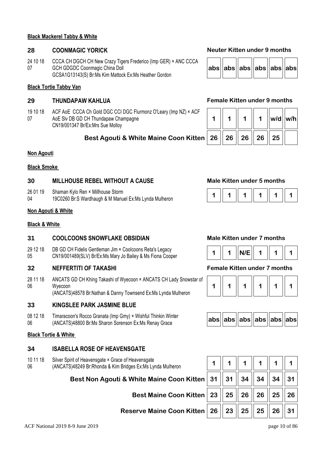#### **Black Mackerel Tabby & White**

24 10 18 07 CCCA CH DGCH CH New Crazy Tigers Frederico (Imp GER) × ANC CCCA GCH GDGDC Coonmagic China Doll GCSA1G13143(S) Br:Ms Kim Mattock Ex:Ms Heather Gordon

#### **Black Tortie Tabby Van**

19 10 18 07 ACF AoE CCCA Ch Gold DGC CCI DGC Flurmonz O'Leary (Imp NZ) × ACF AoE Slv DB GD CH Thundapaw Champagne CN19/001347 Br/Ex:Mrs Sue Molloy

### **Best Agouti & White Maine Coon Kitten 26 26 26 26 25**

#### **Non Agouti**

#### **Black Smoke**

### **30 MILLHOUSE REBEL WITHOUT A CAUSE Male Kitten under 5 months**

- 26 01 19 Shaman Kylo Ren × Millhouse Storm
- 04

### **Non Agouti & White**

#### **Black & White**

#### **31 COOLCOONS SNOWFLAKE OBSIDIAN Male Kitten under 7 months**

29 12 18 05 DB GD CH Fidelis Gentleman Jim × Coolcoons Reta's Legacy CN19/001489(SLV) Br/Ex:Ms Mary Jo Bailey & Ms Fiona Cooper **1** 1 || 1 || N/E || 1 || 1 || 1 || 1

#### **32 NEFFERTITI OF TAKASHI Female Kitten under 7 months**

28 11 18 06 ANCATS GD CH Khing Takashi of Wyecoon × ANCATS CH Lady Snowstar of Wyecoon (ANCATS)48578 Br:Nathan & Danny Townsend Ex:Ms Lynda Mulheron

**33 KINGSLEE PARK JASMINE BLUE** 

08 12 18 06 Timaracoon's Rocco Granata (Imp Gmy) × Wishful Thinkin Winter (ANCATS)48800 Br:Ms Sharon Sorenson Ex:Ms Renay Grace **abs abs abs abs abs abs**

#### **Black Tortie & White**

#### **34 ISABELLA ROSE OF HEAVENSGATE**

- 10 11 18 Silver Spirit of Heavensgate × Grace of Heavensgate
- 06 (ANCATS)48249 Br:Rhonda & Kim Bridges Ex:Ms Lynda Mulheron

**Best Non Agouti & White Maine Coon K** 

**Best Maine Coon K** 

**Reserve Maine Coon K** 

### **28 COONMAGIC YORICK Neuter Kitten under 9 months**

|  |  |  |  | abs  abs  abs  abs  abs  abs |  |  |
|--|--|--|--|------------------------------|--|--|
|--|--|--|--|------------------------------|--|--|

#### **29 THUNDAPAW KAHLUA Female Kitten under 9 months**

|                        |  | w/d  w/h |  |
|------------------------|--|----------|--|
| 26   26   26   26   25 |  |          |  |







| $ abs $ abs $ abs $ abs $ abs $ abs $ abs $ |  |  |  |  |  |
|---------------------------------------------|--|--|--|--|--|
|---------------------------------------------|--|--|--|--|--|

| (itten   31    31    34    34    34    31 |  |  |  |
|-------------------------------------------|--|--|--|
| (itten   23    25    26    26    25    26 |  |  |  |
| (itten   26    23    25    25    26    31 |  |  |  |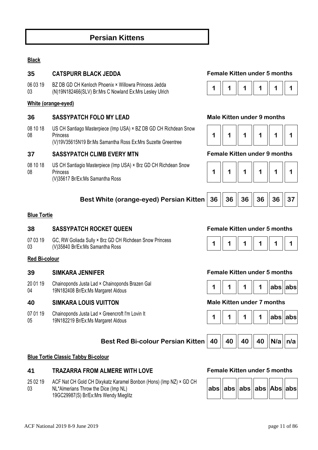# **Persian Kittens**

### **Black**

### **35 CATSPURR BLACK JEDDA Female Kitten under 5 months**

06 03 19 03 BZ DB GD CH Kenloch Phoenix × Willowra Princess Jedda (N)19N182466(SLV) Br:Mrs C Nowland Ex:Mrs Lesley Ulrich **1 1 1 1 1 1** 

#### **White (orange-eyed)**

### **36 SASSYPATCH FOLO MY LEAD Male Kitten under 9 months**

08 10 18 08 US CH Santiago Masterpiece (Imp USA) × BZ DB GD CH Richdean Snow Princess (V)19V35615N19 Br:Ms Samantha Ross Ex:Mrs Suzette Greentree

**37 SASSYPATCH CLIMB EVERY MTN Female Kitten under 9 months** 

08 10 18 08 US CH Santiagio Masterpiece (Imp USA) × Brz GD CH Richdean Snow Princess (V)35617 Br/Ex:Ms Samantha Ross



|  |  |  | $\overline{1}$ |  |  |
|--|--|--|----------------|--|--|
|--|--|--|----------------|--|--|

|--|--|--|--|--|--|

| Best White (orange-eyed) Persian Kitten $\mid$ 36 $\mid \mid$ 36 $\mid \mid$ 36 $\mid \mid$ 36 $\mid \mid$ 36 $\mid \mid$ 37 |  |  |  |
|------------------------------------------------------------------------------------------------------------------------------|--|--|--|
|                                                                                                                              |  |  |  |

#### **Blue Tortie**

### **38 SASSYPATCH ROCKET QUEEN Female Kitten under 5 months**

07 03 19 03 GC, RW Goliada Sully × Brz GD CH Richdean Snow Princess (V)35840 Br/Ex:Ms Samantha Ross **1 1 1 1 1 1** 

#### **Red Bi-colour**

20 01 19 04 Chainoponds Justa Lad × Chainoponds Brazen Gal Unamoponus Justa Lau × Unamoponus Brazen Gar<br>19N182408 Br/Ex:Ms Margaret Aldous **1989** 

#### **40 SIMKARA LOUIS VUITTON Male Kitten under 7 months**

07 01 19 05 Chainoponds Justa Lad × Greencroft I'm Lovin It

#### **Best Red Bi-colour Persian Kitten** | 40 || 40 || 40 || 40 || N/a || n/a

#### **Blue Tortie Classic Tabby Bi-colour**

#### **41 TRAZARRA FROM ALMERE WITH LOVE Female Kitten under 5 months**

25 02 19 03 ACF Nat CH Gold CH Dixykatz Karamel Bonbon (Hons) (Imp NZ) × GD CH NL\*Almerians Throw the Dice (Imp NL) 19GC29987(S) Br/Ex:Mrs Wendy Mieglitz



#### **39 SIMKARA JENNIFER Female Kitten under 5 months**







| abs  abs  abs  abs  Abs  abs |
|------------------------------|
|------------------------------|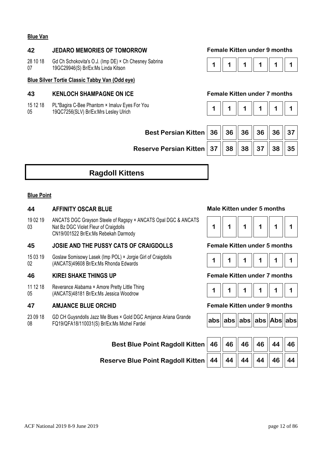### **Blue Van**

### **42 JEDARO MEMORIES OF TOMORROW Female Kitten under 9 months**

28 10 18 07 Gd Ch Schokovita's O.J. (Imp DE) × Ch Chesney Sabrina **19GC29946(S) Br/Ex:Ms Linda Kitson 10.0** (Subsidiary Sabrina **1 1** 1 **1** 1 **1** 1 **1** 1 **1** 1 **1** 1 **1** 1

### **Blue Silver Tortie Classic Tabby Van (Odd eye)**

### **43 KENLOCH SHAMPAGNE ON ICE Female Kitten under 7 months**

- 15 12 18 PL\*Bagira C-Bee Phantom × Imaluv Eyes For You
- 05 19QC7256(SLV) Br/Ex:Mrs Lesley Ulrich



|--|--|--|--|--|--|

| Best Persian Kitten 36 $\parallel$ 36 $\parallel$ 36 $\parallel$ 36 $\parallel$ 36 $\parallel$ 37 |  |  |  |
|---------------------------------------------------------------------------------------------------|--|--|--|
| Reserve Persian Kitten 37   38   38   37   38   35                                                |  |  |  |

# **Ragdoll Kittens**

#### **Blue Point**

#### **44 AFFINITY OSCAR BLUE Male Kitten under 5 months**

19 02 19 03 ANCATS DGC Grayson Steele of Ragspy × ANCATS Opal DGC & ANCATS Nat Bz DGC Violet Fleur of Craigdolls CN19/001522 Br/Ex:Ms Rebekah Darmody

### **45 JOSIE AND THE PUSSY CATS OF CRAIGDOLLS Female Kitten under 5 months**

15 03 19  $02$ Goslaw Somisowy Lasek (Imp POL) × Jorgie Girl of Craigdolls Goslaw Soffisowy Lasek (inip POL) \* Jorgie Giff of Craigdons<br>(ANCATS)49608 Br/Ex:Ms Rhonda Edwards **1 1** 

#### **46 KIREI SHAKE THINGS UP Female Kitten under 7 months**

11 12 18 05 Reverance Alabama × Amore Pretty Little Thing (ANCATS)48181 Br/Ex:Ms Jessica Woodrow **1 1 1 1 1 1** 

### **47 AMJANCE BLUE ORCHID Female Kitten under 9 months**

23 09 18 08 GD CH Guysndolls Jazz Me Blues × Gold DGC Amjance Ariana Grande FQ19/QFA18/110031(S) Br/Ex:Ms Michel Fardel **abs abs abs abs Abs abs**

#### **Best Blue Point**

**Reserve Blue Point** 



|--|--|



|  |  |  |  | abs  abs  abs  abs  Abs  abs |  |
|--|--|--|--|------------------------------|--|
|--|--|--|--|------------------------------|--|

| t Ragdoll Kitten $\parallel$ 46 $\parallel$ 46 $\parallel$ 46 $\parallel$ 46 $\parallel$ 44 $\parallel$ 46 $\parallel$ |  |  |  |
|------------------------------------------------------------------------------------------------------------------------|--|--|--|
| t Ragdoll Kitten $\parallel$ 44 $\parallel$ 44 $\parallel$ 44 $\parallel$ 44 $\parallel$ 46 $\parallel$ 44 $\parallel$ |  |  |  |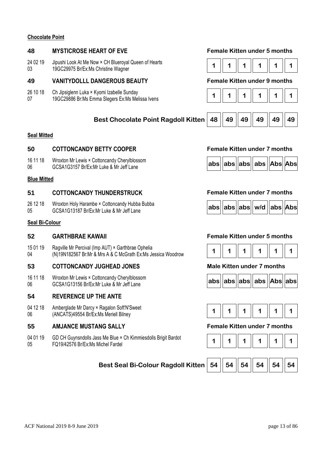#### **Chocolate Point**

### **48 MYSTICROSE HEART OF EVE Female Kitten under 5 months**

24 02 19 03 Jipushi Look At Me Now × CH Blueroyal Queen of Hearts 19GC29975 Br/Ex:Ms Christine Wagner **1 1 1 1 1 1** 

### **49 VANITYDOLLL DANGEROUS BEAUTY Female Kitten under 9 months**

- 26 10 18 Ch Jipsiglenn Luka × Kyomi Izabelle Sunday
- 07

### **Best Chocolate Point Ragdoll Kitten 48 49 49 49 49 49**

#### **Seal Mitted**

### **50 COTTONCANDY BETTY COOPER Female Kitten under 7 months**

- 16 11 18 Wroxton Mr Lewis × Cottoncandy Cherylblossom
- 06

#### **Blue Mitted**

### **51 COTTONCANDY THUNDERSTRUCK Female Kitten under 7 months**

26 12 18 05 Wroxton Holy Harambe × Cottoncandy Hubba Bubba

#### **Seal Bi-Colour**

15 01 19 04 Ragville Mr Percival (Imp AUT) × Garthbrae Ophelia Ragville Mr Percival (lilip AOT) × Garthorae Ophelia<br>(N)19N182567 Br:Mr & Mrs A & C McGrath Ex:Ms Jessica Woodrow **1 1 | 1 | 1 | 1 | 1 | 1** | 1 | 1

### **53 COTTONCANDY JUGHEAD JONES Male Kitten under 7 months**

16 11 18 06 Wroxton Mr Lewis × Cottoncandy Cherylblossom **GCSA1G13156 Br/Ex:Mr Luke & Mr Jeff Lane abs abs abs abs abs abs abs abs abs abs abs abs abs abs abs abs abs abs abs abs abs abs abs abs abs abs abs abs abs abs** 

#### **54 REVERENCE UP THE ANTE**

04 12 18 06 Amberglade Mr Darcy × Ragalon Soft'N'Sweet (ANCATS)49554 Br/Ex:Ms Meriell Bilney **1 1 1 1 1 1** 

### **55 AMJANCE MUSTANG SALLY Female Kitten under 7 months**

04 01 19 05 GD CH Guynsndolls Jass Me Blue × Ch Kimmiesdolls Brigit Bardot FQ19/42576 Br/Ex:Ms Michel Fardel **1 1 1 1 1 1** 











#### **52 GARTHBRAE KAWAII Female Kitten under 5 months**









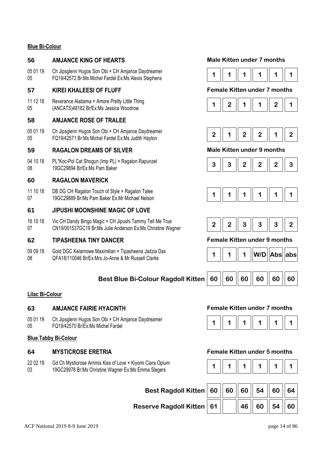### **Blue Bi-Colour**

### **56 AMJANCE KING OF HEARTS Male Kitten under 7 months**

05 01 19 05 Ch Jipsglenn Hugos Son Obi × CH Amjance Daydreamer FQ19/42572 Br:Ms Michel Fardel Ex:Ms Alexis Stephens **1 1 1 1 1 1** 

#### **57 KIREI KHALEESI OF FLUFF Female Kitten under 7 months**

11 12 18 05 Reverance Alabama × Amore Pretty Little Thing (ANCATS)48182 Br/Ex:Ms Jessica Woodrow **1 2 1 1 2 1** 

### **58 AMJANCE ROSE OF TRALEE**

05 01 19 05 Ch Jipsglenn Hugos Son Obi × CH Amjance Daydreamer FQ19/42571 Br:Ms Michel Fardel Ex:Ms Judith Hayton **2 1 2 2 1 2** 

### **59 RAGALON DREAMS OF SILVER Male Kitten under 9 months**

04 10 18 08 PL\*Koc-Pol Cat Shogun (Imp PL) × Ragalon Rapunzel PL"Roc-Pol Cat Shogun (Imp PL) × Ragalon Rapunzer<br>19GC29894 Br/Ex:Ms Pam Baker **3 3 Company 19GC29894 Br/Ex:Ms** Pam Baker

### **60 RAGALON MAVERICK**

11 10 18 07 DB DG CH Ragalon Touch of Style × Ragalon Talee UB DG CH Ragaloff Touch of Style A Ragaloff Talee<br>19GC29889 Br:Ms Pam Baker Ex:Mr Michael Nelson **1 1 1 1 1 1 1 1 1 1 1 1 1 1 1 1** 1

### **61 JIPUSHI MOONSHINE MAGIC OF LOVE**

16 10 18 07 Vic CH Dandy Bingo Magic × CH Jipushi Tammy Tell Me True CN19/001537GC19 Br:Ms Julie Anderson Ex:Ms Christine Wagner **2 | 2 | 2 | 3 | 3 | 3 | 3 | 2** 

### **62 TIPASHEENA TINY DANCER Female Kitten under 9 months**

09 09 18 08 Gold DGC Kelanrowe Maximilian × Tipasheena Jadzia Dax Gold DGC Relatione Maximilian A Tipasheena Jauzia Dax<br>OFA18/110046 Br/Ex:Mrs Jo-Anne & Mr Russell Clarke **1 1 March 2016** 1 | 1 | 1 | W/D | Abs

### **Best Blue Bi-Colour Ragdoll Kitten** | 60 || 60 || 60 || 60 || 60 || 60

#### **Lilac Bi-Colour**

### **63 AMJANCE FAIRIE HYACINTH Female Kitten under 7 months**

05 01 19 05 Ch Jipsglenn Hugos Son Obi × CH Amjance Daydreamer FQ19/42570 Br/Ex:Ms Michel Fardel **1 1 1 1 1 1** 

### **Blue Tabby Bi-Colour**

22 02 19 03 Gd Ch Mysticrose Arrimis Kiss of Love × Kiyomi Ciara Opium 19GC29978 Br:Ms Christine Wagner Ex:Ms Emma Slegers **1 1 1 1 1 1** 



















#### **64 MYSTICROSE ERETRIA Female Kitten under 5 months**



| Best Ragdoll Kitten $\mid$ 60 $\mid\mid$ 60 $\mid\mid$ 60 $\mid\mid$ 54 $\mid\mid$ 60 $\mid\mid$ 64 $\mid$ |  |                              |  |
|------------------------------------------------------------------------------------------------------------|--|------------------------------|--|
| Reserve Ragdoll Kitten   61                                                                                |  | $\ 46\ $ 60 $\ 54\ $ 60 $\ $ |  |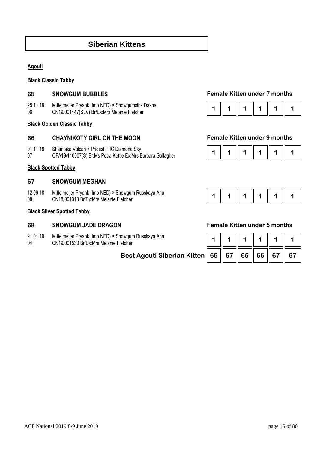# **Siberian Kittens**

#### **Agouti**

### **Black Classic Tabby**

25 11 18 06 Mittelmeijer Pryank (Imp NED) × Snowgumsibs Dasha CN19/001447(SLV) Br/Ex:Mrs Melanie Fletcher **1 1 1 1 1 1** 

#### **Black Golden Classic Tabby**

### **66 CHAYNIKOTY GIRL ON THE MOON Female Kitten under 9 months**

- 01 11 18 Shemiaka Vulcan × Prideshill IC Diamond Sky
- 07

#### **Black Spotted Tabby**

#### **67 SNOWGUM MEGHAN**

12 09 18 08 Mittelmeijer Pryank (Imp NED) × Snowgum Russkaya Aria **1 1 | 1 | 1 | 1 | 1 | 1 | 1 | 1 | 1**<br>CN18/001313 Br/Ex:Mrs Melanie Fletcher **1 1 1 | 1 | 1 | 1 | 1 | 1 | 1 | 1 | 1** | 1

#### **Black Silver Spotted Tabby**

#### **68 SNOWGUM JADE DRAGON Female Kitten under 5 months**

- 21 01 19 Mittelmeijer Pryank (Imp NED) × Snowgum Russkaya Aria
- 04 CN19/001530 Br/Ex:Mrs Melanie Fletcher **1 1 1 1 1 1**

**Best Agouti Siber** 

#### **65 SNOWGUM BUBBLES Female Kitten under 7 months**







| rian Kitten   65    67    65    66    67 |  |  | 67 |
|------------------------------------------|--|--|----|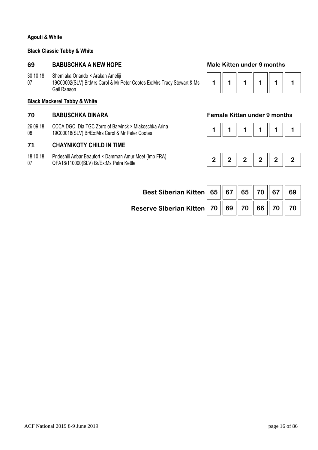#### **Agouti & White**

#### **Black Classic Tabby & White**

#### **69 BABUSCHKA A NEW HOPE Male Kitten under 9 months**

30 10 18 Shemiaka Orlando × Arakan Ameliji

07 19C00002(SLV) Br:Mrs Carol & Mr Peter Cootes Ex:Mrs Tracy Stewart & Ms Gail Ranson

### **Black Mackerel Tabby & White**

26 09 18 08 CCCA DGC, Dia TGC Zorro of Barvinck × Miakoschka Arina 19C00018(SLV) Br/Ex:Mrs Carol & Mr Peter Cootes

### **71 CHAYNIKOTY CHILD IN TIME**

18 10 18 07 Prideshill Anbar Beaufort × Damman Amur Moet (Imp FRA) QFA18/110000(SLV) Br/Ex:Ms Petra Kettle **2 2 2 2 2 2** 



### **70 BABUSCHKA DINARA Female Kitten under 9 months**

|--|--|--|--|--|--|



| Best Siberian Kitten   65    67    65    70    67    69                                                 |  |  |  |
|---------------------------------------------------------------------------------------------------------|--|--|--|
| Reserve Siberian Kitten   70 $\parallel$ 69 $\parallel$ 70 $\parallel$ 66 $\parallel$ 70 $\parallel$ 70 |  |  |  |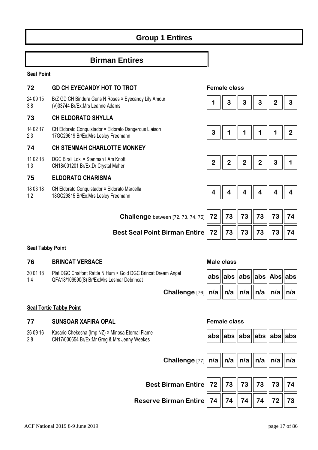# **Group 1 Entires**

# **Birman Entires**

#### **Seal Point**

| 72              | <b>GD CH EYECANDY HOT TO TROT</b>                                                            |                         | <b>Female class</b> |                |                         |                         |                |
|-----------------|----------------------------------------------------------------------------------------------|-------------------------|---------------------|----------------|-------------------------|-------------------------|----------------|
| 24 09 15<br>3.8 | BrZ GD CH Bindura Guns N Roses × Eyecandy Lily Amour<br>(V)33744 Br/Ex:Mrs Leanne Adams      |                         | 3                   | 3              | 3                       | $\overline{2}$          | 3              |
| 73              | <b>CH ELDORATO SHYLLA</b>                                                                    |                         |                     |                |                         |                         |                |
| 14 02 17<br>2.3 | CH Eldorato Conquistador × Eldorato Dangerous Liaison<br>17GC29619 Br/Ex:Mrs Lesley Freemann | 3                       | 1                   |                |                         |                         | $\overline{2}$ |
| 74              | <b>CH STENMAH CHARLOTTE MONKEY</b>                                                           |                         |                     |                |                         |                         |                |
| 11 02 18<br>1.3 | DGC Birali Loki × Stenmah I Am Knott<br>CN18/001201 Br/Ex:Dr Crystal Maher                   | $\overline{2}$          | $\overline{2}$      | $\overline{2}$ | $\overline{2}$          | 3                       |                |
| 75              | <b>ELDORATO CHARISMA</b>                                                                     |                         |                     |                |                         |                         |                |
| 18 03 18<br>1.2 | CH Eldorato Conquistador × Eldorato Marcella<br>18GC29815 Br/Ex:Mrs Lesley Freemann          | $\overline{\mathbf{4}}$ | 4                   | 4              | $\overline{\mathbf{4}}$ | $\overline{\mathbf{4}}$ | 4              |
|                 |                                                                                              |                         |                     |                |                         |                         |                |
|                 | <b>Challenge</b> between [72, 73, 74, 75]                                                    | 72                      | 73                  | 73             | 73                      | 73                      | 74             |
|                 | <b>Best Seal Point Birman Entire</b>                                                         | 72                      | 73                  | 73             | 73                      | 73                      | 74             |

### **Seal Tabby Point**

#### **76 BRINCAT VERSACE** *Male class*

30 01 18 1.4 Plat DGC Chalfont Rattle N Hum × Gold DGC Brincat Dream QFA18/109590(S) Br/Ex:Mrs Lesmar Debrincat **abs abs abs abs Abs abs**

| am Angel                                                                                                         | $\vert {\sf abs} \vert {\vert} {\sf abs} \vert {\vert} {\sf abs} \vert {\vert} {\sf abs} \vert {\vert} {\sf Abs} \vert {\vert} {\sf abs} \vert$ |  |  |
|------------------------------------------------------------------------------------------------------------------|-------------------------------------------------------------------------------------------------------------------------------------------------|--|--|
| Challenge [76] $\vert n/a \vert \vert n/a \vert \vert n/a \vert \vert n/a \vert \vert n/a \vert \vert n/a \vert$ |                                                                                                                                                 |  |  |

#### **Seal Tortie Tabby Point**

### **77 SUNSOAR XAFIRA OPAL Female class**

26 09 16 2.8 Kasario Chekesha (Imp NZ) × Minosa Eternal Flame CN17/000654 Br/Ex:Mr Greg & Mrs Jenny Weekes **abs abs abs abs abs abs**

|  | abs  abs  abs  abs  abs  abs |  |  |  |  |
|--|------------------------------|--|--|--|--|
|--|------------------------------|--|--|--|--|

| Challenge [77] $n/a$   $n/a$   $n/a$   $n/a$   $n/a$   $n/a$ |  |  |  |
|--------------------------------------------------------------|--|--|--|
|                                                              |  |  |  |

| Best Birman Entire   72   73   73   73   73   74         |  |  |  |
|----------------------------------------------------------|--|--|--|
| Reserve Birman Entire   74    74    74    74    72    73 |  |  |  |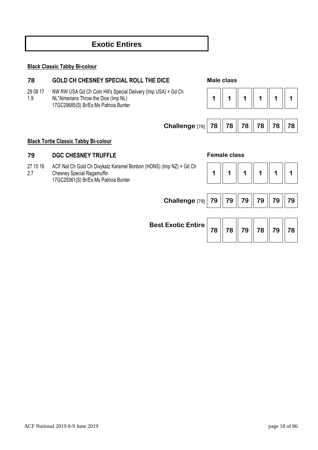# **Exotic Entires**

#### **Black Classic Tabby Bi-colour**

# **78 GOLD CH CHESNEY SPECIAL ROLL THE DICE Male class**

- 29 08 17 NW RW USA Gd Ch Cotn Hill's Special Delivery (Imp USA) × Gd Ch
- 1.9 NL\*Almerians Throw the Dice (Imp NL)
	- 17GC29685(S) Br/Ex:Ms Patricia Bunter

| <b>Male class</b> |  |
|-------------------|--|
|-------------------|--|





### **Black Tortie Classic Tabby Bi-colour**

### **79 DGC CHESNEY TRUFFLE Female class**

27 10 16 2.7 ACF Nat Ch Gold Ch Dixykatz Karamel Bonbon (HONS) (Imp NZ) × Gd Ch Chesney Special Ragamuffin 17GC29361(S) Br/Ex:Ms Patricia Bunter

|--|--|--|--|

| Challenge [79] 79   79   79   79   79   79   79                                                                                                                                                                        |  |  |  |
|------------------------------------------------------------------------------------------------------------------------------------------------------------------------------------------------------------------------|--|--|--|
| Best Exotic Entire $\overline{\phantom{x}}$ 78 $\overline{\phantom{x}}$ 78 $\overline{\phantom{x}}$ 79 $\overline{\phantom{x}}$ 78 $\overline{\phantom{x}}$ 79 $\overline{\phantom{x}}$ 79 $\overline{\phantom{x}}$ 78 |  |  |  |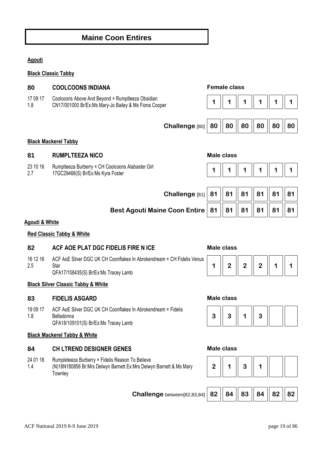# **Maine Coon Entires**

### **Agouti**

### **Black Classic Tabby**

| 80              | <b>Female class</b><br><b>COOLCOONS INDIANA</b>                                                           |    |                   |    |    |    |    |
|-----------------|-----------------------------------------------------------------------------------------------------------|----|-------------------|----|----|----|----|
| 17 09 17<br>1.8 | Coolcoons Above And Beyond × Rumplteeza Obsidian<br>CN17/001000 Br/Ex:Ms Mary-Jo Bailey & Ms Fiona Cooper | 1  |                   |    |    |    |    |
|                 |                                                                                                           |    |                   |    |    |    |    |
|                 | Challenge [80]                                                                                            | 80 | 80                | 80 | 80 | 80 | 80 |
|                 | <b>Black Mackerel Tabby</b>                                                                               |    |                   |    |    |    |    |
| 81              | <b>RUMPLTEEZA NICO</b>                                                                                    |    | <b>Male class</b> |    |    |    |    |
| 23 10 16<br>2.7 | Rumplteeza Burberry × CH Coolcoons Alabaster Girl<br>17GC29468(S) Br/Ex:Ms Kyra Foster                    | 1  |                   |    |    |    |    |
|                 |                                                                                                           |    |                   |    |    |    |    |
|                 |                                                                                                           |    |                   |    |    |    |    |
|                 | Challenge [81]                                                                                            | 81 | 81                | 81 | 81 | 81 | 81 |
|                 | <b>Best Agouti Maine Coon Entire</b>                                                                      | 81 | 81                | 81 | 81 | 81 | 81 |

#### **Red Classic Tabby & White**

### **82 ACF AOE PLAT DGC FIDELIS FIRE N ICE Male class**

16 12 16 2.5 ACF AoE Silver DGC UK CH Coonflakes In Abrokendream × CH Fidelis Venus **Star** QFA17/108435(S) Br/Ex:Ms Tracey Lamb

### **Black Silver Classic Tabby & White**

### **83 FIDELIS ASGARD Male class**

19 09 17 1.8 ACF AoE Silver DGC UK CH Coonflakes In Abrokendream × Fidelis Belladonna QFA18/109101(S) Br/Ex:Ms Tracey Lamb

#### **Black Mackerel Tabby & White**

#### **84 CH LTREND DESIGNER GENES Male class**

- 24 01 18 Rumpleteeza Burberry × Fidelis Reason To Believe
- 1.4 (N)18N180856 Br:Mrs Delwyn Barnett Ex:Mrs Delwyn Barnett & Ms Mary **Townley**









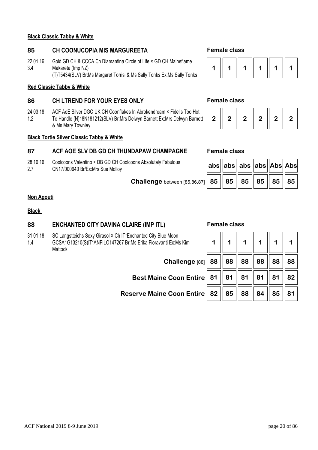#### **Black Classic Tabby & White**

## **85 CH COONUCOPIA MIS MARGUREETA Female class**

22 01 16 3.4 Gold GD CH & CCCA Ch Diamantina Circle of Life × GD CH Maineflame Makareta (Imp NZ) (T)T5434(SLV) Br:Ms Margaret Torrisi & Ms Sally Tonks Ex:Ms Sally Tonks

### **Red Classic Tabby & White**

## **86 CH LTREND FOR YOUR EYES ONLY Female class**

24 03 18 1.2 ACF AoE Silver DGC UK CH Coonflakes In Abrokendream × Fidelis Too Hot To Handle (N)18N181212(SLV) Br:Mrs Delwyn Barnett Ex:Mrs Delwyn Barnett & Ms Mary Townley

### **Black Tortie Silver Classic Tabby & White**

## **87 ACF AOE SLV DB GD CH THUNDAPAW CHAMPAGNE Female class**

- 28 10 16 Coolcoons Valentino × DB GD CH Coolcoons Absolutely Fabulous
- 2.7 CN17/000640 Br/Ex:Mrs Sue Molloy **abs abs abs abs Abs Abs**

 **Challenge** between [85,86,87] **85 85 85 85 85 85**



|  | - 7 |  | $\bf{2}$ |  |  |
|--|-----|--|----------|--|--|
|--|-----|--|----------|--|--|

| abs  abs  abs  abs  Abs  Abs     |  |  |
|----------------------------------|--|--|
| 85    85    85    85    85    85 |  |  |

#### **Non Agouti**

#### **Black**

### **88 ENCHANTED CITY DAVINA CLAIRE (IMP ITL) Female class**

31 01 18 1.4 SC Langstteichs Sexy Girasol × Ch IT\*Encl GCSA1G13210(S)IT\*ANFILO147267 Br:M **Mattock** 

| IT*Enchanted City Blue Moon<br>37 Br:Ms Erika Fioravanti Ex:Ms Kim                                             |  | $\mathbf 1$ |  |  |
|----------------------------------------------------------------------------------------------------------------|--|-------------|--|--|
| Challenge [88]   88    88    88    88    88    88                                                              |  |             |  |  |
| Best Maine Coon Entire   81   81   81   81   81   82                                                           |  |             |  |  |
| Reserve Maine Coon Entire $\mid$ 82 $\mid \mid$ 85 $\mid \mid$ 88 $\mid \mid$ 84 $\mid \mid$ 85 $\mid \mid$ 81 |  |             |  |  |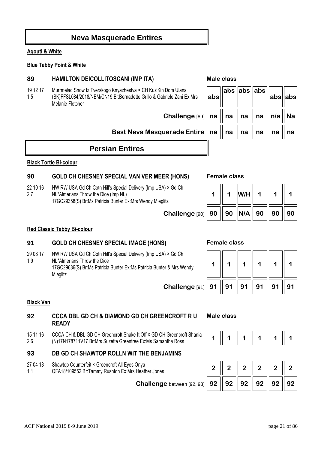# **Neva Masquerade Entires**

## **Agouti & White**

### **Blue Tabby Point & White**

#### 19 12 17 Murrmelad Snow Iz Tverskogo Knyazhestva × CH Kuz'Kin Dom Ulana

#### 1.5 (SK)FFSL084/2018/NEM/CN19 Br:Bernadette Grillo & Gabriele Zani Ex:Mrs Melanie Fletcher

*Best Neva Masquerade Entire* 

# **Persian Entires**

### **Black Tortie Bi-colour**

## **90 GOLD CH CHESNEY SPECIAL VAN VER MEER (HONS) Female class**

22 10 16 2.7 NW RW USA Gd Ch Cotn Hill's Special Delivery (Imp USA) × Gd Ch NL\*Almerians Throw the Dice (Imp NL) 17GC29358(S) Br:Ms Patricia Bunter Ex:Mrs Wendy Mieglitz

 $Challenge [90]$ 

### **Red Classic Tabby Bi-colour**

# **91 GOLD CH CHESNEY SPECIAL IMAGE (HONS) Female class**

29 08 17 1.9 NW RW USA Gd Ch Cotn Hill's Special Delivery (Imp USA) × Gd Ch NL\*Almerians Throw the Dice 17GC29686(S) Br:Ms Patricia Bunter Ex:Ms Patricia Bunter & Mrs Wendy **Mieglitz** 

### **Black Van**

# **92 CCCA DBL GD CH & DIAMOND GD CH GREENCROFT R U READY**

15 11 16 2.6 CCCA CH & DBL GD CH Greencroft Shake It Off × GD CH Greencroft Shania (N)17N178711V17 Br:Mrs Suzette Greentree Ex:Ms Samantha Ross **1 1 1 1 1 1 1 1 1 1 1 1 1 1 1 1 1** 1 **1** 

# **93 DB GD CH SHAWTOP ROLLN WIT THE BENJAMINS**

- 27 04 18 Shawtop Counterfeit × Greencroft All Eyes Onya
- 1.1



**Male class** 



# QFA18/109552 Br:Tammy Rushton Ex:Mrs Heather Jones **2 2 2 2 2 2 Challenge** between [92, 93] **92 92 92 92 92 92 92**

| Challenge $\left[\begin{array}{c c} 89 \end{array}\right]$ na $\parallel$ na $\parallel$ na $\parallel$ n/a $\parallel$ Na |  |  |  |
|----------------------------------------------------------------------------------------------------------------------------|--|--|--|
| uerade Entire $\ $ na $\ $ na $\ $ na $\ $ na $\ $ na $\ $ na                                                              |  |  |  |
|                                                                                                                            |  |  |  |

**abs abs abs**

**abs abs**

|    | W/H                 |  |    |  |
|----|---------------------|--|----|--|
| 90 | 90   N/A   90    90 |  | 90 |  |





**abs**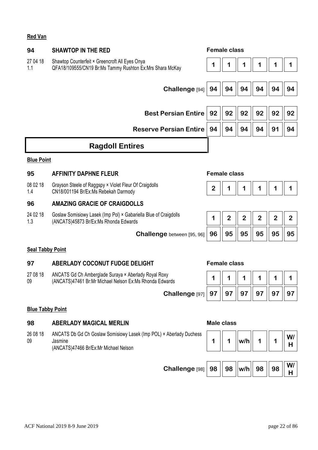### **Red Van**

| 94                      | <b>SHAWTOP IN THE RED</b>                                                                                               |                | <b>Female class</b> |                |                |              |                |
|-------------------------|-------------------------------------------------------------------------------------------------------------------------|----------------|---------------------|----------------|----------------|--------------|----------------|
| 27 04 18<br>1.1         | Shawtop Counterfeit × Greencroft All Eyes Onya<br>QFA18/109555/CN19 Br:Ms Tammy Rushton Ex:Mrs Shara McKay              | 1              |                     |                |                |              |                |
|                         |                                                                                                                         |                |                     |                |                |              |                |
|                         | Challenge [94]                                                                                                          | 94             | 94                  | 94             | 94             | 94           | 94             |
|                         | <b>Best Persian Entire</b>                                                                                              |                |                     |                |                |              |                |
|                         |                                                                                                                         | 92             | 92                  | 92             | 92             | 92           | 92             |
|                         | <b>Reserve Persian Entire</b>                                                                                           | 94             | 94                  | 94             | 94             | 91           | 94             |
|                         | <b>Ragdoll Entires</b>                                                                                                  |                |                     |                |                |              |                |
| <b>Blue Point</b>       |                                                                                                                         |                |                     |                |                |              |                |
| 95                      | <b>AFFINITY DAPHNE FLEUR</b>                                                                                            |                | <b>Female class</b> |                |                |              |                |
| 08 02 18<br>1.4         | Grayson Steele of Raggspy × Violet Fleur Of Craigdolls<br>CN18/001194 Br/Ex:Ms Rebekah Darmody                          | $\overline{2}$ | 1                   | 1              | 1              | 1            | 1              |
| 96                      | <b>AMAZING GRACIE OF CRAIGDOLLS</b>                                                                                     |                |                     |                |                |              |                |
| 24 02 18<br>1.3         | Goslaw Somisiowy Lasek (Imp Pol) × Gabariella Blue of Craigdolls<br>(ANCATS)45873 Br/Ex:Ms Rhonda Edwards               | 1              | $\overline{2}$      | $\overline{2}$ | $\overline{2}$ | $\mathbf{2}$ | $\overline{2}$ |
|                         | Challenge between [95, 96]                                                                                              | 96             | 95                  | 95             | 95             | 95           | 95             |
| <b>Seal Tabby Point</b> |                                                                                                                         |                |                     |                |                |              |                |
| 97                      | ABERLADY COCONUT FUDGE DELIGHT                                                                                          |                | <b>Female class</b> |                |                |              |                |
| 27 08 18<br>09          | ANCATS Gd Ch Amberglade Suraya × Aberlady Royal Roxy<br>(ANCATS)47461 Br: Mr Michael Nelson Ex: Ms Rhonda Edwards       | 1              | 1                   |                |                |              |                |
|                         | Challenge [97]                                                                                                          | 97             | 97                  | 97             | 97             | 97           | 97             |
| <b>Blue Tabby Point</b> |                                                                                                                         |                |                     |                |                |              |                |
| 98                      | <b>ABERLADY MAGICAL MERLIN</b>                                                                                          |                | <b>Male class</b>   |                |                |              |                |
| 26 08 18<br>09          | ANCATS Db Gd Ch Goslaw Somisiowy Lasek (Imp POL) × Aberlady Duchess<br>Jasmine<br>(ANCATS)47466 Br/Ex:Mr Michael Nelson | 1              | 1                   | w/h            | 1              |              | W/<br>Н        |
|                         |                                                                                                                         |                |                     |                |                |              |                |
|                         | Challenge <sup>[98]</sup>                                                                                               | 98             | 98                  | w/h            | 98             | 98           | W/<br>H        |
|                         |                                                                                                                         |                |                     |                |                |              |                |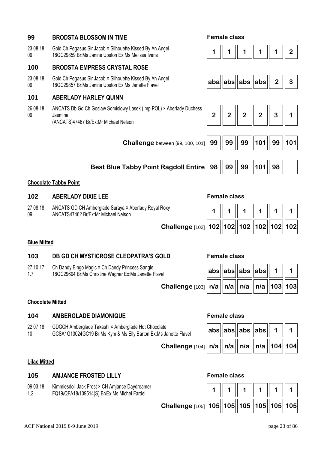| 23 08 18<br>09 | Gold Ch Pegasus Sir Jacob × Silhouette Kissed By An Angel<br>18GC29859 Br:Ms Janine Upston Ex:Ms Melissa Ivens          |                |                |                |                |                | $\overline{2}$ |
|----------------|-------------------------------------------------------------------------------------------------------------------------|----------------|----------------|----------------|----------------|----------------|----------------|
| 100            | <b>BRODSTA EMPRESS CRYSTAL ROSE</b>                                                                                     |                |                |                |                |                |                |
| 23 08 18<br>09 | Gold Ch Pegasus Sir Jacob × Silhouette Kissed By An Angel<br>18GC29857 Br:Ms Janine Upston Ex:Ms Janette Flavel         |                | aba abs        | $ abs $ abs    |                | $\overline{2}$ | 3              |
| 101            | <b>ABERLADY HARLEY QUINN</b>                                                                                            |                |                |                |                |                |                |
| 26 08 18<br>09 | ANCATS Db Gd Ch Goslaw Somisiowy Lasek (Imp POL) × Aberlady Duchess<br>Jasmine<br>(ANCATS)47467 Br/Ex:Mr Michael Nelson | $\overline{2}$ | $\overline{2}$ | $\overline{2}$ | $\overline{2}$ | 3              | 1              |
|                | <b>Challenge</b> between [99, 100, 101]                                                                                 | 99             | 99             | 99             | 101            | 99             | 101            |
|                | <b>Best Blue Tabby Point Ragdoll Entire</b>                                                                             | 98             | 99             | 99             | 101            | 98             |                |
|                | <b>Chocolate Tabby Point</b>                                                                                            |                |                |                |                |                |                |

**99 BRODSTA BLOSSOM IN TIME Female class** 

# **102 ABERLADY DIXIE LEE Female class**

27 08 18 09 ANCATS GD CH Amberglade Suraya × Aberlady Royal Roxy ANCATS47462 Br/Ex:Mr Michael Nelson **1 1 1 1 1 1** 

| Challenge [102] 102 102 102 102 102 102 102 |  |  |  |
|---------------------------------------------|--|--|--|
|                                             |  |  |  |

### **Blue Mitted**

### **103 DB GD CH MYSTICROSE CLEOPATRA'S GOLD Female class**

27 10 17 1.7 Ch Dandy Bingo Magic × Ch Dandy Princess Sangie 18GC29694 Br:Ms Christine Wagner Ex:Ms Janette Flavel

| ∕el                                                                                                   |  | $\vert {\sf abs} \vert {\vert {\sf abs} \vert} {\vert {\sf abs} \vert} {\vert {\sf abs} \vert} {\vert \vert}$ 1 |  |  |
|-------------------------------------------------------------------------------------------------------|--|-----------------------------------------------------------------------------------------------------------------|--|--|
| Challenge [103] $\vert n/a \vert \vert n/a \vert \vert n/a \vert \vert n/a \vert \vert 103 \vert 103$ |  |                                                                                                                 |  |  |

### **Chocolate Mitted**

# **104 AMBERGLADE DIAMONIQUE Female class**

22 07 18 10 GDGCH Amberglade Takashi × Amberglade Hot Chocolate GCSA1G13024GC19 Br:Ms Kym & Ms Elly Barton Ex:Ms Janette Flavel **abs abs abs abs 1 1** 

 **Challenge** [10

|  | abs  abs  abs  abs                               |  |  |
|--|--------------------------------------------------|--|--|
|  | )4]   <b>n/a    n/a    n/a    n/a   104  104</b> |  |  |

### **Lilac Mitted**

### **105 AMJANCE FROSTED LILLY Female class**

09 03 18 1.2 Kimmiesdoll Jack Frost × CH Amjance Daydreamer FQ19/QFA18/109514(S) Br/Ex:Ms Michel Fardel **1 1 1 1 1 1** 

| Challenge [105] 105   105   105   105   105   105   105 |  |  |  |
|---------------------------------------------------------|--|--|--|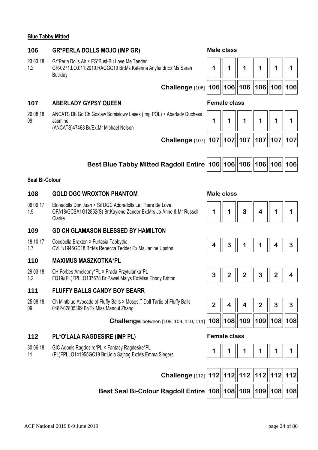### **Blue Tabby Mitted**

## **106 GR\*PERLA DOLLS MOJO (IMP GR) Male class**

23 03 18 Gr\*Perla Dolls Air × ES\*Busi-Bu Love Me Tender

1.2 GR-0271.LO.011.2019.RAGGC19 Br:Ms Katerina Anyfandi Ex:Ms Sarah **Buckley** 

 **Challenge** [106] **106 106 106 106 106 106**

### **107 ABERLADY GYPSY QUEEN Female class**

26 08 18 09 ANCATS Db Gd Ch Goslaw Somisiowy Lasek (Imp POL) × Aberlady Duchess Jasmine (ANCATS)47468 Br/Ex:Mr Michael Nelson

**1 1 1 1 1 1 Challenge** [107] **107 107 107 107 107 107**

**1 1 1 1 1 1** 

| Best Blue Tabby Mitted Ragdoll Entire  106  106  106  106  106  106 |  |  |  |  |  |  |
|---------------------------------------------------------------------|--|--|--|--|--|--|
|---------------------------------------------------------------------|--|--|--|--|--|--|

#### **Seal Bi-Colour**

#### **108 GOLD DGC WROXTON PHANTOM Male class**

06 09 17 1.9 Elonadolls Don Juan × Sil DGC Adoradolls Let There Be Love QFA18/GCSA1G12852(S) Br:Kaylene Zander Ex:Mrs Jo-Anne & Mr Russell Clarke

### **109 GD CH GLAMASON BLESSED BY HAMILTON**

- 18 10 17 Cocobella Braxton × Furtasia Tabbytha
- 1.7

#### **110 MAXIMUS MASZKOTKA\*PL**

29 03 18 1.2 CH Forbes Ameleony\*PL × Prada Przytulanka\*PL The Follocs Allieleoliy PL ^ Plaud Pizytulalika PL<br>  $\begin{bmatrix} 3 & 3 & 2 & 3 \\ 4 & 2 & 3 & 4 \end{bmatrix}$   $\begin{bmatrix} 2 & 3 & 2 & 4 \\ 2 & 3 & 4 & 4 \end{bmatrix}$ 

#### **111 FLUFFY BALLS CANDY BOY BEARR**

25 08 18 09 Ch Mintblue Avocado of Fluffy Balls × Moses.T Doll Tartie of Fluffy Balls 0482-02805399 Br/Ex:Miss Manqui Zhang

 **Challenge** between [108, 109, 110, 111] **108 108 109 109 108 108**

#### **112 PL\*O'LALA RAGDESIRE (IMP PL) Female class**

- 30 06 18 GIC Adonis Ragdesire\*PL × Fantasy Ragdesire\*PL
- 11 (PL)FPLLO141955GC19 Br:Lidia Sajnog Ex:Ms Emma Slegers







|  |                              | З |  |
|--|------------------------------|---|--|
|  | 108  108  109  109  108  108 |   |  |

|--|--|--|--|

| Challenge [112] 112 12 112 112 112 112 112                          |  |  |  |  |
|---------------------------------------------------------------------|--|--|--|--|
| Best Seal Bi-Colour Ragdoll Entire $\bm{ 108  109  109  108  108 }$ |  |  |  |  |

| Male class |  |
|------------|--|

n r пh ו ד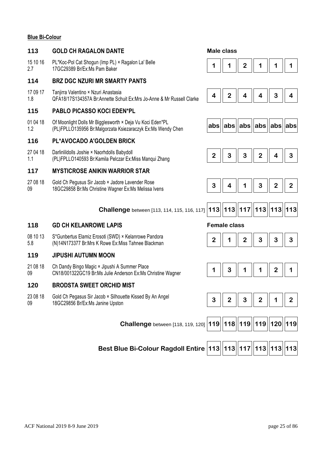#### **Blue Bi-Colour**

#### **113 GOLD CH RAGALON DANTE Male class**

15 10 16 2.7 PL\*Koc-Pol Cat Shogun (Imp PL) × Ragalon La' Belle

#### **114 BRZ DGC NZURI MR SMARTY PANTS**

17 09 17 1.8 Tanjirra Valentino × Nzuri Anastasia QFA18/17S134357A Br:Annette Schuit Ex:Mrs Jo-Anne & Mr Russell Clarke **4 2 4 4 3 4** 

### **115 PABLO PICASSO KOCI EDEN\*PL**

01 04 18 1.2 Of Moonlight Dolls Mr Bigglesworth × Deja Vu Koci Eden\*PL (PL)FPLLO135956 Br:Malgorzata Ksiezaraczyk Ex:Ms Wendy Chen **abs abs abs abs abs abs**

#### **116 PL\*AVOCADO A'GOLDEN BRICK**

- 27 04 18 Darlinlildolls Joshie × Naorhdolls Babydoll
- 1.1

### **117 MYSTICROSE ANIKIN WARRIOR STAR**

- 27 08 18 09 Gold Ch Pegusus Sir Jacob × Jadore Lavender Rose
	-



#### **118 GD CH KELANROWE LAPIS Female class**

08 10 13 5.8 S\*Gunbertus Elamiz Erosoti (SWD) × Kelanrowe Pandora S"Gunbertus Elamiz Erosoti (SWD) × Kelahrowe Pandora<br>(N)14N173377 Br:Mrs K Rowe Ex:Miss Tahnee Blackman **2 2 2 1 1 2 1 2 1 3 1 3 1 3** 

#### **119 JIPUSHI AUTUMN MOON**

21 08 18 09 Ch Dandy Bingo Magic × Jipushi A Summer Place Chribality Bingo Magic < Jipushi A Summer Place<br>CN18/001322GC19 Br:Ms Julie Anderson Ex:Ms Christine Wagner **1 1 | 3 | 1 | 1 | 1 | 2 | 1** 

#### **120 BRODSTA SWEET ORCHID MIST**

23 08 18 09 Gold Ch Pegasus Sir Jacob × Silhouette Kissed By An Angel 18GC29856 Br/Ex:Ms Janine Upston **3 2 3 2 1 2** 

 **Challenge** between [118, 119, 120] **119 118 119 119 120 119**

**Best Blue Bi-Colour Ragdoll Entire 113 113 117 113 113 113**



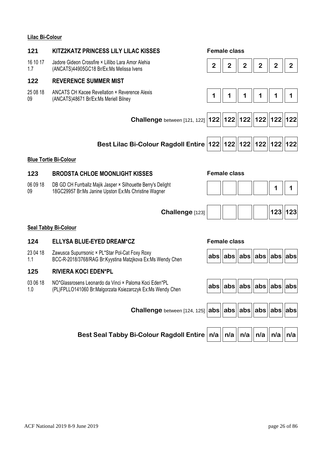### **Lilac Bi-Colour**

| 121             | KITZ2KATZ PRINCESS LILY LILAC KISSES                                                                                 | <b>Female class</b>                                                                                    |
|-----------------|----------------------------------------------------------------------------------------------------------------------|--------------------------------------------------------------------------------------------------------|
| 16 10 17<br>1.7 | Jadore Gideon Crossfire × Lillibo Lara Amor Alehia<br>(ANCATS)44905GC18 Br/Ex:Ms Melissa Ivens                       | $\overline{2}$<br>$\overline{2}$<br>$\overline{2}$<br>$\overline{2}$<br>$\mathbf{2}$<br>$\overline{2}$ |
| 122             | <b>REVERENCE SUMMER MIST</b>                                                                                         |                                                                                                        |
| 25 08 18<br>09  | ANCATS CH Kacee Revellation × Reverence Alexis<br>(ANCATS)48671 Br/Ex:Ms Meriell Bilney                              | 1<br>1<br>1<br>1<br>1<br>1                                                                             |
|                 |                                                                                                                      | Challenge between [121, 122]   122   122   122   122   122   122                                       |
|                 | Best Lilac Bi-Colour Ragdoll Entire   122   122   122   122   122   122                                              |                                                                                                        |
|                 | <b>Blue Tortie Bi-Colour</b>                                                                                         |                                                                                                        |
| 123             | <b>BRODSTA CHLOE MOONLIGHT KISSES</b>                                                                                | <b>Female class</b>                                                                                    |
| 06 09 18<br>09  | DB GD CH Furrballz Majik Jasper × Silhouette Berry's Delight<br>18GC29957 Br:Ms Janine Upston Ex:Ms Christine Wagner | 1<br>1                                                                                                 |
|                 | Challenge [123]                                                                                                      | $123$   123                                                                                            |
|                 | <b>Seal Tabby Bi-Colour</b>                                                                                          |                                                                                                        |
| 124             | <b>ELLYSA BLUE-EYED DREAM*CZ</b>                                                                                     | <b>Female class</b>                                                                                    |
| 23 04 18<br>1.1 | Zawusca Supurrsonic × PL*Star Pol-Cat Foxy Roxy<br>BCC-R-2018/3768/RAG Br:Kyystina Matzikova Ex:Ms Wendy Chen        | abs  abs  abs  abs  abs  abs                                                                           |
| 125             | <b>RIVIERA KOCI EDEN*PL</b>                                                                                          |                                                                                                        |
| 03 06 18<br>1.0 | NO*Glassrosens Leonardo da Vinci × Paloma Koci Eden*PL<br>(PL)FPLLO141060 Br:Malgorzata Ksiezarczyk Ex:Ms Wendy Chen | abs  abs  abs  abs  abs  abs                                                                           |
|                 | Challenge between [124, 125] abs   abs   abs   abs                                                                   | abs<br>abs abs                                                                                         |

Best Seal Tabby Bi-Colour Ragdoll Entire  $|n/a||$   $n/a||$   $n/a||$   $n/a||$   $n/a||$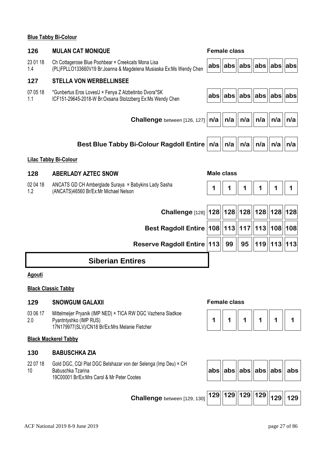### **Blue Tabby Bi-Colour**

| 126             | <b>MULAN CAT MONIQUE</b>                                                                                                                 |     | <b>Female class</b>                  |     |     |                 |     |
|-----------------|------------------------------------------------------------------------------------------------------------------------------------------|-----|--------------------------------------|-----|-----|-----------------|-----|
| 23 01 18<br>1.4 | Ch Cottagerose Blue Poohbear × Creekcats Mona Lisa<br>(PL)FPLLO133660V19 Br:Joanna & Magdelena Musiaska Ex:Ms Wendy Chen                 |     | $ abs $  abs $  abs  abs  abs $  abs |     |     |                 |     |
| 127             | <b>STELLA VON WERBELLINSEE</b>                                                                                                           |     |                                      |     |     |                 |     |
| 07 05 18<br>1.1 | *Gunbertus Eros LovesU × Fenya Z Alzbetinbo Dvora*SK<br>ICF151-29645-2018-W Br:Oxsana Stolzzberg Ex:Ms Wendy Chen                        | abs | $ abs $ abs $  abs  abs  abs$        |     |     |                 |     |
|                 | <b>Challenge</b> between [126, 127]                                                                                                      | n/a | n/a                                  | n/a | n/a | n/a             | n/a |
|                 | Best Blue Tabby Bi-Colour Ragdoll Entire   n/a                                                                                           |     | n/a                                  | n/a | n/a | n/a             | n/a |
|                 | <b>Lilac Tabby Bi-Colour</b>                                                                                                             |     |                                      |     |     |                 |     |
| 128             | <b>ABERLADY AZTEC SNOW</b>                                                                                                               |     | <b>Male class</b>                    |     |     |                 |     |
| 02 04 18<br>1.2 | ANCATS GD CH Amberglade Suraya × Babykins Lady Sasha<br>(ANCATS)46560 Br/Ex:Mr Michael Nelson                                            |     |                                      |     |     |                 |     |
|                 | Challenge [128]   128     128     128     128     128     128                                                                            |     |                                      |     |     |                 |     |
|                 | Best Ragdoll Entire   108   113   117   113   108   108                                                                                  |     |                                      |     |     |                 |     |
|                 | <b>Reserve Ragdoll Entire   113 </b>                                                                                                     |     | 99                                   | 95  |     | 119   113   113 |     |
|                 | <b>Siberian Entires</b>                                                                                                                  |     |                                      |     |     |                 |     |
| Agouti          |                                                                                                                                          |     |                                      |     |     |                 |     |
|                 | <b>Black Classic Tabby</b>                                                                                                               |     |                                      |     |     |                 |     |
| 129             | <b>SNOWGUM GALAXII</b>                                                                                                                   |     | <b>Female class</b>                  |     |     |                 |     |
| 03 06 17<br>2.0 | Mittelmeijer Pryanik (IMP NED) × TICA RW DGC Vazhena Sladkoe<br>Pyantntyshko (IMP RUS)<br>17N179977(SLV)/CN18 Br/Ex:Mrs Melanie Fletcher | 1   | 1                                    |     |     |                 |     |
|                 | <b>Black Mackerel Tabby</b>                                                                                                              |     |                                      |     |     |                 |     |

## **130 BABUSCHKA ZIA**

22 07 18 10 Gold DGC, CQI Plat DGC Belshazar von der Selenga (Imp Deu) × CH Babuschka Tzarina 19C00001 Br/Ex:Mrs Carol & Mr Peter Cootes

 $a$ **bs**  $\vert$  abs $\vert$  abs $\vert$  abs $\vert$  abs

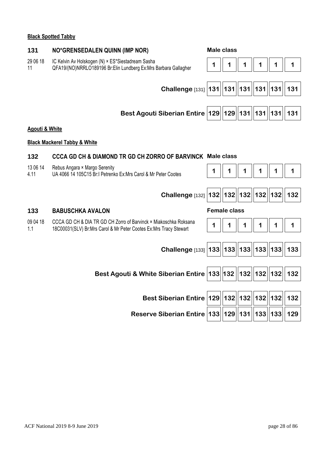#### **Black Spotted Tabby**

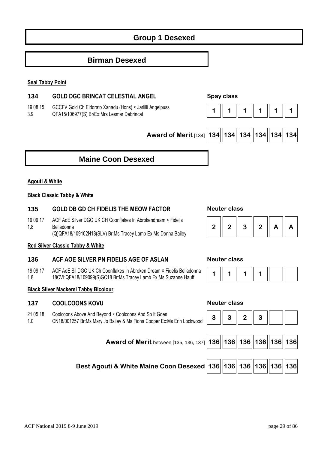# **Group 1 Desexed**

## **Birman Desexed**

#### **Seal Tabby Point**

### **134 GOLD DGC BRINCAT CELESTIAL ANGEL Spay class**

19 08 15 3.9 GCCFV Gold Ch Eldorato Xanadu (Hons) × Jarlilli Angelpuss QFA15/106977(S) Br/Ex:Mrs Lesmar Debrincat **1** 1 **1** 1 **1** 1 **1** 1 **1** 1 **1** 1 **1** 1



 **Award of Merit** [134] **134 134 134 134 134 134**

# **Maine Coon Desexed**

#### **Agouti & White**

### **Black Classic Tabby & White**

#### **135 GOLD DB GD CH FIDELIS THE MEOW FACTOR Neuter class**

19 09 17 1.8 ACF AoE Silver DGC UK CH Coonflakes In Abrokendream × Fidelis Belladonna (Q)QFA18/109102N18(SLV) Br:Ms Tracey Lamb Ex:Ms Donna Bailey

#### **Red Silver Classic Tabby & White**

#### **136 ACF AOE SILVER PN FIDELIS AGE OF ASLAN Neuter class**

19 09 17 1.8 ACF AoE Sil DGC UK Ch Coonflakes In Abroken Dream × Fidelis Belladonna  $18$ CVI:QFA18/109099(S)GC18 Br:Ms Tracey Lamb Ex:Ms Suzanne Hauff  $\begin{bmatrix} 1 & 1 & 1 \\ 1 & 1 & 1 \end{bmatrix}$  1

#### **Black Silver Mackerel Tabby Bicolour**

### **137 COOLCOONS KOVU Neuter class**

21 05 18 1.0 Coolcoons Above And Beyond × Coolcoons And So It Goes

CN18/001257 Br:Ms Mary Jo Bailey & Ms Fiona Cooper Ex:

| Above And Beyond × Coolcoons And So It Goes<br>57 Br:Ms Mary Jo Bailey & Ms Fiona Cooper Ex:Ms Erin Lockwood | $3 \mid 3 \mid 2 \mid 3 \mid$ |  |  |
|--------------------------------------------------------------------------------------------------------------|-------------------------------|--|--|
| Award of Merit between [135, 136, 137] 136 136 136 136 136 136 136                                           |                               |  |  |
| Best Agouti & White Maine Coon Desexed 136 136 136 136 136 136 136                                           |                               |  |  |

 $\overline{\phantom{iiiiiiiiiiiiiiiii}}$ 





 $\blacksquare$ 

n r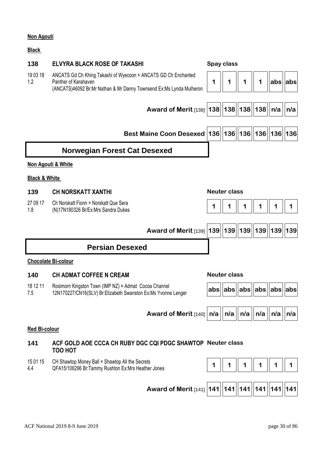### **Non Agouti**

#### **Black**

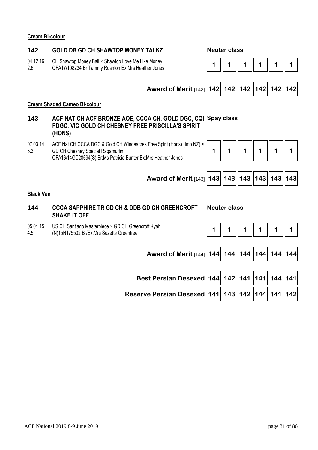#### **Cream Bi-colour**

### **142 GOLD DB GD CH SHAWTOP MONEY TALKZ Neuter class**

- 04 12 16 2.6 CH Shawtop Money Ball × Shawtop Love Me Like Money Crishawich Money Ban A Shawich Ex:Mrs Heather Jones **1 1 1 1 1 1 1 1 1 1 1 1 1 1 1 1 1 1** 1 **1**
- 





#### **Cream Shaded Cameo Bi-colour**

- **143 ACF NAT CH ACF BRONZE AOE, CCCA CH, GOLD DGC, CQI Spay class PDGC, VIC GOLD CH CHESNEY FREE PRISCILLA'S SPIRIT (HONS)**
- 07 03 14 5.3 ACF Nat CH CCCA DGC & Gold CH Windeacres Free Spirit (Hons) (Imp NZ) × GD CH Chesney Special Ragamuffin

QFA16/14GC28694(S) Br:Ms Patricia Bunter Ex:Mrs Heather Jones





### **Black Van**

### **144 CCCA SAPPHIRE TR GD CH & DDB GD CH GREENCROFT SHAKE IT OFF**

#### **Neuter class**

05 01 15 4.5 US CH Santiago Masterpiece × GD CH Greencroft Kyah



 **Award of Merit** [144] **144 144 144 144 144 144**

**Best Persian Desexed 144 142 141 141 144 141**

| Reserve Persian Desexed   141    143    142    144    141    142 |  |  |  |
|------------------------------------------------------------------|--|--|--|
|                                                                  |  |  |  |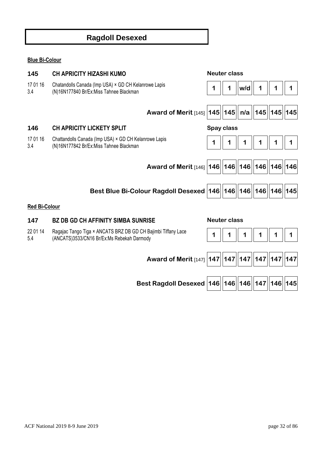# **Ragdoll Desexed**

## **Blue Bi-Colour**

| 145                  | <b>CH APRICITY HIZASHI KUMO</b>                                                                             | <b>Neuter class</b>                  |     |   |   |  |
|----------------------|-------------------------------------------------------------------------------------------------------------|--------------------------------------|-----|---|---|--|
| 17 01 16<br>3.4      | Chatandolls Canada (Imp USA) × GD CH Kelanrowe Lapis<br>(N)16N177840 Br/Ex:Miss Tahnee Blackman             | 1                                    | w/d |   |   |  |
|                      |                                                                                                             |                                      |     |   |   |  |
|                      | <b>Award of Merit [145]</b>                                                                                 | $ 145  145  $ n/a $  145  145  145 $ |     |   |   |  |
| 146                  | <b>CH APRICITY LICKETY SPLIT</b>                                                                            | Spay class                           |     |   |   |  |
| 17 01 16<br>3.4      | Chattandolls Canada (Imp USA) × GD CH Kelanrowe Lapis<br>(N)16N177842 Br/Ex:Miss Tahnee Blackman            | 1                                    | 1   | 1 | 1 |  |
|                      |                                                                                                             |                                      |     |   |   |  |
|                      | Award of Merit [146]   146    146    146    146    146    146                                               |                                      |     |   |   |  |
|                      |                                                                                                             |                                      |     |   |   |  |
|                      | Best Blue Bi-Colour Ragdoll Desexed   146   146   146   146   146   146   145                               |                                      |     |   |   |  |
| <b>Red Bi-Colour</b> |                                                                                                             |                                      |     |   |   |  |
| 147                  | <b>BZ DB GD CH AFFINITY SIMBA SUNRISE</b>                                                                   | <b>Neuter class</b>                  |     |   |   |  |
| 22 01 14<br>5.4      | Ragajac Tango Tiga × ANCATS BRZ DB GD CH Bajimbi Tiffany Lace<br>(ANCATS)3533/CN16 Br/Ex:Ms Rebekah Darmody | 1                                    |     |   |   |  |
|                      |                                                                                                             |                                      |     |   |   |  |
|                      | Award of Merit [147]   147   147   147   147   147   147                                                    |                                      |     |   |   |  |

**Best Ragdoll Desexed 146 146 146 147 146 145**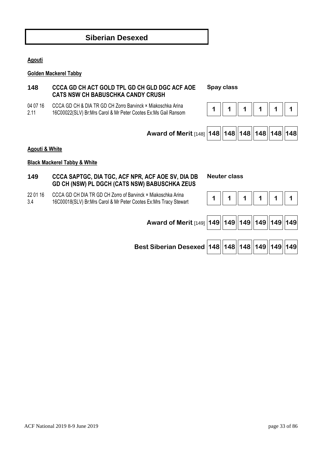

**Agouti** 

04 07 16 2.11

**Golden Mackerel Tabby** 

### **Black Mackerel Tabby & White**

### **149 CCCA SAPTGC, DIA TGC, ACF NPR, ACF AOE SV, DIA DB GD CH (NSW) PL DGCH (CATS NSW) BABUSCHKA ZEUS**

22 01 16 3.4 CCCA GD CH DIA TR GD CH Zorro of Barvinck × Miakoschka Arina 16C00018(SLV) Br:Mrs Carol & Mr Peter Cootes Ex:Mrs Tracy Stewart **1 1 1 1 1 1** 

**Best Siberian Desexed 148 148 148 149 149 149**

| Award of N |
|------------|
|            |
|            |
|            |

# **Siberian Desexed**

**148 CCCA GD CH ACT GOLD TPL GD CH GLD DGC ACF AOE CATS NSW CH BABUSCHKA CANDY CRUSH** 

CCCA GD CH & DIA TR GD CH Zorro Barvinck × Miakoschka Arina

#### **Spay class**





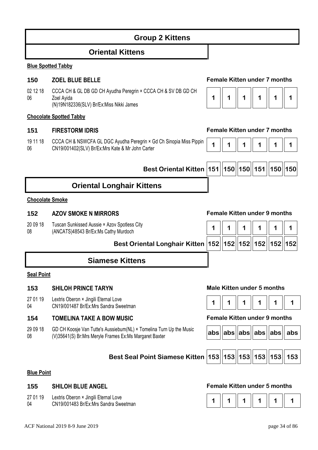# **Group 2 Kittens**

## **Oriental Kittens**

#### **Blue Spotted Tabby**

### **150 ZOEL BLUE BELLE Female Kitten under 7 months**

02 12 18 06 CCCA CH & GL DB GD CH Ayudha Peregrin × CCCA CH & SV DB GD CH Zoel Ayida (N)19N182336(SLV) Br/Ex:Miss Nikki James

#### **Chocolate Spotted Tabby**

### **151 FIRESTORM IDRIS Female Kitten under 7 months**

19 11 18 06 CCCA CH & NSWCFA GL DGC Ayudha Peregrin × Gd Ch Sinopia Miss Pippin CCCA CH & NSWCFA GL DGC Ayuana Peregrin × Gd Ch Sinopia Miss Pippin  $\begin{bmatrix} 1 & 1 & 1 \\ 1 & 1 & 1 \end{bmatrix}$  1  $\begin{bmatrix} 1 & 1 & 1 \\ 1 & 1 & 1 \end{bmatrix}$  1  $\begin{bmatrix} 1 & 1 & 1 \\ 1 & 1 & 1 \end{bmatrix}$  1  $\begin{bmatrix} 1 & 1 & 1 \\ 1 & 1 & 1 \end{bmatrix}$  1  $\begin{bmatrix} 1 & 1 & 1 \\$ 

**Best Oriental Kitten 151 150 150 151 150 150**

# **Oriental Longhair Kittens**

#### **Chocolate Smoke**

#### **152 AZOV SMOKE N MIRRORS Female Kitten under 9 months**

20 09 18 08 Tuscan Sunkissed Aussie × Azov Spotless City

# **Siamese Kittens**

#### **Seal Point**

#### **153 SHILOH PRINCE TARYN Male Kitten under 5 months**

- 27 01 19 Lextris Oberon × Jingili Eternal Love
- 04

### **154 TOMELINA TAKE A BOW MUSIC Female Kitten under 9 months**

29 09 18 08 GD CH Koosje Van Tutte's Aussiebum(NL) × Tomelina Turn Up the Music (V)35641(S) Br:Mrs Meryle Frames Ex:Ms Margaret Baxter **abs abs abs abs abs abs**



|  |  |  |  |  | abs  abs  abs  abs  abs  abs |
|--|--|--|--|--|------------------------------|
|--|--|--|--|--|------------------------------|



#### **Blue Point**

- 27 01 19 Lextris Oberon × Jingili Eternal Love
- 04

#### **155 SHILOH BLUE ANGEL Female Kitten under 5 months**



|--|--|--|--|--|--|--|

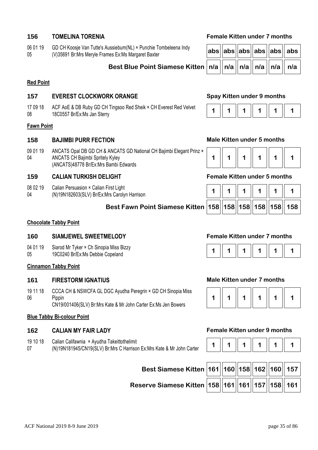| 06 01 19 | GD CH Koosje Van Tutte's Aussiebum(NL) × Punchie Tombeleena Indy |  | abs  abs  abs  abs  abs  abs |  |
|----------|------------------------------------------------------------------|--|------------------------------|--|
| 05       | (V)35691 Br:Mrs Meryle Frames Ex:Ms Margaret Baxter              |  |                              |  |

### **Best Blue Point Siamese Kitten**

#### **Red Point**

#### **157 EVEREST CLOCKWORK ORANGE Spay Kitten under 9 months**

17 09 18 08 ACF AoE & DB Ruby GD CH Tingsoo Red Sheik × CH Everest Red Velvet 18C0557 Br/Ex:Ms Jan Sterry

### **Fawn Point**

#### **158 BAJIMBI PURR FECTION Male Kitten under 5 months**

09 01 19 04 ANCATS Opal DB GD CH & ANCATS GD National CH Bajimbi Elegant Prinz × ANCATS CH Bajimbi Spritely Kyley (ANCATS)48778 Br/Ex:Mrs Bambi Edwards

### **159 CALIAN TURKISH DELIGHT Female Kitten under 5 months**

- 08 02 19 Calian Persuasion × Calian First Light
- 04 (N)19N182603(SLV) Br/Ex:Mrs Carolyn Harrison

### **Best Fawn Point Siamese Kitten**

### **156 TOMELINA TORENIA Female Kitten under 7 months**

|  |  | abs  abs  abs  abs  abs   abs           |
|--|--|-----------------------------------------|
|  |  | n/a    n/a    n/a    n/a    n/a     n/a |



|  |  | 158  158  158  158  158   158 |
|--|--|-------------------------------|

### **Chocolate Tabby Point**

### **160 SIAMJEWEL SWEETMELODY Female Kitten under 7 months**

- 04 01 19 Siarod Mr Tyker × Ch Sinopia Miss Bizzy
- 05 19C0240 Br/Ex:Ms Debbie Copeland

#### **Cinnamon Tabby Point**

19 11 18 06 CCCA CH & NSWCFA GL DGC Ayudha Peregrin × GD CH Sinopia Miss Pippin CN19/001406(SLV) Br:Mrs Kate & Mr John Carter Ex:Ms Jen Bowers

#### **Blue Tabby Bi-colour Point**

- 19 10 18 Calian Califawnia × Ayudha Takeittothelimit
- 07 (N)19N181945/CN19(SLV) Br:Mrs C Harrison Ex:Mrs Kate & Mr John Carter

#### **161 FIRESTORM IGNATIUS Male Kitten under 7 months**



#### **162 CALIAN MY FAIR LADY Female Kitten under 9 months**

| Best Siamese Kitten 161 160 158 162 160 157        |  |  |  |
|----------------------------------------------------|--|--|--|
| Reserve Siamese Kitten 158 161 161 161 157 158 161 |  |  |  |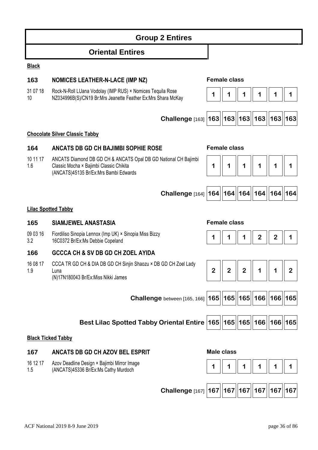|                 | <b>Group 2 Entires</b>                                                                                                                              |                              |   |   |                |             |                |
|-----------------|-----------------------------------------------------------------------------------------------------------------------------------------------------|------------------------------|---|---|----------------|-------------|----------------|
|                 | <b>Oriental Entires</b>                                                                                                                             |                              |   |   |                |             |                |
| <b>Black</b>    |                                                                                                                                                     |                              |   |   |                |             |                |
| 163             | <b>NOMICES LEATHER-N-LACE (IMP NZ)</b>                                                                                                              | <b>Female class</b>          |   |   |                |             |                |
| 31 07 18<br>10  | Rock-N-Roll LUana Vodolay (IMP RUS) × Nomices Tequila Rose<br>NZ034996B(S)/CN19 Br:Mrs Jeanette Feather Ex:Mrs Shara McKay                          |                              |   |   |                |             |                |
|                 | Challenge [163]                                                                                                                                     | 163  163  163  163  163  163 |   |   |                |             |                |
|                 | <b>Chocolate Silver Classic Tabby</b>                                                                                                               |                              |   |   |                |             |                |
| 164             | <b>ANCATS DB GD CH BAJIMBI SOPHIE ROSE</b>                                                                                                          | <b>Female class</b>          |   |   |                |             |                |
| 10 11 17<br>1.6 | ANCATS Diamond DB GD CH & ANCATS Opal DB GD National CH Bajimbi<br>Classic Mocha × Bajimbi Classic Chikita<br>(ANCATS)45135 Br/Ex:Mrs Bambi Edwards | 1                            | 1 | 1 | 1              |             |                |
|                 | Challenge [164]   164   164   164   164   164   164                                                                                                 |                              |   |   |                |             |                |
|                 | <b>Lilac Spotted Tabby</b>                                                                                                                          |                              |   |   |                |             |                |
| 165             | <b>SIAMJEWEL ANASTASIA</b>                                                                                                                          | <b>Female class</b>          |   |   |                |             |                |
| 09 03 16<br>3.2 | Fiordiliso Sinopia Lennox (Imp UK) × Sinopia Miss Bizzy<br>16C0372 Br/Ex:Ms Debbie Copeland                                                         |                              |   |   | $\overline{2}$ | $\mathbf 2$ |                |
| 166             | <b>GCCCA CH &amp; SV DB GD CH ZOEL AYIDA</b>                                                                                                        |                              |   |   |                |             |                |
| 16 08 17<br>1.9 | CCCA TR GD CH & DIA DB GD CH Sinjin Shaozu × DB GD CH Zoel Lady<br>Luna                                                                             | 2                            | 2 | 2 |                |             | $\overline{2}$ |
|                 | (N)17N180043 Br/Ex:Miss Nikki James                                                                                                                 |                              |   |   |                |             |                |
|                 | Challenge between [165, 166]                                                                                                                        | 165  165  165  166  166  165 |   |   |                |             |                |
|                 | Best Lilac Spotted Tabby Oriental Entire   165   165   165   166   166   165                                                                        |                              |   |   |                |             |                |
|                 | <b>Black Ticked Tabby</b>                                                                                                                           |                              |   |   |                |             |                |
| 167             | ANCATS DB GD CH AZOV BEL ESPRIT                                                                                                                     | <b>Male class</b>            |   |   |                |             |                |
| 16 12 17<br>1.5 | Azov Deadline Design × Bajimbi Mirror Image<br>(ANCATS)45336 Br/Ex:Ms Cathy Murdoch                                                                 | 1                            |   | 1 | 1              |             |                |
|                 | Challenge [167]   167   167   167   167   167   167                                                                                                 |                              |   |   |                |             |                |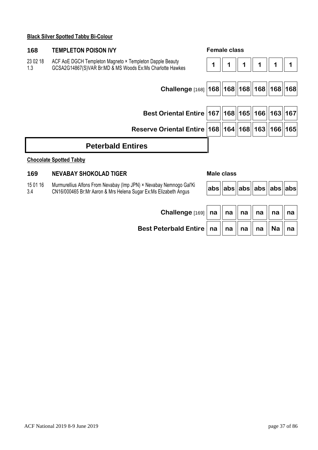### **Black Silver Spotted Tabby Bi-Colour**

| 168             | <b>TEMPLETON POISON IVY</b>                                                                                                             | <b>Female class</b> |  |  |                    |             |  |
|-----------------|-----------------------------------------------------------------------------------------------------------------------------------------|---------------------|--|--|--------------------|-------------|--|
| 23 02 18<br>1.3 | ACF AoE DGCH Templeton Magneto × Templeton Dapple Beauty<br>GCSA2G14867(S)VAR Br:MD & MS Woods Ex:Ms Charlotte Hawkes                   |                     |  |  |                    |             |  |
|                 |                                                                                                                                         |                     |  |  |                    |             |  |
|                 | Challenge [168]   168     168     168     168     168     168                                                                           |                     |  |  |                    |             |  |
|                 |                                                                                                                                         |                     |  |  |                    |             |  |
|                 | Best Oriental Entire   167   168   165   166                                                                                            |                     |  |  |                    | 163 167     |  |
|                 | Reserve Oriental Entire   168   164   168   163                                                                                         |                     |  |  |                    | $ 166 $ 165 |  |
|                 | <b>Peterbald Entires</b>                                                                                                                |                     |  |  |                    |             |  |
|                 | <b>Chocolate Spotted Tabby</b>                                                                                                          |                     |  |  |                    |             |  |
| 169             | <b>NEVABAY SHOKOLAD TIGER</b>                                                                                                           | Male class          |  |  |                    |             |  |
| 15 01 16<br>3.4 | Murmurellius Alfons From Nevabay (Imp JPN) × Nevabay Nemnogo Gal'Ki<br>CN16/000465 Br:Mr Aaron & Mrs Helena Sugar Ex:Ms Elizabeth Angus |                     |  |  | abs  abs  abs  abs | $ abs $ abs |  |

 $$ 

**Best Peterbald <b>E** 

| Entire $\ $ na $\ $ na $\ $ na $\ $ na $\ $ Na $\ $ na $\ $ |  |  |  |
|-------------------------------------------------------------|--|--|--|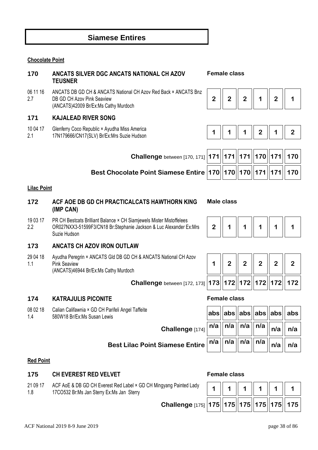# **Siamese Entires**

### **Chocolate Point**

### **170 ANCATS SILVER DGC ANCATS NATIONAL CH AZOV TEUSNER Female class**

06 11 16 2.7 ANCATS DB GD CH & ANCATS National CH Azov Red Back × ANCATS Bnz DB GD CH Azov Pink Seaview (ANCATS)42009 Br/Ex:Ms Cathy Murdoch

### **171 KAJALEAD RIVER SONG**

- 10 04 17 Glenferry Coco Republic × Ayudha Miss America
- 2.1





| Challenge between [170, 171] $ 171  171  171  170  171  170 $                                 |  |  |  |
|-----------------------------------------------------------------------------------------------|--|--|--|
| Best Chocolate Point Siamese Entire $\bm{ }170\bm{ } 170\bm{ } 171\bm{ } 171\bm{ } 170\bm{ }$ |  |  |  |

### **Lilac Point**

19 03 17  $22$ 

### **172 ACF AOE DB GD CH PRACTICALCATS HAWTHORN KING (IMP CAN)**

PR CH Bestcats Brilliant Balance × CH Siamjewels Mister Mistoffelees OR027NXX3-51599F3/CN18 Br:Stephanie Jackson & Luc Alexander Ex:Mrs

### **Male class**

| $\parallel$ 2 $\parallel$ | $\mathbf 1$ |  | 1 |  |  |
|---------------------------|-------------|--|---|--|--|
|---------------------------|-------------|--|---|--|--|

**1 2 2 2 2 2** 

### **173 ANCATS CH AZOV IRON OUTLAW**

29 04 18 1.1 Ayudha Peregrin × ANCATS Gld DB GD CH & ANCATS National CH Azov Pink Seaview (ANCATS)46944 Br/Ex:Ms Cathy Murdoch

 **Challenge** between [172, 173] **173 172 172 172 172 172**

### **174 KATRAJULIS PICONITE Female class**

Suzie Hudson

08 02 18 1.4 Calian Califawnia × GD CH Parifeli Angel Taffeite 580W18 Br/Ex:Ms Susan Lewis **abs abs abs abs abs abs**

| Parifeli Angel Taffeite<br>wis                                                                                 |  |  | $  \mathsf{abs}  \mathsf{abs}  \mathsf{abs}  \mathsf{abs}  \mathsf{abs}  \mathsf{abs}  $ abs |
|----------------------------------------------------------------------------------------------------------------|--|--|----------------------------------------------------------------------------------------------|
| Challenge [174] $\boxed{n/a}$ $\left\  n/a \right\ $ $n/a$ $\left\  n/a \right\ $ $n/a$ $\left\  n/a \right\ $ |  |  |                                                                                              |
| Best Lilac Point Siamese Entire $ n/a  $ n/a $  n/a  $ n/a $  n/a  $ n/a $  n/a  $                             |  |  |                                                                                              |

### **Red Point**

### **175 CH EVEREST RED VELVET Female class**

21 09 17 1.8 ACF AoE & DB GD CH Everest Red Label × GD CH Mingy 17CO532 Br:Ms Jan Sterry Ex:Ms Jan Sterry

| ngyang Painted Lady                                     |  |  |  |
|---------------------------------------------------------|--|--|--|
| Challenge [175] 175   175   175   175   175   175   175 |  |  |  |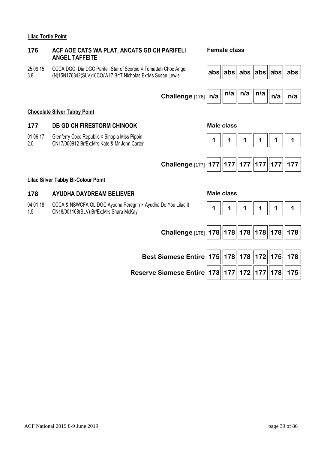### **Lilac Tortie Point**

01 06 17 2.0

04 01 18 1.5

### **176 ACF AOE CATS WA PLAT, ANCATS GD CH PARIFELI ANGEL TAFFEITE**

25 09 15 3.8 CCCA DGC, Dia DGC Parifeli Star of Scorpio × Tomadah Choc Angel

### **Female class**

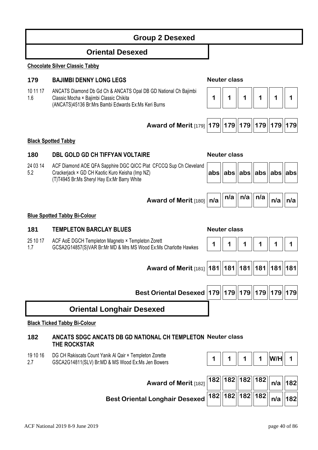|                 | <b>Oriental Desexed</b>                                                                                                                                             |     |                     |                         |     |             |             |
|-----------------|---------------------------------------------------------------------------------------------------------------------------------------------------------------------|-----|---------------------|-------------------------|-----|-------------|-------------|
|                 | <b>Chocolate Silver Classic Tabby</b>                                                                                                                               |     |                     |                         |     |             |             |
| 179             | <b>BAJIMBI DENNY LONG LEGS</b>                                                                                                                                      |     | <b>Neuter class</b> |                         |     |             |             |
| 10 11 17<br>1.6 | ANCATS Diamond Db Gd Ch & ANCATS Opal DB GD National Ch Bajimbi<br>Classic Mocha × Bajimbi Classic Chikita<br>(ANCATS)45136 Br:Mrs Bambi Edwards Ex:Ms Keri Burns   | 1   | 1                   | 1                       | 1   | 1           | 1           |
|                 | <b>Award of Merit [179] 179</b>                                                                                                                                     |     |                     | 179  179  179  179  179 |     |             |             |
|                 | <b>Black Spotted Tabby</b>                                                                                                                                          |     |                     |                         |     |             |             |
| 180             | <b>DBL GOLD GD CH TIFFYAN VOLTAIRE</b>                                                                                                                              |     | <b>Neuter class</b> |                         |     |             |             |
| 24 03 14<br>5.2 | ACF Diamond AOE QFA Sapphire DGC QICC Plat CFCCQ Sup Ch Cleveland<br>Crackerjack × GD CH Kaotic Kuro Keisha (Imp NZ)<br>(T)T4945 Br:Ms Sheryl Hay Ex:Mr Barry White | abs | abs                 | $ abs $ abs             |     | $ abs $ abs |             |
|                 | Award of Merit [180]   n/a                                                                                                                                          |     | n/a                 | n/a                     | n/a | n/a         | n/a         |
|                 | <b>Blue Spotted Tabby Bi-Colour</b>                                                                                                                                 |     |                     |                         |     |             |             |
| 181             | <b>TEMPLETON BARCLAY BLUES</b>                                                                                                                                      |     | <b>Neuter class</b> |                         |     |             |             |
| 25 10 17<br>1.7 | ACF AoE DGCH Templeton Magneto × Templeton Zorett<br>GCSA2G14857(S)VAR Br:Mr MD & Mrs MS Wood Ex:Ms Charlotte Hawkes                                                | 1   | 1                   | 1                       |     | 1           | 1           |
|                 | Award of Merit [181]   181     181     181     181     181     181                                                                                                  |     |                     |                         |     |             |             |
|                 | Best Oriental Desexed   179   179   179   179   179   179                                                                                                           |     |                     |                         |     |             |             |
|                 | <b>Oriental Longhair Desexed</b>                                                                                                                                    |     |                     |                         |     |             |             |
|                 | <b>Black Ticked Tabby Bi-Colour</b>                                                                                                                                 |     |                     |                         |     |             |             |
| 182             | <b>ANCATS SDGC ANCATS DB GD NATIONAL CH TEMPLETON Neuter class</b><br>THE ROCKSTAR                                                                                  |     |                     |                         |     |             |             |
| 19 10 16<br>2.7 | DG CH Rakiscats Count Yanik Al Qair × Templeton Zorette<br>GSCA2G14811(SLV) Br:MD & MS Wood Ex:Ms Jen Bowers                                                        |     |                     |                         | 1   | W/H         |             |
|                 | Award of Merit [182]                                                                                                                                                |     |                     | 182  182  182  182      |     |             | $n/a$   182 |
|                 | <b>Best Oriental Longhair Desexed</b>                                                                                                                               | 182 |                     | 182  182  182           |     |             | $n/a$   182 |

**Group 2 Desexed**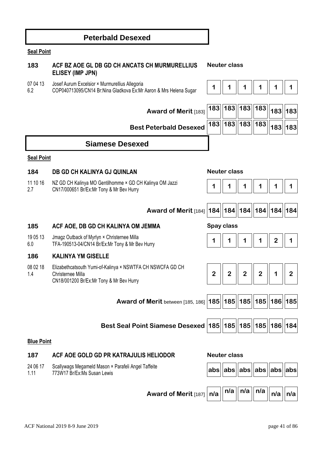| <b>Seal Point</b> |                                                                                                                             |                |                     |                             |                |                |                |
|-------------------|-----------------------------------------------------------------------------------------------------------------------------|----------------|---------------------|-----------------------------|----------------|----------------|----------------|
| 183               | ACF BZ AOE GL DB GD CH ANCATS CH MURMURELLIUS<br>ELISEY (IMP JPN)                                                           |                | <b>Neuter class</b> |                             |                |                |                |
| 07 04 13<br>6.2   | Josef Aurum Excelsior × Murmurellius Allegoria<br>COP040713095/CN14 Br:Nina Gladkova Ex:Mr Aaron & Mrs Helena Sugar         |                |                     | 1                           |                |                | 1              |
|                   | Award of Merit [183]                                                                                                        | 183            | 183                 | 183  183                    |                | 183 183        |                |
|                   | <b>Best Peterbald Desexed</b>                                                                                               | 183            | 183                 | 183  183                    |                | 183 183        |                |
|                   | <b>Siamese Desexed</b>                                                                                                      |                |                     |                             |                |                |                |
| <b>Seal Point</b> |                                                                                                                             |                |                     |                             |                |                |                |
| 184               | <b>DB GD CH KALINYA GJ QUINLAN</b>                                                                                          |                | <b>Neuter class</b> |                             |                |                |                |
| 11 10 16<br>2.7   | NZ GD CH Kalinya MO Gentilhomme × GD CH Kalinya OM Jazzi<br>CN17/000651 Br/Ex:Mr Tony & Mr Bev Hurry                        |                |                     | 1                           | 1              | 1              | 1              |
|                   | Award of Merit [184]                                                                                                        |                |                     | 184  184  184  184          |                | $ 184 $ 184    |                |
| 185               | ACF AOE, DB GD CH KALINYA OM JEMMA                                                                                          |                | Spay class          |                             |                |                |                |
| 19 05 13<br>6.0   | Jmagz Outback of Myrlyn × Christernee Milla<br>TFA-190513-04/CN14 Br/Ex:Mr Tony & Mr Bev Hurry                              |                |                     |                             |                | $\overline{2}$ |                |
| 186               | <b>KALINYA YM GISELLE</b>                                                                                                   |                |                     |                             |                |                |                |
| 08 02 18<br>1.4   | Elizabethcatsouth Yumi-of-Kalinya × NSWTFA CH NSWCFA GD CH<br>Christernee Milla<br>CN18/001200 Br/Ex:Mr Tony & Mr Bev Hurry | $\overline{2}$ | $\overline{2}$      | $\overline{2}$              | $\overline{2}$ | 1              | $\overline{2}$ |
|                   | Award of Merit between [185, 186]   185   185   185   185                                                                   |                |                     |                             |                | 186 185        |                |
|                   | Best Seal Point Siamese Desexed   185   185   185   185                                                                     |                |                     |                             |                | 186 184        |                |
| <b>Blue Point</b> |                                                                                                                             |                |                     |                             |                |                |                |
| 187               | ACF AOE GOLD GD PR KATRAJULIS HELIODOR                                                                                      |                | <b>Neuter class</b> |                             |                |                |                |
| 24 06 17<br>1.11  | Scallywags Megameld Mason × Parafeli Angel Taffeite<br>773W17 Br/Ex:Ms Susan Lewis                                          |                |                     | abs   abs   abs   abs   abs |                |                |                |
|                   |                                                                                                                             |                |                     |                             |                |                |                |

**Peterbald Desexed** 

 **Award of Merit** [187]  $n/a$   $\|n/a\|$   $n/a$   $\|n/a\|$   $n/a$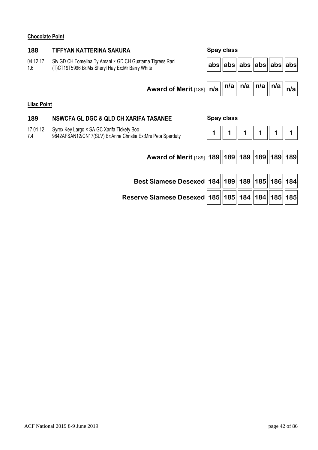### **Chocolate Point**

# **188 TIFFYAN KATTERINA SAKURA Spay class**  04 12 17 1.6 Slv GD CH Tomelina Ty Amani × GD CH Guatama Tigress Rani (T)CT19T5996 Br:Ms Sheryl Hay Ex:Mr Barry White **abs abs abs abs abs abs** Award of Merit  $\begin{bmatrix} 188 \end{bmatrix}$   $\begin{bmatrix} n/a \end{bmatrix}$   $\begin{bmatrix} n/a \end{bmatrix}$   $\begin{bmatrix} n/a \end{bmatrix}$   $\begin{bmatrix} n/a \end{bmatrix}$   $\begin{bmatrix} n/a \end{bmatrix}$ **Lilac Point 189 NSWCFA GL DGC & QLD CH XARIFA TASANEE Spay class**  17 01 12 7.4 Syrex Key Largo × SA GC Xarifa Tickety Boo 9842AFSAN12/CN17(SLV) Br:Anne Christie Ex:Mrs Peta Sperduty **1 1 1 1 1 1 Award of Merit** [189] **189 189 189 189 189 189 Best Siamese Desexed 184 189 189 185 186 184**

**Reserve Siamese Desexed 185 185 184 184 185 185**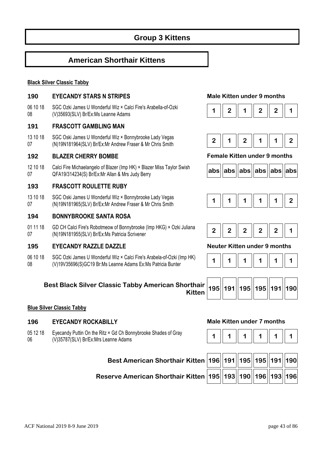# **American Shorthair Kittens**

### **Black Silver Classic Tabby**

### **190 EYECANDY STARS N STRIPES Male Kitten under 9 months**

06 10 18 08 SGC Ozki James U Wonderful Wiz × Calci Fire's Arabella-of-Ozki SGC O2KI James O Wonderlul WIZ × Calci Fire's Arabelia-01-O2KI<br>(V)35693(SLV) Br/Ex:Ms Leanne Adams **1 2 | 1 | 1 | 2 | 1 | 2 | 1** | 2 | 1 **1** 

### **191 FRASCOTT GAMBLING MAN**

13 10 18 07 SGC Oski James U Wonderful Wiz × Bonnybrooke Lady Vegas SGC OSN James O Wonderlul Wiz \* Bohnybrooke Lady vegas<br>(N)19N181964(SLV) Br/Ex:Mr Andrew Fraser & Mr Chris Smith **2** | **2** | **1** | **2** | **1** | **1** | **1** | **2** 

### **192 BLAZER CHERRY BOMBE Female Kitten under 9 months**

12 10 18 07 Calci Fire Michaelangelo of Blazer (Imp HK) × Blazer Miss Taylor Swish QFA19/314234(S) Br/Ex:Mr Allan & Mrs Judy Berry **abs abs abs abs abs abs**

### **193 FRASCOTT ROULETTE RUBY**

13 10 18 07 SGC Oski James U Wonderful Wiz × Bonnybrooke Lady Vegas SGC OSKI James O Wonderlul Wiz × Bonnyprooke Lady vegas<br>(N)19N181965(SLV) Br/Ex:Mr Andrew Fraser & Mr Chris Smith **1** 1 || 1 || 1 || 1 || 1 || 1 || 2

### **194 BONNYBROOKE SANTA ROSA**

01 11 18 07 GD CH Calci Fire's Robotmeow of Bonnybrooke (Imp HKG) × Ozki Juliana (N)19N181955(SLV) Br/Ex:Ms Patricia Scrivener<br>(N)19N181955(SLV) Br/Ex:Ms Patricia Scrivener

### **195 EYECANDY RAZZLE DAZZLE Neuter Kitten under 9 months**

06 10 18 08 SGC Ozki James U Wonderful Wiz × Calci Fire's Arabela-of-Ozki (Imp HK) (V)19V35696(S)GC19 Br:Ms Leanne Adams Ex:Ms Patricia Bunter **1 1 1 1 1 1** 

### **Best Black Silver Classic Tabby American Shorthair**





### **Blue Silver Classic Tabby**

### **196 EYECANDY ROCKABILLY Male Kitten under 7 months**

05 12 18 06 Eyecandy Puttin On the Ritz × Gd Ch Bonnybrooke Shades of Gray Lyecandy Puttin On the Ritz  $\sim$  6d Ch Bohnybrooke Shades of Gray<br>(V)35787(SLV) Br/Ex:Mrs Leanne Adams **1 1** 1 **1** 1 **1** 1 **1** 1 **1** 1 **1** 1 **1** 

**Best American Shorthair** 

**Reserve American Shorthair** 



| Kitten  196  191  195  195  191  190 |  |  |  |
|--------------------------------------|--|--|--|
| Kitten  195  193  190  196  193  196 |  |  |  |







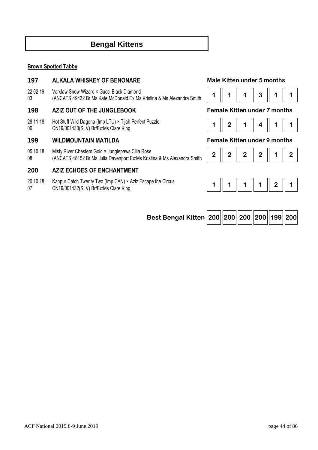# **Bengal Kittens**

### **Brown Spotted Tabby**

### **197 ALKALA WHISKEY OF BENONARE Male Kitten under 5 months**

22 02 19 03 Varclaw Snow Wizard × Gucci Black Diamond (ANCATS)49432 Br:Ms Kate McDonald Ex:Ms Kristina & Ms Alexandra Smith

### **198 AZIZ OUT OF THE JUNGLEBOOK Female Kitten under 7 months**

28 11 18 06 Hot Stuff Wild Dagona (Imp LTU) × Tijah Perfect Puzzle CN19/001430(SLV) Br/Ex:Ms Clare King **1 2 1 4 1 1** 

### **199 WILDMOUNTAIN MATILDA Female Kitten under 9 months**

- 05 10 18 Misty River Chesters Gold × Junglepaws Cilla Rose
- 08 (ANCATS)48152 Br:Ms Julia Davenport Ex:Ms Kristina & Ms Alexandra Smith

### **200 AZIZ ECHOES OF ENCHANTMENT**

- 20 10 18 Kanpur Catch Twenty Two (Imp CAN) × Aziz Escape the Circus
- 07

|  | 3 <sub>1</sub> |  |
|--|----------------|--|



|--|



| Best Bengal Kitten 200 200 200 200 199 200 |  |  |  |  |  |  |
|--------------------------------------------|--|--|--|--|--|--|
|--------------------------------------------|--|--|--|--|--|--|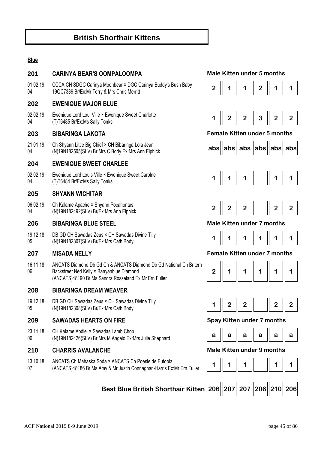# **British Shorthair Kittens**

### **Blue**

### **201 CARINYA BEAR'S OOMPALOOMPA Male Kitten under 5 months**

01 02 19 04 CCCA CH SDGC Carinya Moonbear × DGC Carinya Buddy's Bush Baby 19QC7339 Br/Ex:Mr Terry & Mrs Chris Merritt **and the Substitute of Article 1** 2 **1 1 1 1 2 1 1 1 1** 1

### **202 EWENIQUE MAJOR BLUE**

02 02 19 04 Ewenique Lord Loui Ville × Ewenique Sweet Charlotte (T)T6485 Br/Ex:Ms Sally Tonks **1 2 2 3 2 2** 

21 01 19 04 Ch Shyann Little Big Chief × CH Bibaringa Lola Jean (N)19N182505(SLV) Br:Mrs C Body Ex:Mrs Ann Elphick **abs abs abs abs abs abs**

### **204 EWENIQUE SWEET CHARLEE**

02 02 19 04 Ewenique Lord Louis Ville × Ewenique Sweet Carolne Ewenique Eclus Eclus Ville A Ewenique Oweet Caroline<br>(T)T6484 Br/Ex:Ms Sally Tonks **1 1 | 1 | 1 | 1 | 1 | 1 | 1 | 1 | 1** 

### **205 SHYANN WICHITAR**

06 02 19 04 Ch Kalame Apache × Shyann Pocahontas

### **206 BIBARINGA BLUE STEEL Male Kitten under 7 months**

19 12 18 05 DB GD CH Sawadas Zeus × CH Sawadas Divine Tilly (N)19N182307(SLV) Br/Ex:Mrs Cath Body **1 1 1 1 1 1** 

16 11 18 06 ANCATS Diamond Db Gd Ch & ANCATS Diamond Db Gd National Ch Britern Backstreet Ned Kelly × Banyanblue Diamond (ANCATS)48190 Br:Ms Sandra Rosseland Ex:Mr Ern Fuller

### **208 BIBARINGA DREAM WEAVER**

19 12 18 05 DB GD CH Sawadas Zeus × CH Sawadas Divine Tilly UB GD CH Sawadas Zeus ^ CH Sawadas Divine Tilly<br>(N)19N182308(SLV) Br/Ex:Mrs Cath Body **1 1 1 1 2 2 2 2 2 2 2 2** 

### **209 SAWADAS HEARTS ON FIRE Spay Kitten under 7 months**

23 11 18 06 CH Kalame Abdiel × Sawadas Lamb Chop (N)19N182426(SLV) Br:Mrs M Angelo Ex:Mrs Julie Shephard **a a a a a a** 

### **210 CHARRIS AVALANCHE Male Kitten under 9 months**

13 10 18 07 ANCATS Ch Mahaska Soda × ANCATS Ch Poesie de Eutopia ANCATS CITMaliaska Soda A ANCATS CITPOesie de Luiopia<br>(ANCATS)48186 Br:Ms Amy & Mr Justin Connaghan-Harris Ex:Mr Ern Fuller **1** 1 **1 1 1 1 1 1 1 1** 

### **Best Blue British Shorthair Kitten 206 207 207 206 210 206**





### **203 BIBARINGA LAKOTA Female Kitten under 5 months**









### **207 MISADA NELLY Female Kitten under 7 months**







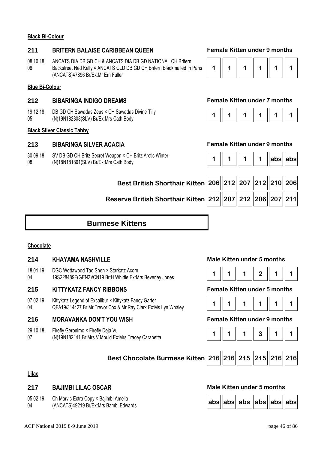### **Black Bi-Colour**

### **211 BRITERN BALAISE CARIBBEAN QUEEN Female Kitten under 9 months**

08 10 18 08 ANCATS DIA DB GD CH & ANCATS DIA DB GD NATIONAL CH Britern Backstreet Ned Kelly × ANCATS GLD DB GD CH Britern Blackmailed In Paris (ANCATS)47896 Br/Ex:Mr Ern Fuller

### **Blue Bi-Colour**

### **212 BIBARINGA INDIGO DREAMS Female Kitten under 7 months**

19 12 18 05 DB GD CH Sawadas Zeus × CH Sawadas Divine Tilly (N)19N182308(SLV) Br/Ex:Mrs Cath Body **1 1 1 1 1 1** 

### **Black Silver Classic Tabby**

### **213 BIBARINGA SILVER ACACIA Female Kitten under 9 months**

30 09 18 08 SV DB GD CH Britz Secret Weapon × CH Britz Arctic Winter (N)18N181861(SLV) Br/Ex:Mrs Cath Body **1 1 1 1 abs abs**

|--|--|--|--|--|--|

|  |  |  |  | labsilabsi |  |
|--|--|--|--|------------|--|
|--|--|--|--|------------|--|

| Best British Shorthair Kitten 206 212 207 212 210 206    |  |  |  |
|----------------------------------------------------------|--|--|--|
| Reserve British Shorthair Kitten 212 207 212 206 207 211 |  |  |  |

# **Burmese Kittens**

### **Chocolate**

### **214 KHAYAMA NASHVILLE Male Kitten under 5 months**

18 01 19 04 DGC Wottawood Tao Shen × Starkatz Acorn 19S228489F(GEN2)/CN19 Br:H Whittle Ex:Mrs Beverley Jones **1 1 1 2 1 1** 

### **215 KITTYKATZ FANCY RIBBONS Female Kitten under 5 months**

07 02 19 04 Kittykatz Legend of Excalibur × Kittykatz Fancy Garter QFA19/314427 Br:Mr Trevor Cox & Mr Ray Clark Ex:Ms Lyn Whaley **1 1 1 1 1 1** 

### **216 MORAVANKA DON'T YOU WISH Female Kitten under 9 months**

- 29 10 18 Firefly Geronimo × Firefly Deja Vu
- 07 Prielly Geroninio A Prielly Deja vu<br>(N)19N182141 Br:Mrs V Mould Ex:Mrs Tracey Carabetta **1 1 | 1 | 1 | 1 | 1 | 3 | 1 | 1**









### **Lilac**

### **217 BAJIMBI LILAC OSCAR Male Kitten under 5 months**

- 05 02 19 Ch Marvic Extra Copy × Bajimbi Amelia
- 04 (ANCATS)49219 Br/Ex:Mrs Bambi Edwards **abs abs abs abs abs abs**

|  | abs  abs  abs  abs  abs  abs |  |  |
|--|------------------------------|--|--|
|  |                              |  |  |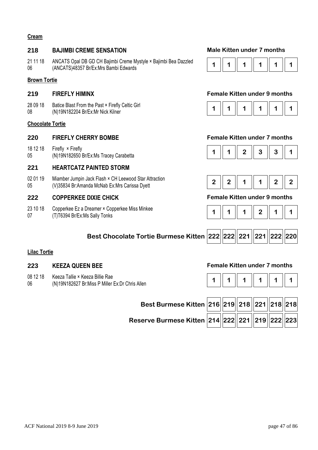### **Cream**

### **218 BAJIMBI CREME SENSATION Male Kitten under 7 months**

21 11 18 06 ANCATS Opal DB GD CH Bajimbi Creme Mystyle × Bajimbi Bea Dazzled ANCATS Opal DB GD CH Bajilliol Crefile Mystyle ^ Bajilliol Bea Dazzleu **1 1 | 1 | 1 | 1 | 1 | 1 | 1 | 1 | 1** 1 **1** 

### **Brown Tortie**

28 09 18 08 Batice Blast From the Past × Firefly Celtic Girl (N)19N182204 Br/Ex:Mr Nick Kilner **1 1 1 1 1 1** 

### **Chocolate Tortie**

### **220 FIREFLY CHERRY BOMBE Female Kitten under 7 months**

18 12 18 05 Firefly × Firefly

### **221 HEARTCATZ PAINTED STORM**

02 01 19 05 Miamber Jumpin Jack Flash × CH Leewood Star Attraction (V)35834 Br:Amanda McNab Ex:Mrs Carissa Dyett **2 2 1 1 2 2** 

### **222 COPPERKEE DIXIE CHICK Female Kitten under 9 months**

23 10 18 07 Copperkee Ez a Dreamer × Copperkee Miss Minkee (T)T6394 Br/Ex:Ms Sally Tonks



### **219 FIREFLY HIMINX Female Kitten under 9 months**







|--|--|--|--|--|--|

 $\overline{\phantom{a}}$ 

 $\neg$   $\Box$ 

 $\neg r$ 

| Best Chocolate Tortie Burmese Kitten $\bm{ }222\bm{ } 222\bm{ } 221\bm{ } 221\bm{ } 222\bm{ } 220\bm{ }$ |  |  |  |  |  |  |
|----------------------------------------------------------------------------------------------------------|--|--|--|--|--|--|
|----------------------------------------------------------------------------------------------------------|--|--|--|--|--|--|

Ē

### **Lilac Tortie**

- 08 12 18 Keeza Tallie × Keeza Billie Rae
- 06 (N)19N182627 Br:Miss P Miller Ex:Dr Chris Allen

### **223 KEEZA QUEEN BEE Female Kitten under 7 months**

|--|--|--|

| Best Burmese Kitten 216 219 218 221 218 218    |  |  |  |
|------------------------------------------------|--|--|--|
| Reserve Burmese Kitten 214 222 221 249 222 223 |  |  |  |

 $\neg$   $\Box$ 

 $\overline{\phantom{a}}$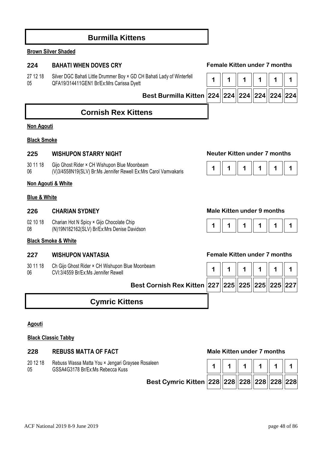# **Burmilla Kittens**

### **Brown Silver Shaded**

### **224 BAHATI WHEN DOVES CRY Female Kitten under 7 months**

27 12 18 05 Silver DGC Bahati Little Drummer Boy × GD CH Bahati Lady of Winterfell Silver DGC Bahati Little Dittillitier Boy < GD CTT Bahati Lauy of Willterleit **1** 1 **1** 1 **1** 1 **1** 1 **1** 1 **1** 1 **1** 1

**Best Burmilla Kitten 224 224 224 224 224 224**

# **Cornish Rex Kittens**

### **Non Agouti**

### **Black Smoke**

### **225 WISHUPON STARRY NIGHT Neuter Kitten under 7 months**

30 11 18 Gijo Ghost Rider × CH Wishupon Blue Moonbeam

06

### **Non Agouti & White**

### **Blue & White**

02 10 18 Charian Hot N Spicy × Gijo Chocolate Chip

08

### **Black Smoke & White**

30 11 18 06 Ch Gijo Ghost Ride



### **226 CHARIAN SYDNEY Male Kitten under 9 months**



### **227 WISHUPON VANTASIA Female Kitten under 7 months**

| Ch Gijo Ghost Rider × CH Wishupon Blue Moonbeam<br>CVI:3/4559 Br/Ex:Ms Jennifer Rewell_ |  |  |  |
|-----------------------------------------------------------------------------------------|--|--|--|
| Best Cornish Rex Kitten 227 225 225 225 225 227                                         |  |  |  |

# **Cymric Kittens**

### **Agouti**

### **Black Classic Tabby**

### **228 REBUSS MATTA OF FACT Male Kitten under 7 months**

20 12 18 05 Rebuss Wassa Matta You × Jengari Graysee Rosaleen



ACF National 2019 8-9 June 2019 **page 48** of 86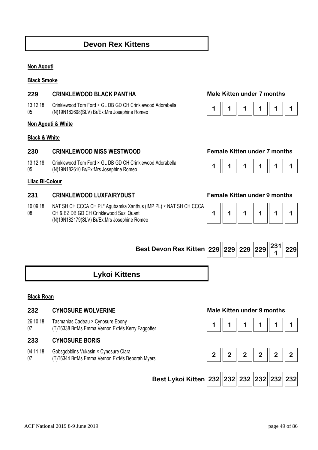# **Devon Rex Kittens**

### **Non Agouti**

**Black Smoke** 

### **229 CRINKLEWOOD BLACK PANTHA Male Kitten under 7 months**

13 12 18 05 Crinklewood Tom Ford × GL DB GD CH Crinklewood Adorabella Chriklewood Tom Ford \* GL DB GD CH Chriklewood Adorabelia **1 1 | 1 | 1 | 1 | 1 | 1 | 1 | 1 | 1** | 1 **| 1** 

### **Non Agouti & White**

### **Black & White**

### **230 CRINKLEWOOD MISS WESTWOOD Female Kitten under 7 months**

- 13 12 18 Crinklewood Tom Ford × GL DB GD CH Crinklewood Adorabella (N)19N182610 Br/Ex:Mrs Josephine Romeo<br>(N)19N182610 Br/Ex:Mrs Josephine Romeo
- 05

### **Lilac Bi-Colour**

### **231 CRINKLEWOOD LUXFAIRYDUST Female Kitten under 9 months**

10 09 18 08 NAT SH CH CCCA CH PL\* Agubamka Xanthus (IMP PL) × NAT SH CH CCCA CH & BZ DB GD CH Crinklewood Suzi Quant (N)19N182179(SLV) Br/Ex:Mrs Josephine Romeo



| $\overline{1}$ | $\parallel$ | 1 | 1 | 1 | $\mathbf 1$ |
|----------------|-------------|---|---|---|-------------|
|----------------|-------------|---|---|---|-------------|

| Best Devon Rex Kitten $\textcolor{black}{\big }\textcolor{black}{229}\textcolor{black}{\big\ 229}\textcolor{black}{\big\ 229}\textcolor{black}{\big\ 229}\textcolor{black}{\big\ 229}\textcolor{black}{\big\ 231}\textcolor{black}{\big\ 229}$ |  |  |  |  |  |  |
|------------------------------------------------------------------------------------------------------------------------------------------------------------------------------------------------------------------------------------------------|--|--|--|--|--|--|
|------------------------------------------------------------------------------------------------------------------------------------------------------------------------------------------------------------------------------------------------|--|--|--|--|--|--|

# **Lykoi Kittens**

### **Black Roan**

### **232 CYNOSURE WOLVERINE Male Kitten under 9 months**

- 26 10 18 Tasmanias Cadeau × Cynosure Ebony
- 07

### **233 CYNOSURE BORIS**

04 11 18 07 Gobsgobblins Vukasin × Cynosure Ciara







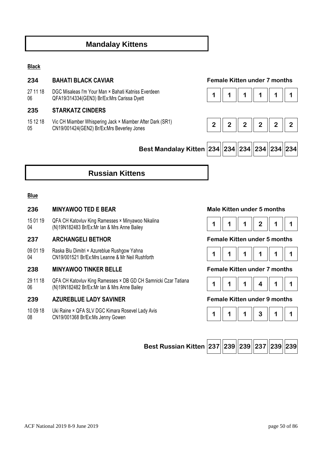# **Mandalay Kittens**

### **Black**

### **234 BAHATI BLACK CAVIAR Female Kitten under 7 months**

27 11 18 06 DGC Misaleas I'm Your Man × Bahati Katniss Everdeen QFA19/314334(GEN3) Br/Ex:Mrs Carissa Dyett **1 1 1 1 1 1** 

### **235 STARKATZ CINDERS**

15 12 18 05 Vic CH Miamber Whispering Jack × Miamber After Dark (SR1) CN19/001424(GEN2) Br/Ex:Mrs Beverley Jones **2 2 2 2 2 2** 







# **Russian Kittens**

### **Blue**

### **236 MINYAWOO TED E BEAR Male Kitten under 5 months**

15 01 19 04 QFA CH Katovluv King Ramesses × Minyawoo Nikalina (N)19N182483 Br/Ex:Mr Ian & Mrs Anne Bailey **1 1 1 2 1 1** 

### **237 ARCHANGELI BETHOR Female Kitten under 5 months**

09 01 19 04 Raska Blu Dimitri × Azureblue Rushgow Yahna CN19/001521 Br/Ex:Mrs Leanne & Mr Neil Rushforth **1 1 1 1 1 1 1 1 1 1 1 1 1 1 1 1 1** 1 **1** 

### **238 MINYAWOO TINKER BELLE Female Kitten under 7 months**

29 11 18 06 QFA CH Katovluv King Ramesses × DB GD CH Samnicki Czar Tatiana (N)19N182482 Br/Ex:Mr Ian & Mrs Anne Bailey **1 1 1 4 1 1** 

### **239 AZUREBLUE LADY SAVINER Female Kitten under 9 months**

10 09 18 08 Uki Raine × QFA SLV DGC Kimara Rosevel Lady Avis ON Name  $\sim$  QLA SEV DGC Niniala Nosever Lady Avis<br>CN19/001368 Br/Ex:Ms Jenny Gowen **1 1** 1 **1** 1 **1** 1 **1** 3 **1** 1









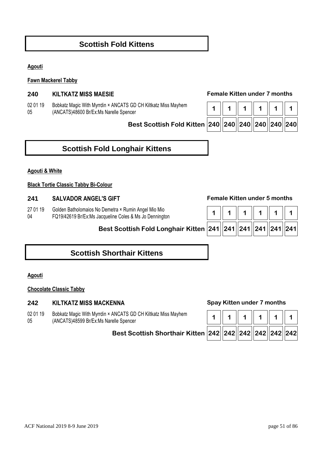# **Scottish Fold Kittens**

### **Agouti**

### **Fawn Mackerel Tabby**

### **240 KILTKATZ MISS MAESIE Female Kitten under 7 months**

02 01 19 05 Bobkatz Magic With Myrrdin × ANCATS GD CH Kiltkatz Miss Mayhem (ANCATS)48600 Br/Ex:Ms Narelle Spencer

**Best Scottish Fold Kitte** 

|  |  | n  240  240  240  240  240  240 |  |
|--|--|---------------------------------|--|

# **Scottish Fold Longhair Kittens**

### **Agouti & White**

### **Black Tortie Classic Tabby Bi-Colour**

### **241 SALVADOR ANGEL'S GIFT Female Kitten under 5 months**

27 01 19 Golden Batholomaios No Demetra × Rumin Angel Mio Mio

04 FQ19/42619 Br/Ex:Ms Jacqueline Coles & Ms Jo Dennington

**Best Scottish Fold Longhair Kitten 241 241 241 241 241 241**

# **Scottish Shorthair Kittens**

### **Agouti**

### **Chocolate Classic Tabby**

### **242 KILTKATZ MISS MACKENNA Spay Kitten under 7 months**

02 01 19 05 Bobkatz Magic With Myrrdin × ANCATS GD CH Kiltkatz Miss Mayhem (ANCATS)48599 Br/Ex:Ms Narelle Spencer

### **Best Scottish Shorthair Kitten 242 242 242 242 242 242**

| 242  242  242  242  242  242 |  |  |
|------------------------------|--|--|

| 241   241   241   241   241   241 |  |  |  |
|-----------------------------------|--|--|--|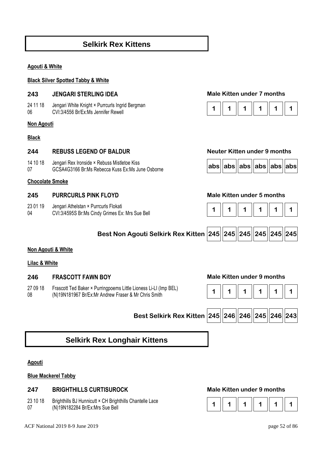# **Selkirk Rex Kittens**

### **Agouti & White**

### **Black Silver Spotted Tabby & White**

### **243 JENGARI STERLING IDEA Male Kitten under 7 months**

24 11 18 06 Jengari White Knight × Purrcurls Ingrid Bergman

### **Non Agouti**

### **Black**

### **244 REBUSS LEGEND OF BALDUR Neuter Kitten under 9 months**

14 10 18 07 Jengari Rex Ironside × Rebuss Mistletoe Kiss GCSA4G3166 Br:Ms Rebecca Kuss Ex:Ms June Osborne **abs abs abs abs abs abs abs abs abs abs abs abs abs abs abs abs abs abs abs abs abs abs abs abs abs abs abs abs abs** 

### **Chocolate Smoke**

### **245 PURRCURLS PINK FLOYD Male Kitten under 5 months**

- 23 01 19 Jengari Athelstan × Purrcurls Flokati
- 04







**Best Non Agouti Selkirk Rex Kitten 245 245 245 245 245 245**



### **Non Agouti & White**

### **Lilac & White**

### **246 FRASCOTT FAWN BOY Male Kitten under 9 months**

27 09 18 08 Frascott Ted Baker × Purringpoems Little Lioness Li-LI (Imp BEL) (N)19N181967 Br/Ex:Mr Andrew Fraser & Mr Chris Smith **1 1 1 1 1 1** 





# **Selkirk Rex Longhair Kittens**

### **Agouti**

### **Blue Mackerel Tabby**

### **247 BRIGHTHILLS CURTISUROCK Male Kitten under 9 months**

- 23 10 18 Brighthills BJ Hunnicutt × CH Brighthills Chantelle Lace
- 07

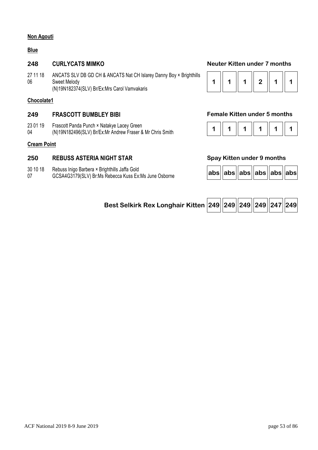### **Non Agouti**

### **Blue**

27 11 18 06 ANCATS SLV DB GD CH & ANCATS Nat CH Islarey Danny Boy × Brighthills Sweet Melody (N)19N182374(SLV) Br/Ex:Mrs Carol Vamvakaris

### **Chocolate1**

### **249 FRASCOTT BUMBLEY BIBI Female Kitten under 5 months**

- 23 01 19 Frascott Panda Punch × Natakye Lacey Green
- 04 (N)19N182496(SLV) Br/Ex:Mr Andrew Fraser & Mr Chris Smith

### **Cream Point**

### **250 REBUSS ASTERIA NIGHT STAR Spay Kitten under 9 months**

- 30 10 18 Rebuss Inigo Barbera × Brighthills Jaffa Gold
- 07 GCSA4G3179(SLV) Br:Ms Rebecca Kuss Ex:Ms June Osborne **abs abs abs abs abs abs**

### **248 CURLYCATS MIMKO Neuter Kitten under 7 months**



|--|--|--|--|--|--|

|  | abs  abs  abs  abs  abs  abs |  |  |  |  |
|--|------------------------------|--|--|--|--|
|--|------------------------------|--|--|--|--|

| Best Selkirk Rex Longhair Kitten 249 249 249 249 247 249 |  |  |  |  |  |  |
|----------------------------------------------------------|--|--|--|--|--|--|
|----------------------------------------------------------|--|--|--|--|--|--|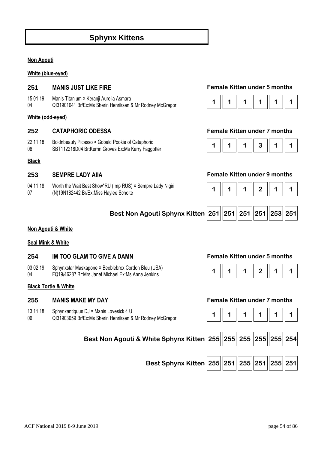# **Sphynx Kittens**

### **Non Agouti**

### **White (blue-eyed)**

- 15 01 19 Manis Titanium × Keranji Aurelia Asmara
- 04

### **White (odd-eyed)**

- 22 11 18 Boldnbeauty Picasso × Gobald Pookie of Cataphoric
- 06

### **Black**

04 11 18 07 Worth the Wait Best Show\*RU (Imp RUS) × Sempre Lady Nigiri (N)19N182442 Br/Ex:Miss Haylee Scholte **1 1 1 2 1 1** 

### **251 MANIS JUST LIKE FIRE Female Kitten under 5 months**



### **252 CATAPHORIC ODESSA Female Kitten under 7 months**



### **253 SEMPRE LADY AIIA Female Kitten under 9 months**



|  | Best Non Agouti Sphynx Kitten 251 251 251 251 251 253 251 |  |  |  |  |  |  |
|--|-----------------------------------------------------------|--|--|--|--|--|--|
|--|-----------------------------------------------------------|--|--|--|--|--|--|

### **Non Agouti & White**

### **Seal Mink & White**

### **254 IM TOO GLAM TO GIVE A DAMN Female Kitten under 5 months**

03 02 19 04 Sphynxstar Maskapone × Beeblebrox Cordon Bleu (USA) Spriyrixsial Maskapolie ^ Beeblebrox Cordon Bleu (OSA)<br>FQ19/46287 Br:Mrs Janet Michael Ex:Ms Anna Jenkins **1 1 1 | 1 | 1 | 1 | 1 | 1 | 1 | 1** 

### **Black Tortie & White**

- 13 11 18 Sphynxantiquus DJ × Manis Lovesick 4 U
- 06



### **255 MANIS MAKE MY DAY Female Kitten under 7 months**

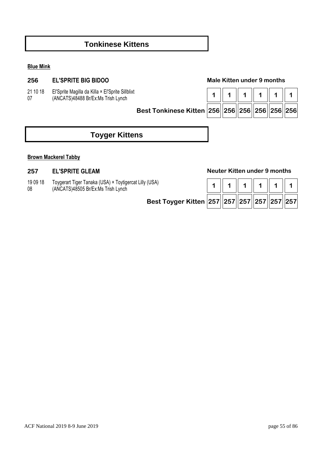# **Tonkinese Kittens**

### **Blue Mink**

### **256 EL'SPRITE BIG BIDOO Male Kitten under 9 months**

21 10 18 07 El'Sprite Magilla da Killa × El'Sprite Sillblixt (ANCATS)48488 Br/Ex:Ms Trish Lynch

| Best Tonkinese Kitten 256 256 256 256 256 256 |  |  |  |
|-----------------------------------------------|--|--|--|

# **Toyger Kittens**

### **Brown Mackerel Tabby**

- 19 09 18 Toygerart Tiger Tanaka (USA) × Toytigercat Lilly (USA)
- 08 (ANCATS)48505 Br/Ex:Ms Trish Lynch **1 1 1 1 1 1**

**Best Toyger** 

### **257 EL'SPRITE GLEAM Neuter Kitten under 9 months**

| r Kitten  257  257  257  257  257  257 |  |  |  |
|----------------------------------------|--|--|--|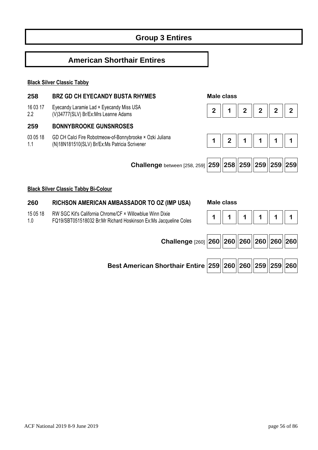# **Group 3 Entires**

# **American Shorthair Entires**

### **Black Silver Classic Tabby**

### **258 BRZ GD CH EYECANDY BUSTA RHYMES Male class**

- 16 03 17 Eyecandy Laramie Lad × Eyecandy Miss USA
- 2.2 (V)34777(SLV) Br/Ex:Mrs Leanne Adams **2 1 2 2 2 2**

### **259 BONNYBROOKE GUNSNROSES**

03 05 18 1.1 GD CH Calci Fire Robotmeow-of-Bonnybrooke × Ozki Juliana (N)18N181510(SLV) Br/Ex:Ms Patricia Scrivener **1 1 | 1 | | 2 | 1 | 1 | 1 | 1 | 1** 







### **Black Silver Classic Tabby Bi-Colour**

### **260 RICHSON AMERICAN AMBASSADOR TO OZ (IMP USA) Male class**

- 15 05 18 RW SGC Kit's California Chrome/CF × Willowblue Winn Dixie
- 1.0



**Best American Shorthair Entire 259 260 260 259 259 260**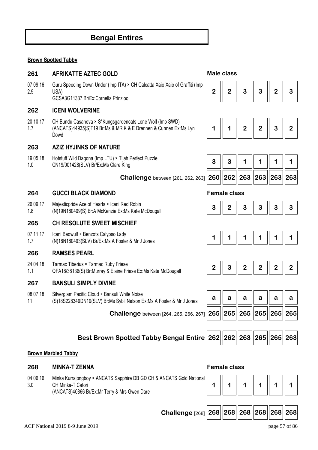# **Bengal Entires**

### **Brown Spotted Tabby**

### **261 AFRIKATTE AZTEC GOLD Male class**

07 09 16 2.9 Guru Speeding Down Under (Imp ITA) × CH Calcatta Xaio Xaio of Graffiti (Imp USA) GCSA3G11337 Br/Ex:Cornella Prinzloo

### **262 ICENI WOLVERINE**

20 10 17 1.7 CH Bundu Casanova × S\*Kungsgardencats Lone Wolf (Imp SWD) (ANCATS)44935(S)T19 Br:Ms & MR K & E Drennen & Cunnen Ex:Ms Lyn Dowd

### **263 AZIZ HYJINKS OF NATURE**

19 05 18 1.0 Hotstuff Wild Dagona (Imp LTU) × Tijah Perfect Puzzle CN19/001428(SLV) Br/Ex:Ms Clare King **3 3 1 1 1 1** 

 **Challenge** between [261, 262, 263] **260 262 263 263 263 263**

### **264 GUCCI BLACK DIAMOND Female class**

26 09 17 Majesticpride Ace of Hearts × Iceni Red Robin

1.8 (N)19N180409(S) Br:A McKenzie Ex:Ms Kate McDougall **3 2 3 3 3 3** 

### **265 CH RESOLUTE SWEET MISCHIEF**

07 11 17 1.7 Iceni Beowulf × Benzots Calypso Lady (N)18N180493(SLV) Br/Ex:Ms A Foster & Mr J Jones **1 1 | 1 | 1 | 1 | 1 | 1 | 1 | 1 | 1** | 1 **| 1** 

### **266 RAMSES PEARL**

24 04 18 1.1 Tarmac Tiberius × Tarmac Ruby Friese GEA18/38136(S) Br:Murray & Elaine Friese Ex:Ms Kate McDougall **2** | **2** | **2** | **2** | **2** | **2** | **2** | **2** | **2** | **2** | **2** | **2** | **2** | **2** | **2** | **2** | **2** | **2** | **2** | **2** | **2** | **2** | **2** | **2** | **2** | **2** | **2** 

### **267 BANSULI SIMPLY DIVINE**

- 08 07 18 Silverglam Pacific Cloud × Bansuli White Noise
- 11 (S)18S228349DN19(SLV) Br:Ms Sybil Nelson Ex:Ms A Foster & Mr J Jones

 **Challenge** between [264, 265, 266, 267] **265 265 265 265 265 265**



|  |  | $\overline{\mathbf{2}}$ | $2^{\circ}$ | $\mathbf{3}$ | $\overline{2}$ |
|--|--|-------------------------|-------------|--------------|----------------|
|--|--|-------------------------|-------------|--------------|----------------|

| 3 | З |                              |  |
|---|---|------------------------------|--|
|   |   | 260  262  263  263  263  263 |  |

| - 2<br>- 3-<br>- 3<br>- 2<br>ບ |
|--------------------------------|
|--------------------------------|





| a | a                            | a | a | а | a |
|---|------------------------------|---|---|---|---|
|   | 265  265  265  265  265  265 |   |   |   |   |

**Best Brown Spotted Tabby Bengal Entire 262 262 263 265 265 263**

### **Brown Marbled Tabby**

04 06 16 3.0 Minka Kurrajongboy × ANCATS Sapphire DB GD CH & ANCATS Gold National CH Minka-T Catori (ANCATS)40866 Br/Ex:Mr Terry & Mrs Gwen Dare



 **Challenge** [268] **268 268 268 268 268 268**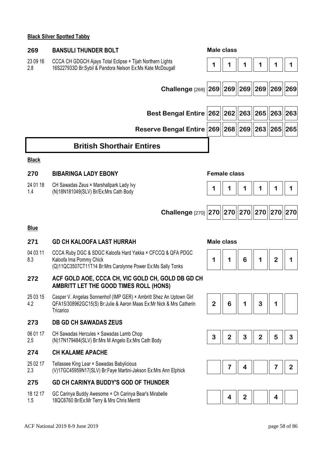### **Black Silver Spotted Tabby**

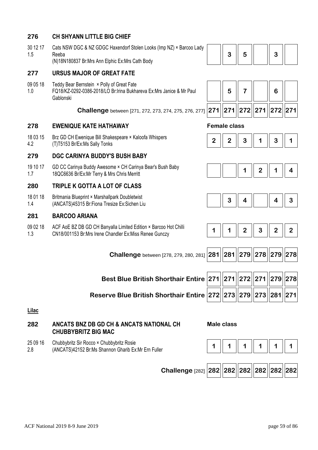# **276 CH SHYANN LITTLE BIG CHIEF**

30 12 17 1.5 Cats NSW DGC & NZ GDGC Haxendorf Stolen Looks (Imp NZ) × Barcoo Lady Reeba

(N)18N180837 Br:Mrs Ann Elphic Ex:Mrs Cath Body

# **277 URSUS MAJOR OF GREAT FATE**

09 05 18 1.0 Teddy Bear Bernstein × Polly of Great Fate FQ18/KZ-0292-0386-2018/LO Br:Irina Bukhareva Ex:Mrs Janice & Mr Paul Gablonski

 **Challenge** between [271, 272, 273, 274, 275, 276, 277] **271 271 272 271 272 271**

# **278 EWENIQUE KATE HATHAWAY Female class**

18 03 15 4.2 Brz GD CH Ewenique Bill Shakespeare × Kaloofa Whispers BIZ GD CH EWerlique Bill Stiakespeare ^ Raloula Willspeis<br>(T)T5153 Br/Ex:Ms Sally Tonks **2007** 

# **279 DGC CARINYA BUDDY'S BUSH BABY**

19 10 17 1.7 GD CC Carinya Buddy Awesome × CH Carinya Bear's Bush Baby UD CC Carifiya Buddy Awesome \* CH Carifiya Bear's Bush Baby<br>18QC6636 Br/Ex:Mr Terry & Mrs Chris Merritt **1 2** | **1** | | | | | | | | | | | | | | | | 4

# **280 TRIPLE K GOTTA A LOT OF CLASS**

18 01 18 1.4 Britmania Blueprint × Marshallpark Doubletwist Shuhama Bluephin A Marshalipark Doubletwist<br>(ANCATS)45315 Br:Fiona Tresize Ex:Sichen Liu **3 | 3 | 3 | 4 | 4 | 4 | 3** 

# **281 BARCOO ARIANA**

09 02 18 1.3 ACF AoE BZ DB GD CH Banyalla Limited Edition × Barcoo Hot Chilli ACF AOE BZ DB GD CH Banyalia Linned Edition A Barcoo Hot Chili<br>CN18/001153 Br:Mrs Irene Chandler Ex:Miss Renee Gunczy **1 4 | 1 | 2 | 2 | 3 | 2 | 2** 

 **Challenge** between [278, 279, 280, 281] **28** 

**Reserve Blue British Shorthair Entire 272 273 279 273 281 271**

**Lilac** 

# **282 ANCATS BNZ DB GD CH & ANCATS NATIONAL CH CHUBBYBRITZ BIG MAC**

- 25 09 16 Chubbybritz Sir Rocco × Chubbybritz Rosie
- 2.8

| З<br>b |
|--------|
|--------|













|  | 1  281  279  278  279  278 |  |  |
|--|----------------------------|--|--|
|  |                            |  |  |

| Best Blue British Shorthair Entire $\boxed{271\Big 271\Big 272\Big 271\Big 279\Big 278}$          |  |  |  |
|---------------------------------------------------------------------------------------------------|--|--|--|
| erve Blue British Shorthair Entire $\fbox{272}\fbox{273}\fbox{279}\fbox{273}\fbox{281}\fbox{281}$ |  |  |  |

# **Male class**

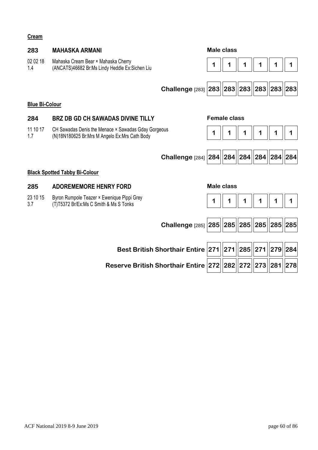### **Cream**

| 283                   | <b>MAHASKA ARMANI</b>                                                                                |                                                         |                   | Male class          |                         |     |     |
|-----------------------|------------------------------------------------------------------------------------------------------|---------------------------------------------------------|-------------------|---------------------|-------------------------|-----|-----|
| 02 02 18<br>1.4       | Mahaska Cream Bear × Mahaska Cherry<br>(ANCATS)46682 Br:Ms Lindy Heddle Ex:Sichen Liu                |                                                         | 1                 |                     |                         | 1   |     |
|                       |                                                                                                      |                                                         |                   |                     |                         |     |     |
|                       |                                                                                                      | Challenge [283] 283 283 283 283 283 283                 |                   |                     |                         |     |     |
| <b>Blue Bi-Colour</b> |                                                                                                      |                                                         |                   |                     |                         |     |     |
| 284                   | <b>BRZ DB GD CH SAWADAS DIVINE TILLY</b>                                                             |                                                         |                   | <b>Female class</b> |                         |     |     |
| 11 10 17<br>1.7       | CH Sawadas Denis the Menace × Sawadas Gday Gorgeous<br>(N)18N180625 Br:Mrs M Angelo Ex:Mrs Cath Body |                                                         | 1                 |                     |                         |     |     |
|                       |                                                                                                      |                                                         |                   |                     |                         |     |     |
|                       |                                                                                                      | Challenge [284] 284   284   284   284   284   284   284 |                   |                     |                         |     |     |
|                       | <b>Black Spotted Tabby Bi-Colour</b>                                                                 |                                                         |                   |                     |                         |     |     |
| 285                   | <b>ADOREMEMORE HENRY FORD</b>                                                                        |                                                         | <b>Male class</b> |                     |                         |     |     |
| 23 10 15<br>3.7       | Byron Rumpole Teazer × Ewenique Pippi Grey<br>(T)T5372 Br/Ex:Ms C Smith & Ms S Tonks                 |                                                         | 1                 |                     |                         |     |     |
|                       |                                                                                                      |                                                         |                   |                     |                         |     |     |
|                       |                                                                                                      | Challenge [285] 285                                     |                   |                     | 285  285  285  285  285 |     |     |
|                       |                                                                                                      |                                                         |                   |                     |                         |     |     |
|                       |                                                                                                      | <b>Best British Shorthair Entire 271</b>                |                   |                     | 271   285   271         | 279 | 284 |

**Reserve British Shorthair Entire 272 282 272 273 281 278**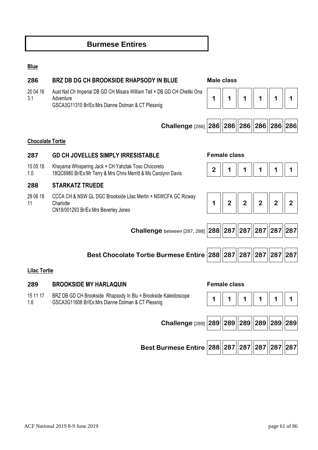# **Burmese Entires**

### **Blue**

| 286                     | <b>BRZ DB DG CH BROOKSIDE RHAPSODY IN BLUE</b>                                                                                             | <b>Male class</b> |                     |                |                |                |                |  |  |
|-------------------------|--------------------------------------------------------------------------------------------------------------------------------------------|-------------------|---------------------|----------------|----------------|----------------|----------------|--|--|
| 20 04 16<br>3.1         | Aust Nat Ch Imperial DB GD CH Misara William Tell × DB GD CH Chetiki Ona<br>Adventure<br>GSCA3G11310 Br/Ex:Mrs Dianne Dolman & CT Plessnig | 1                 | 1                   |                |                |                |                |  |  |
|                         | Challenge [286] 286   286   286   286   286   286   286                                                                                    |                   |                     |                |                |                |                |  |  |
| <b>Chocolate Tortie</b> |                                                                                                                                            |                   |                     |                |                |                |                |  |  |
| 287                     | <b>GD CH JOVELLES SIMPLY IRRESISTABLE</b>                                                                                                  |                   | <b>Female class</b> |                |                |                |                |  |  |
| 15 05 18<br>1.0         | Khayama Whispering Jack × CH Yahztak Toso Chocoreto<br>18QC6980 Br/Ex: Mr Terry & Mrs Chris Merritt & Ms Carolynn Davis                    | $\overline{2}$    |                     |                |                |                |                |  |  |
| 288                     | <b>STARKATZ TRUEDE</b>                                                                                                                     |                   |                     |                |                |                |                |  |  |
| 29 06 18<br>11          | CCCA CH & NSW GL DGC Brookside Lilac Merlin × NSWCFA GC Ricway<br>Charlotte<br>CN18/001293 Br/Ex:Mrs Beverley Jones                        | 1                 | $\overline{2}$      | $\overline{2}$ | $\overline{2}$ | $\overline{2}$ | $\overline{2}$ |  |  |
|                         |                                                                                                                                            |                   |                     |                |                |                |                |  |  |
|                         | Challenge between [287, 288] 288 287                                                                                                       |                   |                     | 287            |                | 287  287  287  |                |  |  |
|                         |                                                                                                                                            |                   |                     |                |                |                |                |  |  |
|                         | Best Chocolate Tortie Burmese Entire   288   287   287   287   287   287   287                                                             |                   |                     |                |                |                |                |  |  |
| <b>Lilac Tortie</b>     |                                                                                                                                            |                   |                     |                |                |                |                |  |  |
| 289                     | <b>BROOKSIDE MY HARLAQUIN</b>                                                                                                              |                   | <b>Female class</b> |                |                |                |                |  |  |
| 15 11 17                | BRZ DB GD CH Brookside Rhapsody In Blu × Brookside Kaleidoscope                                                                            | ◢                 |                     |                |                |                |                |  |  |

1.6 GSCA3G11608 Br/Ex:Mrs Dianne Dolman & CT Plessnig **1** 1 1 1 1 1 1 1 1 1 1 1 1 1 1

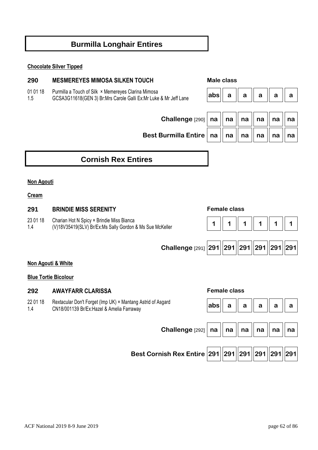# **Burmilla Longhair Entires**

### **Chocolate Silver Tipped**

### **290 MESMEREYES MIMOSA SILKEN TOUCH Male class**

01 01 18 Purmilla a Touch of Silk × Memereyes Clarina Mimosa

1.5 GCSA3G11618(GEN 3) Br:Mrs Carole Galli Ex:Mr Luke & Mr Jeff Lane **abs a a a a a** 



| Challenge $\left[290\right]$ na $\parallel$ na $\parallel$ na $\parallel$ na $\parallel$ na $\parallel$ na |  |  |  |
|------------------------------------------------------------------------------------------------------------|--|--|--|
| Best Burmilla Entire   na $\parallel$ na $\parallel$ na $\parallel$ na $\parallel$ na $\parallel$ na       |  |  |  |

# **Cornish Rex Entires**

### **Non Agouti**

### **Cream**

# **291 BRINDIE MISS SERENITY Female class**  23 01 18 1.4 Charian Hot N Spicy × Brindie Miss Bianca (V)18V35419(SLV) Br/Ex:Ms Sally Gordon & Ms Sue McKeller **1 1 1 1 1 1 Challenge** [291] **291 291 291 291 291 291 Non Agouti & White Blue Tortie Bicolour**

### **292 AWAYFARR CLARISSA Female class**

22 01 18 1.4 Rextacular Don't Forget (Imp UK) × Mantang Astrid of Asgard

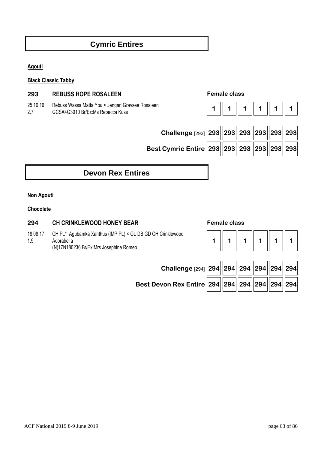# **Cymric Entires**

**Agouti** 

**Black Classic Tabby** 

### **293 REBUSS HOPE ROSALEEN Female class**

25 10 16 2.7 Rebuss Wassa Matta You × Jengari Graysee Rosaleen GCSA4G3010 Br/Ex:Ms Rebecca Kuss

|--|--|--|--|--|--|

| Challenge $[293]$ 293 |  |
|-----------------------|--|
|                       |  |

# **Challenge** [293] **293 293 293 293 293 293 Best Cymric Entire 293 293 293 293 293 293**

# **Devon Rex Entires**

### **Non Agouti**

**Chocolate** 

### **294 CH CRINKLEWOOD HONEY BEAR Female class**

18 08 17 1.9 CH PL\* Agubamka Xanthus (IMP PL) × GL DB GD CH Crinklewood **Adorabella** (N)17N180236 Br/Ex:Mrs Josephine Romeo

# **1 1 1 1 1 1**

| Challenge [294] 294 294 294 294 294 294                   |  |  |  |
|-----------------------------------------------------------|--|--|--|
| Best Devon Rex Entire $294  294  294  294  294  294  294$ |  |  |  |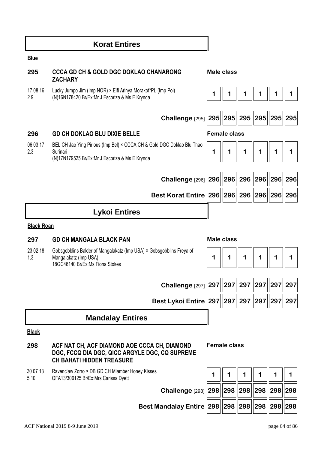|                   | <b>Korat Entires</b>                                                                                                                 |   |                     |     |          |               |     |
|-------------------|--------------------------------------------------------------------------------------------------------------------------------------|---|---------------------|-----|----------|---------------|-----|
| <b>Blue</b>       |                                                                                                                                      |   |                     |     |          |               |     |
| 295               | <b>CCCA GD CH &amp; GOLD DGC DOKLAO CHANARONG</b><br><b>ZACHARY</b>                                                                  |   | Male class          |     |          |               |     |
| 17 08 16<br>2.9   | Lucky Jumpo Jim (Imp NOR) × Elfi Arinya Morakot*PL (Imp Pol)<br>(N)16N178420 Br/Ex: Mr J Escoriza & Ms E Krynda                      | 1 | 1                   | 1   |          |               | 1   |
|                   | <b>Challenge</b> [295] 295                                                                                                           |   | 295                 | 295 |          | 295  295  295 |     |
| 296               | <b>GD CH DOKLAO BLU DIXIE BELLE</b>                                                                                                  |   | <b>Female class</b> |     |          |               |     |
| 06 03 17<br>2.3   | BEL CH Jao Ying Pirious (Imp Bel) × CCCA CH & Gold DGC Doklao Blu Thao<br>Surinari<br>(N)17N179525 Br/Ex:Mr J Escoriza & Ms E Krynda | 1 | 1                   | 1   |          |               |     |
|                   | Challenge [296] 296   296                                                                                                            |   |                     |     | 296  296 | 296 296       |     |
|                   | Best Korat Entire 296 296                                                                                                            |   |                     | 296 | 296      | 296           | 296 |
|                   | <b>Lykoi Entires</b>                                                                                                                 |   |                     |     |          |               |     |
| <b>Black Roan</b> |                                                                                                                                      |   |                     |     |          |               |     |
| 297               | <b>GD CH MANGALA BLACK PAN</b>                                                                                                       |   | <b>Male class</b>   |     |          |               |     |
| 23 02 18<br>1.3   | Gobsgobblins Balder of Mangalakatz (Imp USA) × Gobsgobblins Freya of<br>Mangalakatz (Imp USA)<br>18GC46140 Br/Ex:Ms Fiona Stokes     | 1 | 1                   | 1   | 1        | 1             | 1   |
|                   |                                                                                                                                      |   |                     |     |          |               |     |
|                   | Challenge [297] 297                                                                                                                  |   | 297                 |     | 297 297  | 297           | 297 |
|                   | Best Lykoi Entire   297                                                                                                              |   | 297                 | 297 | 297      | 297           | 297 |
|                   |                                                                                                                                      |   |                     |     |          |               |     |
|                   | <b>Mandalay Entires</b>                                                                                                              |   |                     |     |          |               |     |
| <b>Black</b>      |                                                                                                                                      |   |                     |     |          |               |     |
| 298               | ACF NAT CH, ACF DIAMOND AOE CCCA CH, DIAMOND<br>DGC, FCCQ DIA DGC, QICC ARGYLE DGC, CQ SUPREME<br><b>CH BAHATI HIDDEN TREASURE</b>   |   | <b>Female class</b> |     |          |               |     |
| 30 07 13<br>5.10  | Ravenclaw Zorro × DB GD CH Miamber Honey Kisses<br>QFA13/306125 Br/Ex:Mrs Carissa Dyett                                              | 1 |                     | 1   |          |               |     |
|                   | Challenge [298] 298   298   298                                                                                                      |   |                     |     |          | 298  298  298 |     |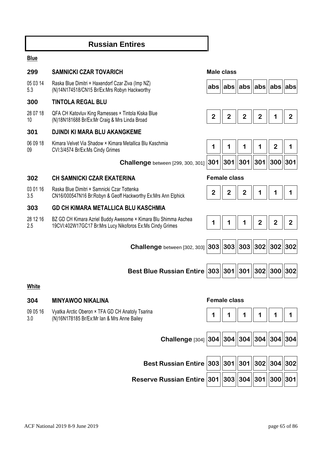# **Russian Entires**

### **Blue**

### **299 SAMNICKI CZAR TOVARICH Male class**

05 03 14 5.3 Raska Blue Dimitri × Haxendorf Czar Ziva (Imp NZ) (N)14N174518/CN15 Br/Ex:Mrs Robyn Hackworthy **abs abs abs abs abs abs**

### **300 TINTOLA REGAL BLU**

28 07 18 10 QFA CH Katovluv King Ramesses × Tintola Kiska Blue (N)18N181688 Br/Ex:Mr Craig & Mrs Linda Broad

### **301 DJINDI KI MARA BLU AKANGKEME**

06 09 18 09 Kimara Velvet Via Shadow × Kimara Metallica Blu Kaschmia CVI:3/4574 Br/Ex:Ms Cindy Grimes

 **Challenge** between [299, 300, 301] **301 301 301 301 300 301**

### **302 CH SAMNICKI CZAR EKATERINA Female class**

- 03 01 16 Raska Blue Dimitri × Samnicki Czar Tottenka
- 3.5 CN16/000547N16 Br:Robyn & Geoff Hackworthy Ex:Mrs Ann Elphick

### **303 GD CH KIMARA METALLICA BLU KASCHMIA**

28 12 16 2.5 BZ GD CH Kimara Azriel Buddy Awesome × Kimara Blu Shimma Aschea 19CVI:402W17GC17 Br:Mrs Lucy Nikoforos Ex:Ms Cindy Grimes

| Challenge between [302, 303] 303 303 303 302 302 302 |  |  |  |
|------------------------------------------------------|--|--|--|

**Best Blue Russian Entire 303 301 301 302 300 302**

### **White**

# **304 MINYAWOO NIKALINA Female class**  09 05 16 3.0 Vyatka Arctic Oberon × TFA GD CH Anatoly Tsarina (N)16N178185 Br/Ex:Mr Ian & Mrs Anne Bailey **1 1 1 1 1 1 Challenge** [304] **304 304 304 304 304 304 Best Russian Entire 303 301 301 302 304 302**

**Reserve Russian Entire 301 303 304 301 300 301**



| -7<br>- 7 |  |  |  |
|-----------|--|--|--|
|-----------|--|--|--|

|  | $\vert$ 301 $\vert\vert$ 301 $\vert\vert$ 301 $\vert\vert$ 301 $\vert\vert$ 300 $\vert\vert$ 301 $\vert$ |  |
|--|----------------------------------------------------------------------------------------------------------|--|

| , |  |  |  |  |  |
|---|--|--|--|--|--|
|---|--|--|--|--|--|

|--|--|--|--|--|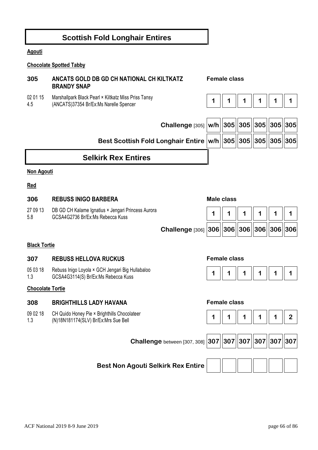# **Scottish Fold Longhair Entires**

### **Agouti**

### **Chocolate Spotted Tabby**

### **305 ANCATS GOLD DB GD CH NATIONAL CH KILTKATZ BRANDY SNAP Female class**

- 02 01 15 Marshallpark Black Pearl × Kiltkatz Miss Priss Tansy
- 4.5 (ANCATS)37354 Br/Ex:Ms Narelle Spencer **1 1 1 1 1 1**



| Challenge [305] $ w/h  305  305  305  305  305$            |  |  |  |
|------------------------------------------------------------|--|--|--|
| Best Scottish Fold Longhair Entire w/h 305 305 305 305 305 |  |  |  |
|                                                            |  |  |  |

# **Selkirk Rex Entires**

### **Non Agouti**

### **Red**

| 306             | <b>REBUSS INIGO BARBERA</b>                                                            |                                                         | Male class |                             |  |  |
|-----------------|----------------------------------------------------------------------------------------|---------------------------------------------------------|------------|-----------------------------|--|--|
| 27 09 13<br>5.8 | DB GD CH Kalame Ignatius × Jengari Princess Aurora<br>GCSA4G2736 Br/Ex:Ms Rebecca Kuss |                                                         |            | $\parallel$ 1 $\parallel$ 1 |  |  |
|                 |                                                                                        | Challenge [306] 306   306   306   306   306   306   306 |            |                             |  |  |

### **Black Tortie**

### **307 REBUSS HELLOVA RUCKUS Female class**

05 03 18 1.3 Rebuss Inigo Loyola × GCH Jengari Big Hullabaloo



# **Chocolate Tortie**

### **308 BRIGHTHILLS LADY HAVANA Female class**

- 09 02 18 CH Quido Honey Pie × Brighthills Chocolateer
- 1.3 CH Quido Honey Fie ^ Brightiniis Chocolateer<br>(N)18N181174(SLV) Br/Ex:Mrs Sue Bell **1** 1 1 1 1 1 1 1 2

 **Challenge** between [307, 308] **307 307 307 307 307 307**



**Best Non Agouti Selkirk Rex Entire**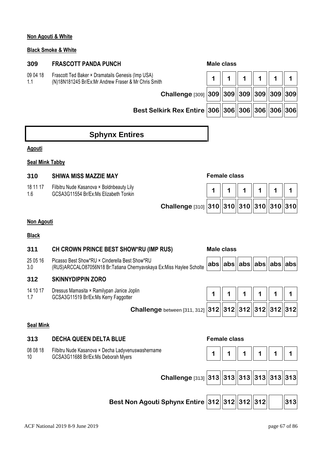### **Non Agouti & White**

### **Black Smoke & White**

### **309 FRASCOTT PANDA PUNCH Male class**

- 09 04 18 Frascott Ted Baker × Dramatails Genesis (Imp USA)
- 1.1

(N)18N181245 Br/Ex:Mr Andrew Fraser & Mr Chris Smith **1 1 1 1 1 1 Challenge** [309] **309 309 309 309 309 309 Best Selkirk Rex Entire 306 306 306 306 306 306**

# **Sphynx Entires**

### **Agouti**

### **Seal Mink Tabby**

### **310 SHIWA MISS MAZZIE MAY Female class**

| 18 11 17 | Filbitru Nude Kasanova × Boldnbeauty Lily |
|----------|-------------------------------------------|
| 1.6      | GCSA3G11554 Br/Ex:Ms Elizabeth Tonkin     |

| Filbitru Nude Kasanova × Boldnbeauty Lily<br>GCSA3G11554 Br/Ex:Ms Elizabeth Tonkin |                                             |  | 1   1   1   1   1   1   1 |  |
|------------------------------------------------------------------------------------|---------------------------------------------|--|---------------------------|--|
|                                                                                    | Challenge [310] 310 310 310 310 310 310 310 |  |                           |  |

### **Non Agouti**

### **Black**

### **311 CH CROWN PRINCE BEST SHOW\*RU (IMP RUS) Male class**  25 05 16 3.0 Picasso Best Show\*RU × Cinderella Best Show\*RU ricasso best Show No  $\sim$  Cindefelia best Show No<br>(RUS)ARCCALO87056N18 Br:Tatiana Chernyavskaya Ex:Miss Haylee Scholte **abs abs abs abs abs abs abs 312 SKINNYDIPPIN ZORO**  14 10 17 1.7 Dressus Mamasita × Ramilypan Janice Joplin Dressus Marnasita \* Ramliypan Janice Jopin<br>GCSA3G11519 Br/Ex:Ms Kerry Faggotter **1 1 1 1 1 1 1 1 1 1 1 1 1 1 1 1** 1 **1 Challenge** between [311, 312] **312 312 312 312 312 312 Seal Mink 313 DECHA QUEEN DELTA BLUE Female class**  08 08 18 10 Filbitru Nude Kasanova × Decha Ladyvenuswashername GCSA3G11688 Br/Ex:Ms Deborah Myers **1 1 1 1 1 1**

 **Challenge** [313] **313 313 313 313 313 313**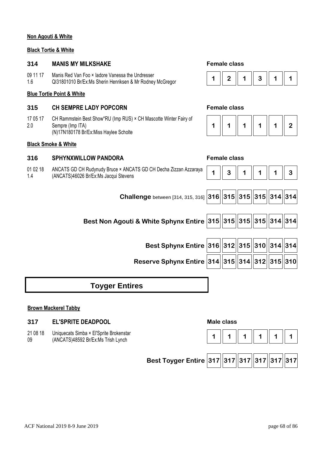### **Non Agouti & White**

### **Black Tortie & White**

### **314 MANIS MY MILKSHAKE Female class**

- 09 11 17 Manis Red Van Foo × Iadore Vanessa the Undresser
- 1.6

### **Blue Tortie Point & White**

### **315 CH SEMPRE LADY POPCORN Female class**

17 05 17 2.0 CH Rammstein Best Show\*RU (Imp RUS) × CH Mascotte Winter Fairy of Sempre (Imp ITA) (N)17N180178 Br/Ex:Miss Haylee Scholte

### **Black Smoke & White**

### **316 SPHYNXWILLOW PANDORA Female class**

01 02 18 1.4 ANCATS GD CH Rudynudy Bruce × ANCATS GD CH Decha Zizzan Azzaraya



|  |  |  | ., |
|--|--|--|----|
|--|--|--|----|



# **Toyger Entires**

### **Brown Mackerel Tabby**

### **317 EL'SPRITE DEADPOOL Male class**

21 08 18 09 Uniquecats Simba × El'Sprite Brokenstar

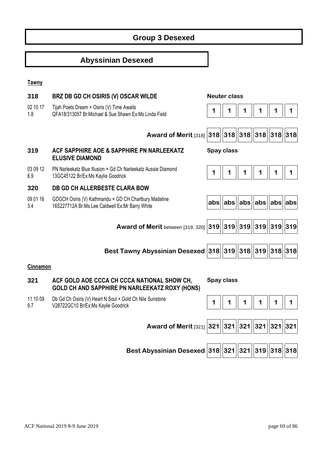# **Group 3 Desexed**

# **Abyssinian Desexed**

### **Tawny**

| 318             | BRZ DB GD CH OSIRIS (V) OSCAR WILDE                                                                      | <b>Neuter class</b> |     |               |                         |           |   |
|-----------------|----------------------------------------------------------------------------------------------------------|---------------------|-----|---------------|-------------------------|-----------|---|
| 02 10 17<br>1.8 | Tijah Poets Dream × Osiris (V) Time Awaits<br>QFA18/313057 Br: Michael & Sue Shawn Ex: Ms Linda Field    |                     |     |               |                         | 1         | 1 |
|                 | <b>Award of Merit [318]</b>                                                                              | 318                 |     |               | 318  318  318  318  318 |           |   |
| 319             | ACF SAPPHIRE AOE & SAPPHIRE PN NARLEEKATZ<br><b>ELUSIVE DIAMOND</b>                                      | <b>Spay class</b>   |     |               |                         |           |   |
| 03 09 12<br>6.9 | PN Narleekatz Blue Illusion × Gd Ch Narleekatz Aussie Diamond<br>13GC45122 Br/Ex:Ms Kaylie Goodrick      | 1                   |     |               |                         | 1         | 1 |
| 320             | <b>DB GD CH ALLERBESTE CLARA BOW</b>                                                                     |                     |     |               |                         |           |   |
| 09 01 16<br>3.4 | GDGCH Osiris (V) Kathmandu × GD CH Charlbury Madeline<br>16S227712A Br:Ms Lee Caldwell Ex:Mr Barry White | abs                 | abs |               | abs  abs  abs  abs      |           |   |
|                 |                                                                                                          |                     |     |               |                         |           |   |
|                 | Award of Merit between [319, 320]                                                                        | $ 319 $             |     |               | 319  319  319  319  319 |           |   |
|                 | Best Tawny Abyssinian Desexed 318                                                                        |                     |     | 319  318  319 |                         | 318 318   |   |
| Cinnamon        |                                                                                                          |                     |     |               |                         |           |   |
| 321             | ACF GOLD AOE CCCA CH CCCA NATIONAL SHOW CH,<br>GOLD CH AND SAPPHIRE PN NARLEEKATZ ROXY (HONS)            | Spay class          |     |               |                         |           |   |
| 11 10 09<br>9.7 | Db Gd Ch Osiris (V) Heart N Soul × Gold Ch Nile Sunstone<br>V28722GC10 Br/Ex:Ms Kaylie Goodrick          | 1                   |     |               | 1                       | 1         | 1 |
|                 |                                                                                                          |                     |     |               |                         |           |   |
|                 | Award of Merit [321] 321   321   321   321                                                               |                     |     |               |                         | 321   321 |   |
|                 |                                                                                                          |                     |     |               |                         |           |   |
|                 | Best Abyssinian Desexed 318 321                                                                          |                     |     | 321   319     |                         | 318 318   |   |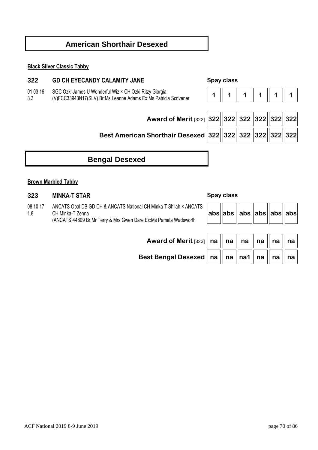# **American Shorthair Desexed**

### **Black Silver Classic Tabby**

### **322 GD CH EYECANDY CALAMITY JANE Spay class**

01 03 16 SGC Ozki James U Wonderful Wiz × CH Ozki Ritzy Giorgia

3.3

 **Award of Merit** [322] **322 322 322 322 322 322**

# **Best American Shorthair Desexed 322 322 322 322 322 322**

# **Bengal Desexed**

### **Brown Marbled Tabby**

### **323 MINKA-T STAR Spay class**

08 10 17 1.8 ANCATS Opal DB GD CH & ANCATS National CH Minka-T Shilah × ANCATS CH Minka-T Zenna (ANCATS)44809 Br:Mr Terry & Mrs Gwen Dare Ex:Ms Pamela Wadsworth

| abs  abs  abs  abs  abs  abs |  |  |  |
|------------------------------|--|--|--|
|------------------------------|--|--|--|

| Award of Merit [323]   na $\parallel$ na $\parallel$ na $\parallel$ na $\parallel$ na $\parallel$ na $\parallel$ |  |  |  |  |
|------------------------------------------------------------------------------------------------------------------|--|--|--|--|
| Best Bengal Desexed $\mid$ na $\parallel$ na $\parallel$ na1 $\parallel$ na $\parallel$ na $\parallel$ na $\mid$ |  |  |  |  |

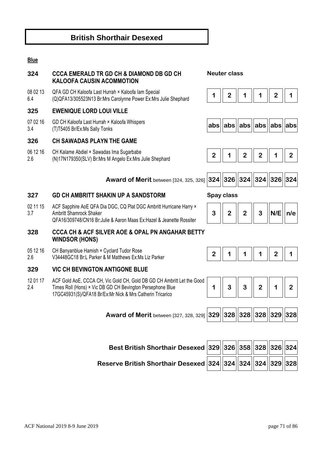# **British Shorthair Desexed**

### **Blue**

# **324 CCCA EMERALD TR GD CH & DIAMOND DB GD CH KALOOFA CAUSIN ACOMMOTION**

08 02 13 6.4 QFA GD CH Kaloofa Last Hurrah × Kaloofa Iam Special QFA GD CH Naloola Last Hurlan A Naloola Iam Special<br>(Q)QFA13/305523N13 Br:Mrs Carolynne Power Ex:Mrs Julie Shephard **1 | 2 | 1 | 2 | 1** | 2 | 1

### **325 EWENIQUE LORD LOUI VILLE**

07 02 16 3.4 GD CH Kaloofa Last Hurrah × Kaloofa Whispers

### **326 CH SAWADAS PLAYN THE GAME**

- 06 12 16 CH Kalame Abdiel × Sawadas Ima Sugarbabe
- 2.6

### **Neuter class**







|  | 324  326  324  324  326  324 |  |  |  |  |
|--|------------------------------|--|--|--|--|
|--|------------------------------|--|--|--|--|

### **327 GD CH AMBRITT SHAKIN UP A SANDSTORM Spay class**

02 11 15 3.7 ACF Sapphire AoE QFA Dia DGC, CQ Plat DGC Ambritt Hurricane Harry × Ambritt Shamrock Shaker QFA16/309748/CN16 Br:Julie & Aaron Maas Ex:Hazel & Jeanette Rossiter

### **328 CCCA CH & ACF SILVER AOE & OPAL PN ANGAHAR BETTY WINDSOR (HONS)**

- 05 12 16 CH Banyanblue Hamish × Cyclard Tudor Rose
- 2.6 V34448GC18 Br:L Parker & M Matthews Ex:Ms Liz Parker

### **329 VIC CH BEVINGTON ANTIGONE BLUE**

12 01 17 2.4 ACF Gold AoE, CCCA CH, Vic Gold CH, Gold DB GD CH Ambritt Let the Good Times Roll (Hons) × Vic DB GD CH Bevington Persephone Blue 17GC45931(S)/QFA18 Br/Ex:Mr Nick & Mrs Catherin Tricarico

 **Award of Merit** between [327, 328, 329] **329 328 328 328 329 328**

 **Award of Merit** between [324, 325, 326] **324 326 324 324 326 324**



| Best British Shorthair Desexed 329 326 358 328 326 324 |  |  |  |
|--------------------------------------------------------|--|--|--|
|                                                        |  |  |  |

**Reserve British Shorthair Desexed 324 324 324 324 329 328**

| -0     020     020     020     020     020 |  |  |
|--------------------------------------------|--|--|
|                                            |  |  |
|                                            |  |  |
|                                            |  |  |

| <b>ACF</b> National 2019 8-9 June 2019 | page 71 of 86 |
|----------------------------------------|---------------|

| nage $71$ of $86$ |  |  |
|-------------------|--|--|

|  |  |  | 3 | $\vert\vert$ N/E $\vert\vert$ n/e $\vert$ |  |  |
|--|--|--|---|-------------------------------------------|--|--|
|--|--|--|---|-------------------------------------------|--|--|



| 27. 328. 3291 329 328 328 328 328 |  |  |  |
|-----------------------------------|--|--|--|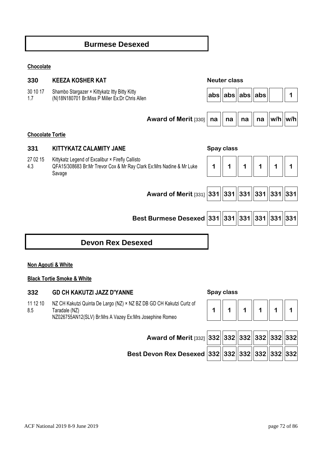# **Burmese Desexed**

### **Chocolate**

| 330                     | <b>KEEZA KOSHER KAT</b>                                                                                                            |    | <b>Neuter class</b>     |    |                 |             |     |
|-------------------------|------------------------------------------------------------------------------------------------------------------------------------|----|-------------------------|----|-----------------|-------------|-----|
| 30 10 17<br>1.7         | Shambo Stargazer × Kittykatz Itty Bitty Kitty<br>(N)18N180701 Br:Miss P Miller Ex:Dr Chris Allen                                   |    | $ abs $ abs $ abs $ abs |    |                 |             |     |
|                         | Award of Merit [330]                                                                                                               | na | na                      | na | na              | $w/h$   w/h |     |
| <b>Chocolate Tortie</b> |                                                                                                                                    |    |                         |    |                 |             |     |
| 331                     | <b>KITTYKATZ CALAMITY JANE</b>                                                                                                     |    | Spay class              |    |                 |             |     |
| 27 02 15<br>4.3         | Kittykatz Legend of Excalibur × Firefly Callisto<br>QFA15/308683 Br:Mr Trevor Cox & Mr Ray Clark Ex:Mrs Nadine & Mr Luke<br>Savage | 1  | 1                       |    |                 |             |     |
|                         |                                                                                                                                    |    |                         |    |                 |             |     |
|                         | Award of Merit [331] 331   331   331   331   331                                                                                   |    |                         |    |                 |             | 331 |
|                         |                                                                                                                                    |    |                         |    |                 |             |     |
|                         | <b>Best Burmese Desexed 331 331 331   331  </b>                                                                                    |    |                         |    | 331   331   331 |             |     |
|                         |                                                                                                                                    |    |                         |    |                 |             |     |
|                         | <b>Devon Rex Desexed</b>                                                                                                           |    |                         |    |                 |             |     |

### **Non Agouti & White**

### **Black Tortie Smoke & White**

# **332 GD CH KAKUTZI JAZZ D'YANNE Spay class**

11 12 10 8.5 NZ CH Kakutzi Quinta De Largo (NZ) × NZ BZ DB GD CH Kakutzi Curlz of Taradale (NZ) NZ026755AN12(SLV) Br:Mrs A Vazey Ex:Mrs Josephine Romeo

| Best Devon Rex Desexed |  |
|------------------------|--|
|                        |  |

| Award of Merit [332] 332 332 332 332 332 332                                                                                             |  |  |  |
|------------------------------------------------------------------------------------------------------------------------------------------|--|--|--|
| <b>)evon Rex Desexed <math> \mathbf{332}  \mathbf{332}  \mathbf{332}  \mathbf{332}  \mathbf{332}  \mathbf{332}  \mathbf{332} </math></b> |  |  |  |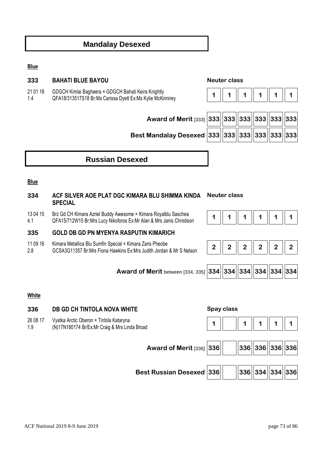## **Mandalay Desexed**

#### **Blue**

#### **333 BAHATI BLUE BAYOU Neuter class**

21 01 18 GDGCH Kimlai Bagheera × GDGCH Bahati Keira Knightly

1.4



| Award of Merit [333] 333 33 33 33 33 33 33 33     |  |  |  |
|---------------------------------------------------|--|--|--|
| Best Mandalay Desexed $ 333  333  333  333  333 $ |  |  |  |

## **Russian Desexed**

#### **Blue**

#### **334 ACF SILVER AOE PLAT DGC KIMARA BLU SHIMMA KINDA SPECIAL Neuter class**

#### 13 04 15 4.1 Brz Gd CH Kimara Azriel Buddy Awesome × Kimara Royalblu Saschea Br2 Gu Ch Riniala Aziter Buddy Awesomie ^ Riniala Noyabiu Sascriea<br>QFA15/712W15 Br:Mrs Lucy Nikoforos Ex:Mr Alan & Mrs Janis Christison **1 1 | 1 | 1 | 1 | 1 | 1 | 1**

### **335 GOLD DB GD PN MYENYA RASPUTIN KIMARICH**

- 11 09 16 Kimara Metallica Blu Sumfin Special × Kimara Zaris Pheobe
- 2.8







#### **White**

# **336 DB GD CH TINTOLA NOVA WHITE Spay class**  26 08 17 1.9 Vyatka Arctic Oberon × Tintola Kataryna Vyalka Alculc Obelon A Tilliola Ralarylia<br>(N)17N180174 Br/Ex:Mr Craig & Mrs Linda Broad **1 1 | 1 | 1 | 1 | 1 | 1 | 1 | 1** | 1 **| 1 Award of Merit [336] 336 | 336 | 336 | 336 | 336 | 336 Best Russian Desexed 336 336 334 334 336**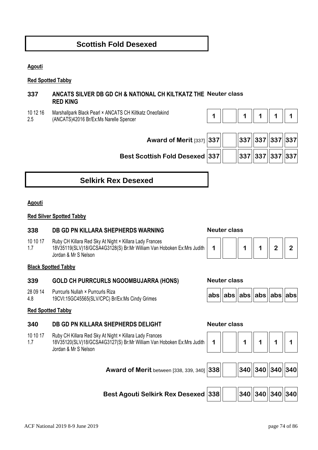## **Scottish Fold Desexed**

**Agouti** 

#### **Red Spotted Tabby**

### **337 ANCATS SILVER DB GD CH & NATIONAL CH KILTKATZ THE Neuter class RED KING**

10 12 16 2.5 Marshallpark Black Pearl × ANCATS CH Kiltkatz Oneofakind (ANCATS)42016 Br/Ex:Ms Narelle Spencer

|--|--|--|--|--|

 **Award of Merit** [337] **337 337 337 337 337 Best Scottish Fold Desexed 337 337 337 337 337**

| 337  337  337  337 |  |  |
|--------------------|--|--|
| 337  337  337  337 |  |  |

# **Selkirk Rex Desexed**

#### **Agouti**

#### **Red Silver Spotted Tabby**

### **338 DB GD PN KILLARA SHEPHERDS WARNING Neuter class**

- 10 10 17 Ruby CH Killara Red Sky At Night × Killara Lady Frances
- 1.7 18V35119(SLV)18/GCSA4G3128(S) Br:Mr William Van Hoboken Ex:Mrs Judith Jordan & Mr S Nelson

#### **Black Spotted Tabby**

#### **339 GOLD CH PURRCURLS NGOOMBUJARRA (HONS) Neuter class**

- 28 09 14 Purrcurls Nullah × Purrcurls Riza
- 4.8 19CVI:15GC45565(SLV/CPC) Br/Ex:Ms Cindy Grimes **abs abs abs abs abs abs**

|--|--|

|--|--|--|--|--|--|--|

#### **Red Spotted Tabby**

#### **340 DB GD PN KILLARA SHEPHERDS DELIGHT Neuter class**

- 10 10 17 Ruby CH Killara Red Sky At Night × Killara Lady Frances
- 1.7 18V35120(SLV)18/GCSA4G3127(S) Br:Mr William Van Hoboken Ex:Mrs Judith Jordan & Mr S Nelson



| Award of Merit between [338, 339, 340] $\boxed{338}$ |  |  | $\frac{1}{340}$ 340 340 340 |  |
|------------------------------------------------------|--|--|-----------------------------|--|
|                                                      |  |  |                             |  |

| Best Agouti Selkirk Rex Desexed $\big  338 \big \big  \quad \  340 \big\  340 \big\  340 \big\  340$ |  |  |  |
|------------------------------------------------------------------------------------------------------|--|--|--|
|                                                                                                      |  |  |  |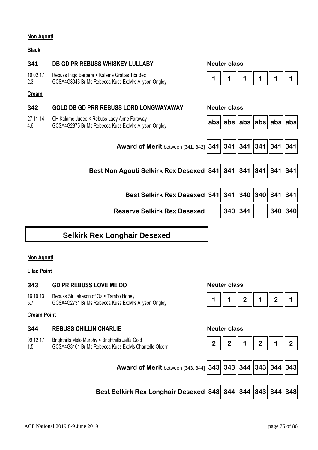#### **Non Agouti**

#### **Black**

| 341             | DB GD PR REBUSS WHISKEY LULLABY                                                                       | <b>Neuter class</b>          |          |             |     |
|-----------------|-------------------------------------------------------------------------------------------------------|------------------------------|----------|-------------|-----|
| 10 02 17<br>2.3 | Rebuss Inigo Barbera × Kaleme Gratias Tibi Bec<br>GCSA4G3043 Br:Ms Rebecca Kuss Ex:Mrs Allyson Ongley | 1                            |          | 1           | 1   |
| <b>Cream</b>    |                                                                                                       |                              |          |             |     |
| 342             | <b>GOLD DB GD PRR REBUSS LORD LONGWAYAWAY</b>                                                         | <b>Neuter class</b>          |          |             |     |
| 27 11 14<br>4.6 | CH Kalame Judeo × Rebuss Lady Anne Faraway<br>GCSA4G2875 Br:Ms Rebecca Kuss Ex:Mrs Allyson Ongley     | abs  abs  abs  abs  abs  abs |          |             |     |
|                 |                                                                                                       |                              |          |             |     |
|                 | Award of Merit between [341, 342] 341   341                                                           |                              | 341  341 | 341   341   |     |
|                 |                                                                                                       |                              |          |             |     |
|                 | Best Non Agouti Selkirk Rex Desexed 341   341                                                         |                              | 341  341 | $ 341 $ 341 |     |
|                 |                                                                                                       |                              |          |             |     |
|                 | Best Selkirk Rex Desexed 341 341                                                                      |                              | 340  340 | $ 341$      | 341 |
|                 | <b>Reserve Selkirk Rex Desexed</b>                                                                    | 340                          | 341      | 340 340     |     |

# **Selkirk Rex Longhair Desexed**

#### **Non Agouti**

#### **Lilac Point**

#### **343 GD PR REBUSS LOVE ME DO Neuter class**

- 16 10 13 Rebuss Sir Jakeson of Oz × Tambo Honey
- 5.7

#### **Cream Point**

#### **344 REBUSS CHILLIN CHARLIE Neuter class**

09 12 17 Brighthills Melo Murphy × Brighthills Jaffa Gold

### 1.5



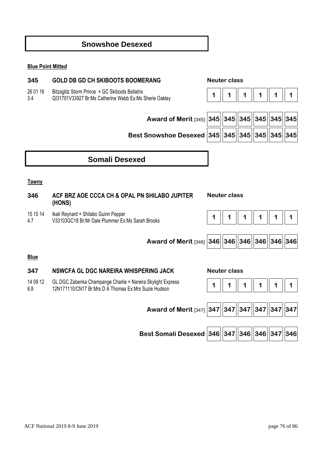## **Snowshoe Desexed**

#### **Blue Point Mitted**

# **345 GOLD DB GD CH SKIBOOTS BOOMERANG Neuter class**  26 01 16 3.4 Bitzaglitz Storm Prince × GC Skiboots Bellatrix QI31701V33927 Br:Ms Catherine Webb Ex:Ms Sherie Oakley **1 1 1 1 1 1 Award of Merit** [345] **345 345 345 345 345 345 Best Snowshoe Desexed 345 345 345 345 345 345 Somali Desexed Tawny 346 ACF BRZ AOE CCCA CH & OPAL PN SHILABO JUPITER (HONS) Neuter class**  15 10 14 4.7 Ikati Reynard × Shilabo Guinn Pepper V33103GC18 Br:Mr Dale Plummer Ex:Ms Sarah Brooks **1 1 1 1 1 1 Award of Merit** [346] **346 346 346 346 346 346 Blue 347 NSWCFA GL DGC NAREIRA WHISPERING JACK Neuter class**  14 09 12 6.8 GL DGC Zabenka Champange Charlie × Nareira Skylight Express UL DUC Zabelika Champange Chame ^ Natelia Skylight Express<br>12N171110/CN17 Br:Mrs D A Thomas Ex:Mrs Suzie Hudson **1 1 | 1 | 1 | 1 | 1 | 1 | 1 | 1** | 1

| Award of Merit [347] $\Big 347\Big  \Big 347\Big  \Big 347\Big  \Big 347\Big  \Big 347\Big  \Big 347\Big $ |  |  |  |
|------------------------------------------------------------------------------------------------------------|--|--|--|
|                                                                                                            |  |  |  |

**Best Somali Desexed 346 347 346 346 347 346**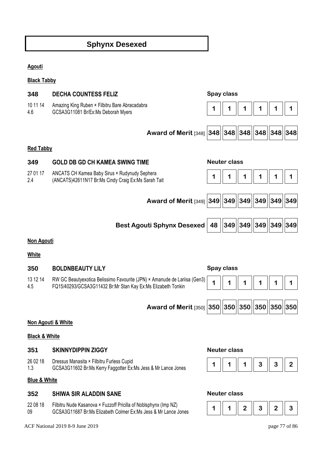# **Sphynx Desexed**

#### **Agouti**

**Black Tabby** 

| 348                      | <b>DECHA COUNTESS FELIZ</b>                                                                                                               | Spay class          |                     |                    |        |     |
|--------------------------|-------------------------------------------------------------------------------------------------------------------------------------------|---------------------|---------------------|--------------------|--------|-----|
| 10 11 14<br>4.6          | Amazing King Ruben × Filbitru Bare Abracadabra<br>GCSA3G11081 Br/Ex:Ms Deborah Myers                                                      |                     |                     |                    |        |     |
|                          | <b>Award of Merit [348] 348]</b>                                                                                                          |                     | 348  348  348  348  |                    |        | 348 |
| <b>Red Tabby</b>         |                                                                                                                                           |                     |                     |                    |        |     |
| 349                      | <b>GOLD DB GD CH KAMEA SWING TIME</b>                                                                                                     | <b>Neuter class</b> |                     |                    |        |     |
| 27 01 17<br>2.4          | ANCATS CH Kamea Baby Sirus × Rudynudy Sephera<br>(ANCATS)42611N17 Br:Ms Cindy Craig Ex:Ms Sarah Tait                                      | 1                   | 1                   |                    | 1      | 1   |
|                          | Award of Merit $[349]$ 349                                                                                                                |                     | 349  349  349  349  |                    |        | 349 |
|                          | <b>Best Agouti Sphynx Desexed</b>                                                                                                         | 48                  |                     | 349  349  349  349 |        | 349 |
| Non Agouti               |                                                                                                                                           |                     |                     |                    |        |     |
| <b>White</b>             |                                                                                                                                           |                     |                     |                    |        |     |
| 350                      | <b>BOLDNBEAUTY LILY</b>                                                                                                                   | Spay class          |                     |                    |        |     |
| 13 12 14<br>4.5          | RW GC Beautyexotica Belissimo Favourite (JPN) × Amanude de Lariisa (Gen3)<br>FQ15/40293/GCSA3G11432 Br:Mr Stan Kay Ex:Ms Elizabeth Tonkin | 1                   | 1                   | 1                  | 1      | 1   |
|                          | <b>Award of Merit [350] 350</b>                                                                                                           |                     | 350 350             | 350                | 350    | 350 |
| Non Agouti & White       |                                                                                                                                           |                     |                     |                    |        |     |
| <b>Black &amp; White</b> |                                                                                                                                           |                     |                     |                    |        |     |
| 351                      | <b>SKINNYDIPPIN ZIGGY</b>                                                                                                                 |                     | <b>Neuter class</b> |                    |        |     |
| 26 02 18                 | Dressus Manasita × Filbitru Furless Cupid                                                                                                 |                     |                     | ົ                  | $\sim$ |     |

1.3 GCSA3G11602 Br:Ms Kerry Faggotter Ex:Ms Jess & Mr Lance Jones **1 1 1 1 1 3 3 3 2** 

#### **Blue & White**

#### **352 SHIWA SIR ALADDIN SANE Neuter class**

22 08 18 09 Filbitru Nude Kasanova × Fuzzoff Pricilla of Noblsphynx (Imp NZ) Priblitu Nude Rasanova \* Puzzon Pricilia of Nobispriyfix (linp N2)<br>GCSA3G11687 Br:Ms Elizabeth Colmer Ex:Ms Jess & Mr Lance Jones **1 1 |** 1 | 2 | 3 | 2 | 3



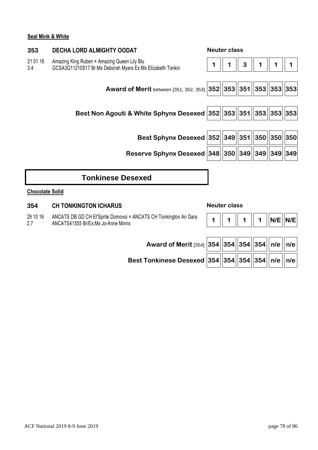#### **Seal Mink & White**

| 353                    | <b>DECHA LORD ALMIGHTY OODAT</b>                                                                         |   | <b>Neuter class</b> |   |   |         |     |
|------------------------|----------------------------------------------------------------------------------------------------------|---|---------------------|---|---|---------|-----|
| 21 01 16<br>3.4        | Amazing King Ruben × Amazing Queen Lily Blu<br>GCSA3G11210S17 Br:Ms Deborah Myers Ex:Ms Elizabeth Tonkin | 1 |                     | 3 |   |         |     |
|                        | <b>Award of Merit between [351, 352, 353]</b>                                                            |   | 352  353  351  353  |   |   | 353 353 |     |
|                        | Best Non Agouti & White Sphynx Desexed   352  353  351  353                                              |   |                     |   |   | 353 353 |     |
|                        | Best Sphynx Desexed 352 349 351 350                                                                      |   |                     |   |   | 350 350 |     |
|                        | Reserve Sphynx Desexed 348 350 349 349                                                                   |   |                     |   |   | 349 349 |     |
|                        | <b>Tonkinese Desexed</b>                                                                                 |   |                     |   |   |         |     |
| <b>Chocolate Solid</b> |                                                                                                          |   |                     |   |   |         |     |
| 354                    | <b>CH TONKINGTON ICHARUS</b>                                                                             |   | <b>Neuter class</b> |   |   |         |     |
| 29 10 16<br>2.7        | ANCATS DB GD CH El'Sprite Domovoi × ANCATS CH Tonkington An Dara<br>ANCATS41555 Br/Ex:Ms Jo-Anne Minns   |   |                     |   | 1 | N/E     | N/E |
|                        | Award of Merit [354] 354 354 354 354                                                                     |   |                     |   |   | n/e     | n/e |

**Best Tonkinese Desexed 354 354 354 354 n/e n/e**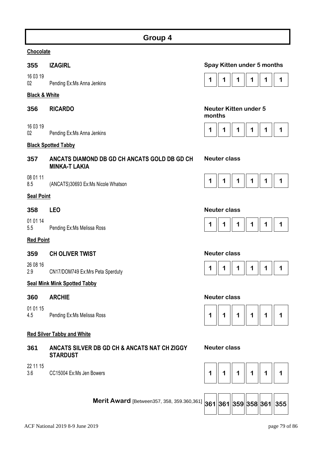### **Chocolate**

16 03 19

### **Black & White**

- 
- 16 03 19

#### **Black Spotted Tabby**

### **357 ANCATS DIAMOND DB GD CH ANCATS GOLD DB GD CH MINKA-T LAKIA**

#### 08 01 11

#### **Seal Point**

01 01 14

#### **Red Point**

### **359 CH OLIVER TWIST Neuter class**

26 08 16 2.9 CN17/DOM749 Ex:Mrs Peta Sperduty **1 1 1 1 1 1** 

### **Seal Mink Mink Spotted Tabby**

#### **360 ARCHIE Neuter class**

01 01 15

### **Red Silver Tabby and White**

### **361 ANCATS SILVER DB GD CH & ANCATS NAT CH ZIGGY STARDUST**

22 11 15

### **355 IZAGIRL Spay Kitten under 5 months**



#### **356 RICARDO Neuter Kitten under 5 months**



#### **Neuter class**



#### **358 LEO Neuter class**







#### **Neuter class**

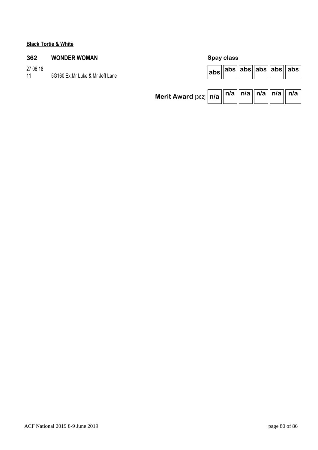### **Black Tortie & White**

## **362 WONDER WOMAN Spay class**

27 06 18 5G160 Ex:Mr Luke & Mr Jeff Lane

|                                                                                  |  |  | $ abs $ abs $  abs  abs $ abs $  abs  abs  $ |
|----------------------------------------------------------------------------------|--|--|----------------------------------------------|
| Merit Award [362]   n/a    <sup>n/a</sup>    <sup>n/a</sup>    n/a    n/a    n/a |  |  |                                              |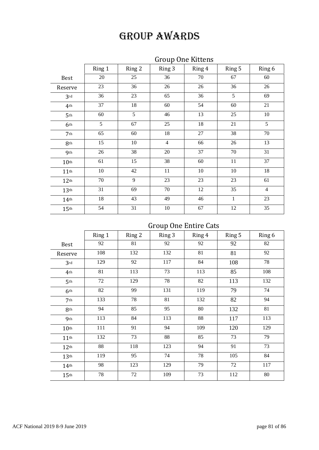| <b>Group One Kittens</b> |
|--------------------------|
|--------------------------|

|                  | Ring 1 | Ring 2 | Ring 3         | Ring 4 | Ring 5 | Ring 6         |
|------------------|--------|--------|----------------|--------|--------|----------------|
| <b>Best</b>      | 20     | 25     | 36             | 70     | 67     | 60             |
| Reserve          | 23     | 36     | 26             | 26     | 36     | 26             |
| 3rd              | 36     | 23     | 65             | 36     | 5      | 69             |
| 4 <sup>th</sup>  | 37     | 18     | 60             | 54     | 60     | 21             |
| 5 <sup>th</sup>  | 60     | 5      | 46             | 13     | 25     | $10\,$         |
| 6th              | 5      | 67     | 25             | 18     | 21     | 5              |
| 7 <sup>th</sup>  | 65     | 60     | 18             | 27     | 38     | 70             |
| 8th              | 15     | $10\,$ | $\overline{4}$ | 66     | 26     | 13             |
| 9 <sub>th</sub>  | 26     | 38     | $20\,$         | 37     | $70\,$ | 31             |
| 10 <sup>th</sup> | 61     | 15     | 38             | 60     | 11     | 37             |
| 11 <sup>th</sup> | 10     | 42     | 11             | 10     | 10     | 18             |
| 12 <sup>th</sup> | 70     | 9      | 23             | 23     | 23     | 61             |
| 13 <sup>th</sup> | 31     | 69     | 70             | 12     | 35     | $\overline{4}$ |
| 14 <sup>th</sup> | 18     | 43     | 49             | 46     | 1      | 23             |
| 15 <sup>th</sup> | 54     | 31     | $10\,$         | 67     | 12     | 35             |

# Group One Entire Cats

|                  | Ring 1 | Ring 2 | Ring 3 | Ring 4 | Ring 5 | Ring 6 |
|------------------|--------|--------|--------|--------|--------|--------|
| <b>Best</b>      | 92     | 81     | 92     | 92     | 92     | 82     |
| Reserve          | 108    | 132    | 132    | 81     | 81     | 92     |
| 3rd              | 129    | 92     | 117    | 84     | 108    | 78     |
| 4 <sup>th</sup>  | 81     | 113    | 73     | 113    | 85     | 108    |
| 5 <sup>th</sup>  | 72     | 129    | 78     | 82     | 113    | 132    |
| 6th              | 82     | 99     | 131    | 119    | 79     | 74     |
| 7 <sup>th</sup>  | 133    | 78     | 81     | 132    | 82     | 94     |
| 8th              | 94     | 85     | 95     | 80     | 132    | 81     |
| 9 <sub>th</sub>  | 113    | 84     | 113    | 88     | 117    | 113    |
| 10 <sup>th</sup> | 111    | 91     | 94     | 109    | 120    | 129    |
| 11 <sup>th</sup> | 132    | 73     | 88     | 85     | 73     | 79     |
| 12 <sup>th</sup> | 88     | 118    | 123    | 94     | 91     | 73     |
| 13 <sup>th</sup> | 119    | 95     | 74     | 78     | 105    | 84     |
| $14$ th          | 98     | 123    | 129    | 79     | 72     | 117    |
| 15 <sup>th</sup> | 78     | 72     | 109    | 73     | 112    | 80     |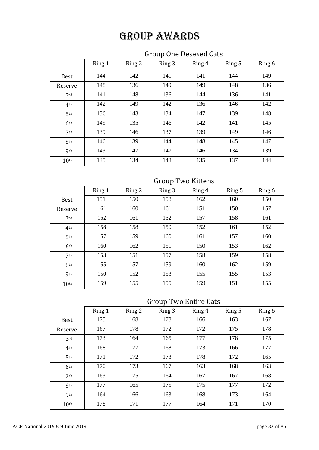# Group One Desexed Cats

|                  | Ring 1 | Ring 2 | Ring 3 | Ring 4 | Ring 5 | Ring 6 |
|------------------|--------|--------|--------|--------|--------|--------|
| <b>Best</b>      | 144    | 142    | 141    | 141    | 144    | 149    |
| Reserve          | 148    | 136    | 149    | 149    | 148    | 136    |
| 3rd              | 141    | 148    | 136    | 144    | 136    | 141    |
| 4 <sup>th</sup>  | 142    | 149    | 142    | 136    | 146    | 142    |
| 5 <sup>th</sup>  | 136    | 143    | 134    | 147    | 139    | 148    |
| 6 <sup>th</sup>  | 149    | 135    | 146    | 142    | 141    | 145    |
| 7 <sup>th</sup>  | 139    | 146    | 137    | 139    | 149    | 146    |
| 8 <sup>th</sup>  | 146    | 139    | 144    | 148    | 145    | 147    |
| 9 <sub>th</sub>  | 143    | 147    | 147    | 146    | 134    | 139    |
| 10 <sup>th</sup> | 135    | 134    | 148    | 135    | 137    | 144    |

## Group Two Kittens

|                  | Ring 1 | Ring 2 | Ring 3 | Ring 4 | Ring 5 | Ring 6 |
|------------------|--------|--------|--------|--------|--------|--------|
| <b>Best</b>      | 151    | 150    | 158    | 162    | 160    | 150    |
| Reserve          | 161    | 160    | 161    | 151    | 150    | 157    |
| 3rd              | 152    | 161    | 152    | 157    | 158    | 161    |
| 4 <sup>th</sup>  | 158    | 158    | 150    | 152    | 161    | 152    |
| 5 <sup>th</sup>  | 157    | 159    | 160    | 161    | 157    | 160    |
| 6th              | 160    | 162    | 151    | 150    | 153    | 162    |
| 7 <sub>th</sub>  | 153    | 151    | 157    | 158    | 159    | 158    |
| 8th              | 155    | 157    | 159    | 160    | 162    | 159    |
| 9 <sub>th</sub>  | 150    | 152    | 153    | 155    | 155    | 153    |
| 10 <sup>th</sup> | 159    | 155    | 155    | 159    | 151    | 155    |

# Group Two Entire Cats

|                  | Ring 1 | Ring 2 | Ring 3 | Ring 4 | Ring 5 | Ring 6 |
|------------------|--------|--------|--------|--------|--------|--------|
| <b>Best</b>      | 175    | 168    | 178    | 166    | 163    | 167    |
| Reserve          | 167    | 178    | 172    | 172    | 175    | 178    |
| 3rd              | 173    | 164    | 165    | 177    | 178    | 175    |
| 4 <sup>th</sup>  | 168    | 177    | 168    | 173    | 166    | 177    |
| 5 <sup>th</sup>  | 171    | 172    | 173    | 178    | 172    | 165    |
| 6 <sup>th</sup>  | 170    | 173    | 167    | 163    | 168    | 163    |
| 7 <sup>th</sup>  | 163    | 175    | 164    | 167    | 167    | 168    |
| 8th              | 177    | 165    | 175    | 175    | 177    | 172    |
| <b>9th</b>       | 164    | 166    | 163    | 168    | 173    | 164    |
| 10 <sup>th</sup> | 178    | 171    | 177    | 164    | 171    | 170    |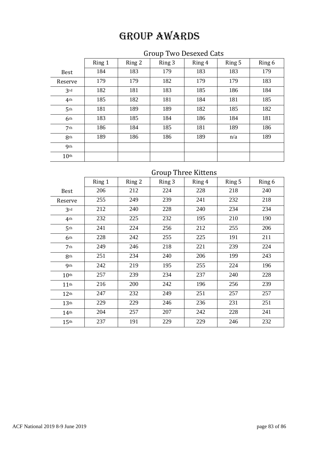# Group Two Desexed Cats

|                  | Ring 1 | Ring 2 | Ring 3 | Ring 4 | Ring 5 | Ring 6 |
|------------------|--------|--------|--------|--------|--------|--------|
| <b>Best</b>      | 184    | 183    | 179    | 183    | 183    | 179    |
| Reserve          | 179    | 179    | 182    | 179    | 179    | 183    |
| 3rd              | 182    | 181    | 183    | 185    | 186    | 184    |
| 4 <sup>th</sup>  | 185    | 182    | 181    | 184    | 181    | 185    |
| 5 <sup>th</sup>  | 181    | 189    | 189    | 182    | 185    | 182    |
| 6 <sup>th</sup>  | 183    | 185    | 184    | 186    | 184    | 181    |
| 7 <sup>th</sup>  | 186    | 184    | 185    | 181    | 189    | 186    |
| 8 <sup>th</sup>  | 189    | 186    | 186    | 189    | n/a    | 189    |
| <b>9th</b>       |        |        |        |        |        |        |
| 10 <sup>th</sup> |        |        |        |        |        |        |

# Group Three Kittens

|                    | Ring 1 | Ring 2 | Ring 3 | Ring 4 | Ring 5 | Ring 6 |
|--------------------|--------|--------|--------|--------|--------|--------|
| <b>Best</b>        | 206    | 212    | 224    | 228    | 218    | 240    |
| Reserve            | 255    | 249    | 239    | 241    | 232    | 218    |
| 3rd                | 212    | 240    | 228    | 240    | 234    | 234    |
| 4 <sup>th</sup>    | 232    | 225    | 232    | 195    | 210    | 190    |
| 5 <sup>th</sup>    | 241    | 224    | 256    | 212    | 255    | 206    |
| 6th                | 228    | 242    | 255    | 225    | 191    | 211    |
| 7 <sup>th</sup>    | 249    | 246    | 218    | 221    | 239    | 224    |
| 8th                | 251    | 234    | 240    | 206    | 199    | 243    |
| <b>9th</b>         | 242    | 219    | 195    | 255    | 224    | 196    |
| 10 <sup>th</sup>   | 257    | 239    | 234    | 237    | 240    | 228    |
| 11 <sup>th</sup>   | 216    | 200    | 242    | 196    | 256    | 239    |
| 12 <sup>th</sup>   | 247    | 232    | 249    | 251    | 257    | 257    |
| 13 <sup>th</sup>   | 229    | 229    | 246    | 236    | 231    | 251    |
| $14$ <sup>th</sup> | 204    | 257    | 207    | 242    | 228    | 241    |
| 15 <sup>th</sup>   | 237    | 191    | 229    | 229    | 246    | 232    |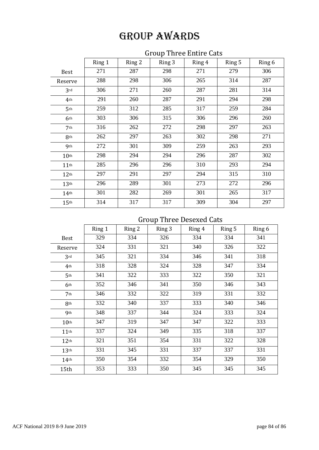# Group Three Entire Cats

|                    | Ring 1 | Ring 2 | Ring 3 | Ring 4 | Ring 5 | Ring 6 |
|--------------------|--------|--------|--------|--------|--------|--------|
| <b>Best</b>        | 271    | 287    | 298    | 271    | 279    | 306    |
| Reserve            | 288    | 298    | 306    | 265    | 314    | 287    |
| 3rd                | 306    | 271    | 260    | 287    | 281    | 314    |
| 4 <sup>th</sup>    | 291    | 260    | 287    | 291    | 294    | 298    |
| 5 <sup>th</sup>    | 259    | 312    | 285    | 317    | 259    | 284    |
| 6 <sup>th</sup>    | 303    | 306    | 315    | 306    | 296    | 260    |
| 7 <sup>th</sup>    | 316    | 262    | 272    | 298    | 297    | 263    |
| 8th                | 262    | 297    | 263    | 302    | 298    | 271    |
| <b>9th</b>         | 272    | 301    | 309    | 259    | 263    | 293    |
| 10 <sup>th</sup>   | 298    | 294    | 294    | 296    | 287    | 302    |
| 11 <sup>th</sup>   | 285    | 296    | 296    | 310    | 293    | 294    |
| 12 <sup>th</sup>   | 297    | 291    | 297    | 294    | 315    | 310    |
| 13 <sup>th</sup>   | 296    | 289    | 301    | 273    | 272    | 296    |
| $14$ <sup>th</sup> | 301    | 282    | 269    | 301    | 265    | 317    |
| 15 <sup>th</sup>   | 314    | 317    | 317    | 309    | 304    | 297    |

# Group Three Desexed Cats

|                    | Ring 1 | Ring 2 | Ring 3 | Ring 4 | Ring 5 | Ring 6 |
|--------------------|--------|--------|--------|--------|--------|--------|
| <b>Best</b>        | 329    | 334    | 326    | 334    | 334    | 341    |
| Reserve            | 324    | 331    | 321    | 340    | 326    | 322    |
| 3rd                | 345    | 321    | 334    | 346    | 341    | 318    |
| 4 <sup>th</sup>    | 318    | 328    | 324    | 328    | 347    | 334    |
| 5 <sup>th</sup>    | 341    | 322    | 333    | 322    | 350    | 321    |
| 6 <sup>th</sup>    | 352    | 346    | 341    | 350    | 346    | 343    |
| 7 <sup>th</sup>    | 346    | 332    | 322    | 319    | 331    | 332    |
| 8 <sub>th</sub>    | 332    | 340    | 337    | 333    | 340    | 346    |
| <b>9th</b>         | 348    | 337    | 344    | 324    | 333    | 324    |
| 10 <sup>th</sup>   | 347    | 319    | 347    | 347    | 322    | 333    |
| $11$ <sup>th</sup> | 337    | 324    | 349    | 335    | 318    | 337    |
| 12 <sup>th</sup>   | 321    | 351    | 354    | 331    | 322    | 328    |
| 13 <sup>th</sup>   | 331    | 345    | 331    | 337    | 337    | 331    |
| 14 <sup>th</sup>   | 350    | 354    | 332    | 354    | 329    | 350    |
| 15th               | 353    | 333    | 350    | 345    | 345    | 345    |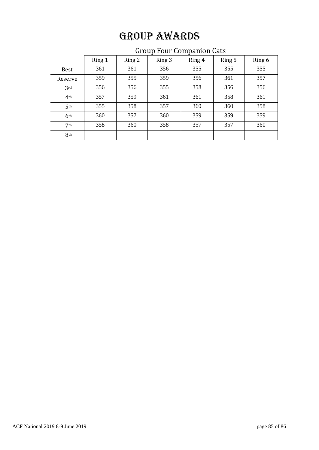# Ring 1 | Ring 2 | Ring 3 | Ring 4 | Ring 5 | Ring 6 Best | 361 | 361 | 356 | 355 | 355 | 355 Reserve | 359 | 355 | 359 | 356 | 361 | 357 3rd | 356 | 356 | 355 | 358 | 356 | 356 4th | 357 | 359 | 361 | 361 | 358 | 361 5th | 355 | 358 | 357 | 360 | 360 | 358 6<sup>th</sup> | 360 | 357 | 360 | 359 | 359 | 359 7th | 358 | 360 | 358 | 357 | 357 | 360 8th

# Group Four Companion Cats